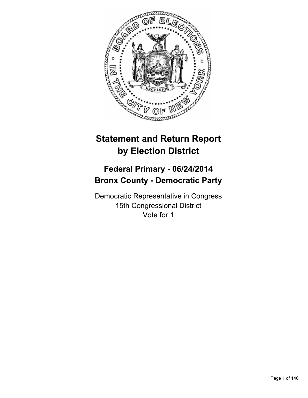

# **Statement and Return Report by Election District**

# **Federal Primary - 06/24/2014 Bronx County - Democratic Party**

Democratic Representative in Congress 15th Congressional District Vote for 1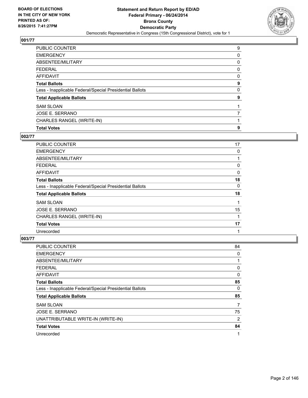

| <b>PUBLIC COUNTER</b>                                    | 9 |
|----------------------------------------------------------|---|
| <b>EMERGENCY</b>                                         | 0 |
| ABSENTEE/MILITARY                                        | 0 |
| <b>FEDERAL</b>                                           | 0 |
| <b>AFFIDAVIT</b>                                         | 0 |
| <b>Total Ballots</b>                                     | 9 |
| Less - Inapplicable Federal/Special Presidential Ballots | 0 |
| <b>Total Applicable Ballots</b>                          | 9 |
| <b>SAM SLOAN</b>                                         |   |
| <b>JOSE E. SERRANO</b>                                   | 7 |
| CHARLES RANGEL (WRITE-IN)                                |   |
| <b>Total Votes</b>                                       | 9 |

# **002/77**

| <b>PUBLIC COUNTER</b>                                    | 17 |
|----------------------------------------------------------|----|
| <b>EMERGENCY</b>                                         | 0  |
| ABSENTEE/MILITARY                                        |    |
| <b>FEDERAL</b>                                           | 0  |
| AFFIDAVIT                                                | 0  |
| <b>Total Ballots</b>                                     | 18 |
| Less - Inapplicable Federal/Special Presidential Ballots | 0  |
| <b>Total Applicable Ballots</b>                          | 18 |
| <b>SAM SLOAN</b>                                         |    |
| JOSE E. SERRANO                                          | 15 |
| CHARLES RANGEL (WRITE-IN)                                |    |
| <b>Total Votes</b>                                       | 17 |
| Unrecorded                                               | 1  |

| PUBLIC COUNTER                                           | 84 |
|----------------------------------------------------------|----|
| <b>EMERGENCY</b>                                         | 0  |
| ABSENTEE/MILITARY                                        |    |
| <b>FEDERAL</b>                                           | 0  |
| AFFIDAVIT                                                | 0  |
| <b>Total Ballots</b>                                     | 85 |
| Less - Inapplicable Federal/Special Presidential Ballots | 0  |
| <b>Total Applicable Ballots</b>                          | 85 |
| <b>SAM SLOAN</b>                                         | 7  |
| JOSE E. SERRANO                                          | 75 |
| UNATTRIBUTABLE WRITE-IN (WRITE-IN)                       | 2  |
| <b>Total Votes</b>                                       | 84 |
| Unrecorded                                               | 1  |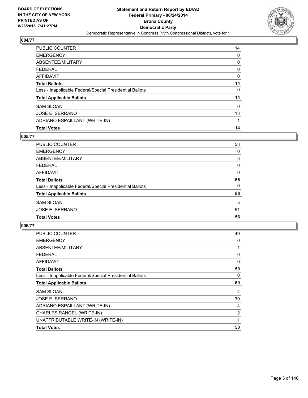

| PUBLIC COUNTER                                           | 14       |
|----------------------------------------------------------|----------|
| <b>EMERGENCY</b>                                         | 0        |
| ABSENTEE/MILITARY                                        | 0        |
| <b>FEDERAL</b>                                           | 0        |
| <b>AFFIDAVIT</b>                                         | 0        |
| <b>Total Ballots</b>                                     | 14       |
| Less - Inapplicable Federal/Special Presidential Ballots | 0        |
| <b>Total Applicable Ballots</b>                          | 14       |
| <b>SAM SLOAN</b>                                         | $\Omega$ |
| <b>JOSE E. SERRANO</b>                                   | 13       |
| ADRIANO ESPAILLANT (WRITE-IN)                            |          |
| <b>Total Votes</b>                                       | 14       |

# **005/77**

| PUBLIC COUNTER                                           | 53 |
|----------------------------------------------------------|----|
| <b>EMERGENCY</b>                                         | 0  |
| ABSENTEE/MILITARY                                        | 3  |
| <b>FEDERAL</b>                                           | 0  |
| <b>AFFIDAVIT</b>                                         | 0  |
| <b>Total Ballots</b>                                     | 56 |
| Less - Inapplicable Federal/Special Presidential Ballots | 0  |
| <b>Total Applicable Ballots</b>                          | 56 |
| <b>SAM SLOAN</b>                                         | 5  |
| <b>JOSE E. SERRANO</b>                                   | 51 |
| <b>Total Votes</b>                                       | 56 |
|                                                          |    |

| <b>PUBLIC COUNTER</b>                                    | 49 |
|----------------------------------------------------------|----|
| <b>EMERGENCY</b>                                         | 0  |
| ABSENTEE/MILITARY                                        | 1  |
| <b>FEDERAL</b>                                           | 0  |
| AFFIDAVIT                                                | 0  |
| <b>Total Ballots</b>                                     | 50 |
| Less - Inapplicable Federal/Special Presidential Ballots | 0  |
| <b>Total Applicable Ballots</b>                          | 50 |
| <b>SAM SLOAN</b>                                         | 4  |
| JOSE E. SERRANO                                          | 39 |
| ADRIANO ESPAILLANT (WRITE-IN)                            | 4  |
| CHARLES RANGEL (WRITE-IN)                                | 2  |
| UNATTRIBUTABLE WRITE-IN (WRITE-IN)                       | 1  |
| <b>Total Votes</b>                                       | 50 |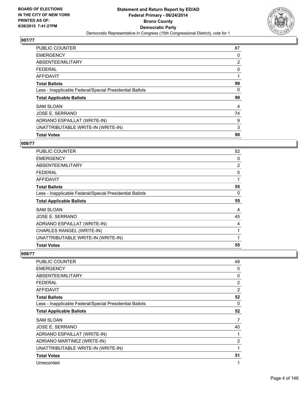

| <b>PUBLIC COUNTER</b>                                    | 87             |
|----------------------------------------------------------|----------------|
| <b>EMERGENCY</b>                                         | 0              |
| ABSENTEE/MILITARY                                        | $\overline{2}$ |
| <b>FEDERAL</b>                                           | 0              |
| <b>AFFIDAVIT</b>                                         |                |
| <b>Total Ballots</b>                                     | 90             |
| Less - Inapplicable Federal/Special Presidential Ballots | 0              |
| <b>Total Applicable Ballots</b>                          | 90             |
| <b>SAM SLOAN</b>                                         | 4              |
| JOSE E. SERRANO                                          | 74             |
| ADRIANO ESPAILLAT (WRITE-IN)                             | 9              |
| UNATTRIBUTABLE WRITE-IN (WRITE-IN)                       | 3              |
| <b>Total Votes</b>                                       | 90             |

#### **008/77**

| <b>PUBLIC COUNTER</b>                                    | 52 |
|----------------------------------------------------------|----|
| <b>EMERGENCY</b>                                         | 0  |
| ABSENTEE/MILITARY                                        | 2  |
| <b>FEDERAL</b>                                           | 0  |
| AFFIDAVIT                                                | 1  |
| <b>Total Ballots</b>                                     | 55 |
| Less - Inapplicable Federal/Special Presidential Ballots | 0  |
| <b>Total Applicable Ballots</b>                          | 55 |
| <b>SAM SLOAN</b>                                         | 4  |
| <b>JOSE E. SERRANO</b>                                   | 45 |
| ADRIANO ESPAILLAT (WRITE-IN)                             | 4  |
| CHARLES RANGEL (WRITE-IN)                                | 1  |
| UNATTRIBUTABLE WRITE-IN (WRITE-IN)                       | 1  |
| <b>Total Votes</b>                                       | 55 |

| <b>PUBLIC COUNTER</b>                                    | 48             |
|----------------------------------------------------------|----------------|
| <b>EMERGENCY</b>                                         | 0              |
| ABSENTEE/MILITARY                                        | 0              |
| <b>FEDERAL</b>                                           | 2              |
| AFFIDAVIT                                                | $\overline{2}$ |
| <b>Total Ballots</b>                                     | 52             |
| Less - Inapplicable Federal/Special Presidential Ballots | 0              |
| <b>Total Applicable Ballots</b>                          | 52             |
| <b>SAM SLOAN</b>                                         | 7              |
| JOSE E. SERRANO                                          | 40             |
| ADRIANO ESPAILLAT (WRITE-IN)                             | 1              |
| ADRIANO MARTINEZ (WRITE-IN)                              | $\overline{2}$ |
| UNATTRIBUTABLE WRITE-IN (WRITE-IN)                       | 1              |
| <b>Total Votes</b>                                       | 51             |
| Unrecorded                                               | 1              |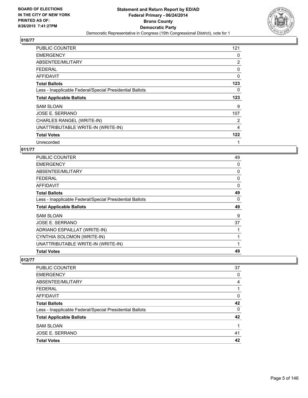

| <b>PUBLIC COUNTER</b>                                    | 121 |
|----------------------------------------------------------|-----|
| <b>EMERGENCY</b>                                         | 0   |
| ABSENTEE/MILITARY                                        | 2   |
| <b>FEDERAL</b>                                           | 0   |
| AFFIDAVIT                                                | 0   |
| <b>Total Ballots</b>                                     | 123 |
| Less - Inapplicable Federal/Special Presidential Ballots | 0   |
| <b>Total Applicable Ballots</b>                          | 123 |
| <b>SAM SLOAN</b>                                         | 9   |
| JOSE E. SERRANO                                          | 107 |
| CHARLES RANGEL (WRITE-IN)                                | 2   |
| UNATTRIBUTABLE WRITE-IN (WRITE-IN)                       | 4   |
| <b>Total Votes</b>                                       | 122 |
| Unrecorded                                               |     |

#### **011/77**

| <b>PUBLIC COUNTER</b>                                    | 49 |
|----------------------------------------------------------|----|
| <b>EMERGENCY</b>                                         | 0  |
| ABSENTEE/MILITARY                                        | 0  |
| <b>FEDERAL</b>                                           | 0  |
| AFFIDAVIT                                                | 0  |
| <b>Total Ballots</b>                                     | 49 |
| Less - Inapplicable Federal/Special Presidential Ballots | 0  |
| <b>Total Applicable Ballots</b>                          | 49 |
| <b>SAM SLOAN</b>                                         | 9  |
| JOSE E. SERRANO                                          | 37 |
| ADRIANO ESPAILLAT (WRITE-IN)                             | 1  |
| CYNTHIA SOLOMON (WRITE-IN)                               |    |
| UNATTRIBUTABLE WRITE-IN (WRITE-IN)                       | 1  |
| <b>Total Votes</b>                                       | 49 |

| <b>PUBLIC COUNTER</b>                                    | 37       |
|----------------------------------------------------------|----------|
| <b>EMERGENCY</b>                                         | 0        |
| ABSENTEE/MILITARY                                        | 4        |
| <b>FEDERAL</b>                                           |          |
| AFFIDAVIT                                                | 0        |
| <b>Total Ballots</b>                                     | 42       |
| Less - Inapplicable Federal/Special Presidential Ballots | $\Omega$ |
| <b>Total Applicable Ballots</b>                          | 42       |
| <b>SAM SLOAN</b>                                         |          |
| JOSE E. SERRANO                                          | 41       |
| <b>Total Votes</b>                                       | 42       |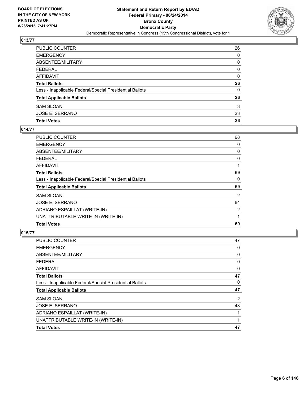

| PUBLIC COUNTER                                           | 26 |
|----------------------------------------------------------|----|
| EMERGENCY                                                | 0  |
| ABSENTEE/MILITARY                                        | 0  |
| FEDERAL                                                  | 0  |
| AFFIDAVIT                                                | 0  |
| Total Ballots                                            | 26 |
| Less - Inapplicable Federal/Special Presidential Ballots | 0  |
| <b>Total Applicable Ballots</b>                          | 26 |
| SAM SLOAN                                                | 3  |
| JOSE E. SERRANO                                          | 23 |
| <b>Total Votes</b>                                       | 26 |

## **014/77**

| <b>Total Votes</b>                                       | 69             |
|----------------------------------------------------------|----------------|
| UNATTRIBUTABLE WRITE-IN (WRITE-IN)                       | 1              |
| ADRIANO ESPAILLAT (WRITE-IN)                             | 2              |
| JOSE E. SERRANO                                          | 64             |
| <b>SAM SLOAN</b>                                         | $\overline{2}$ |
| <b>Total Applicable Ballots</b>                          | 69             |
| Less - Inapplicable Federal/Special Presidential Ballots | 0              |
| <b>Total Ballots</b>                                     | 69             |
| <b>AFFIDAVIT</b>                                         | 1              |
| <b>FEDERAL</b>                                           | 0              |
| ABSENTEE/MILITARY                                        | 0              |
| <b>EMERGENCY</b>                                         | 0              |
| PUBLIC COUNTER                                           | 68             |

| <b>PUBLIC COUNTER</b>                                    | 47 |
|----------------------------------------------------------|----|
| <b>EMERGENCY</b>                                         | 0  |
| ABSENTEE/MILITARY                                        | 0  |
| <b>FEDERAL</b>                                           | 0  |
| <b>AFFIDAVIT</b>                                         | 0  |
| <b>Total Ballots</b>                                     | 47 |
| Less - Inapplicable Federal/Special Presidential Ballots | 0  |
| <b>Total Applicable Ballots</b>                          | 47 |
| <b>SAM SLOAN</b>                                         | 2  |
| JOSE E. SERRANO                                          | 43 |
| ADRIANO ESPAILLAT (WRITE-IN)                             |    |
| UNATTRIBUTABLE WRITE-IN (WRITE-IN)                       | 1  |
| <b>Total Votes</b>                                       | 47 |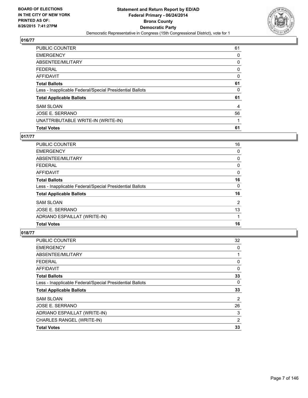

| PUBLIC COUNTER                                           | 61 |
|----------------------------------------------------------|----|
| <b>EMERGENCY</b>                                         | 0  |
| ABSENTEE/MILITARY                                        | 0  |
| <b>FEDERAL</b>                                           | 0  |
| <b>AFFIDAVIT</b>                                         | 0  |
| <b>Total Ballots</b>                                     | 61 |
| Less - Inapplicable Federal/Special Presidential Ballots | 0  |
| <b>Total Applicable Ballots</b>                          | 61 |
| <b>SAM SLOAN</b>                                         | 4  |
| <b>JOSE E. SERRANO</b>                                   | 56 |
| UNATTRIBUTABLE WRITE-IN (WRITE-IN)                       |    |
| <b>Total Votes</b>                                       | 61 |

# **017/77**

| 16             |
|----------------|
| 0              |
| 0              |
| 0              |
| 0              |
| 16             |
| $\Omega$       |
| 16             |
| $\overline{2}$ |
| 13             |
|                |
| 16             |
|                |

| <b>Total Votes</b>                                       | 33             |
|----------------------------------------------------------|----------------|
| CHARLES RANGEL (WRITE-IN)                                | 2              |
| ADRIANO ESPAILLAT (WRITE-IN)                             | 3              |
| JOSE E. SERRANO                                          | 26             |
| <b>SAM SLOAN</b>                                         | $\overline{2}$ |
| <b>Total Applicable Ballots</b>                          | 33             |
| Less - Inapplicable Federal/Special Presidential Ballots | 0              |
| <b>Total Ballots</b>                                     | 33             |
| <b>AFFIDAVIT</b>                                         | 0              |
| <b>FEDERAL</b>                                           | 0              |
| ABSENTEE/MILITARY                                        | 1              |
| <b>EMERGENCY</b>                                         | 0              |
| PUBLIC COUNTER                                           | 32             |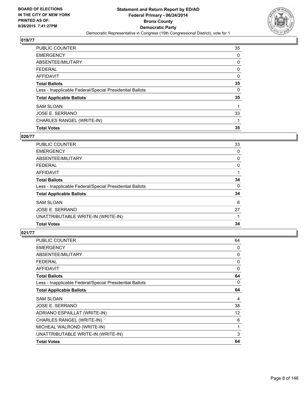

| PUBLIC COUNTER                                           | 35 |
|----------------------------------------------------------|----|
| <b>EMERGENCY</b>                                         | 0  |
| ABSENTEE/MILITARY                                        | 0  |
| <b>FEDERAL</b>                                           | 0  |
| <b>AFFIDAVIT</b>                                         | 0  |
| <b>Total Ballots</b>                                     | 35 |
| Less - Inapplicable Federal/Special Presidential Ballots | 0  |
| <b>Total Applicable Ballots</b>                          | 35 |
| <b>SAM SLOAN</b>                                         |    |
| <b>JOSE E. SERRANO</b>                                   | 33 |
| CHARLES RANGEL (WRITE-IN)                                |    |
| <b>Total Votes</b>                                       | 35 |

#### **020/77**

| 33 |
|----|
| 0  |
| 0  |
| 0  |
|    |
| 34 |
| 0  |
| 34 |
| 6  |
| 27 |
|    |
| 34 |
|    |

| <b>PUBLIC COUNTER</b>                                    | 64 |
|----------------------------------------------------------|----|
| <b>EMERGENCY</b>                                         | 0  |
| ABSENTEE/MILITARY                                        | 0  |
| <b>FEDERAL</b>                                           | 0  |
| <b>AFFIDAVIT</b>                                         | 0  |
| <b>Total Ballots</b>                                     | 64 |
| Less - Inapplicable Federal/Special Presidential Ballots | 0  |
| <b>Total Applicable Ballots</b>                          | 64 |
| <b>SAM SLOAN</b>                                         | 4  |
| JOSE E. SERRANO                                          | 38 |
| ADRIANO ESPAILLAT (WRITE-IN)                             | 12 |
| CHARLES RANGEL (WRITE-IN)                                | 6  |
| MICHEAL WALROND (WRITE-IN)                               | 1  |
| UNATTRIBUTABLE WRITE-IN (WRITE-IN)                       | 3  |
| <b>Total Votes</b>                                       | 64 |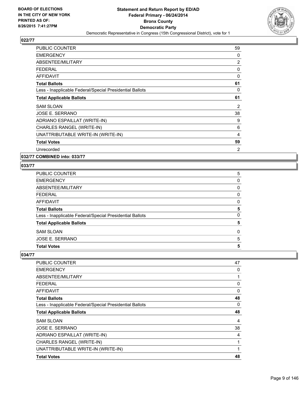

| <b>PUBLIC COUNTER</b>                                    | 59 |
|----------------------------------------------------------|----|
| <b>EMERGENCY</b>                                         | 0  |
| ABSENTEE/MILITARY                                        | 2  |
| <b>FEDERAL</b>                                           | 0  |
| <b>AFFIDAVIT</b>                                         | 0  |
| <b>Total Ballots</b>                                     | 61 |
| Less - Inapplicable Federal/Special Presidential Ballots | 0  |
| <b>Total Applicable Ballots</b>                          | 61 |
| <b>SAM SLOAN</b>                                         | 2  |
| JOSE E. SERRANO                                          | 38 |
| ADRIANO ESPAILLAT (WRITE-IN)                             | 9  |
| CHARLES RANGEL (WRITE-IN)                                | 6  |
| UNATTRIBUTABLE WRITE-IN (WRITE-IN)                       | 4  |
| <b>Total Votes</b>                                       | 59 |
| Unrecorded                                               | 2  |

# **032/77 COMBINED into: 033/77**

## **033/77**

| PUBLIC COUNTER                                           | 5 |
|----------------------------------------------------------|---|
| <b>EMERGENCY</b>                                         | 0 |
| ABSENTEE/MILITARY                                        | 0 |
| FEDERAL                                                  | 0 |
| AFFIDAVIT                                                | 0 |
| <b>Total Ballots</b>                                     | 5 |
| Less - Inapplicable Federal/Special Presidential Ballots | 0 |
| <b>Total Applicable Ballots</b>                          | 5 |
| SAM SLOAN                                                | 0 |
| JOSE E. SERRANO                                          | 5 |
| <b>Total Votes</b>                                       | 5 |
|                                                          |   |

| <b>PUBLIC COUNTER</b>                                    | 47 |
|----------------------------------------------------------|----|
| <b>EMERGENCY</b>                                         | 0  |
| ABSENTEE/MILITARY                                        | 1  |
| <b>FEDERAL</b>                                           | 0  |
| AFFIDAVIT                                                | 0  |
| <b>Total Ballots</b>                                     | 48 |
| Less - Inapplicable Federal/Special Presidential Ballots | 0  |
| <b>Total Applicable Ballots</b>                          | 48 |
| <b>SAM SLOAN</b>                                         | 4  |
| JOSE E. SERRANO                                          | 38 |
| ADRIANO ESPAILLAT (WRITE-IN)                             | 4  |
| CHARLES RANGEL (WRITE-IN)                                | 1  |
| UNATTRIBUTABLE WRITE-IN (WRITE-IN)                       | 1  |
| <b>Total Votes</b>                                       | 48 |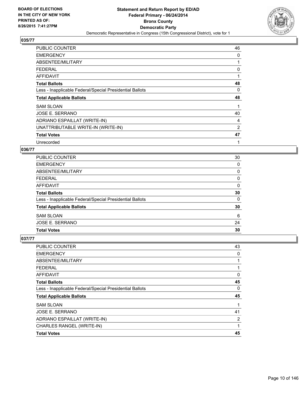

| <b>PUBLIC COUNTER</b>                                    | 46 |
|----------------------------------------------------------|----|
| <b>EMERGENCY</b>                                         | 0  |
| ABSENTEE/MILITARY                                        |    |
| <b>FEDERAL</b>                                           | 0  |
| <b>AFFIDAVIT</b>                                         |    |
| <b>Total Ballots</b>                                     | 48 |
| Less - Inapplicable Federal/Special Presidential Ballots | 0  |
| <b>Total Applicable Ballots</b>                          | 48 |
| <b>SAM SLOAN</b>                                         |    |
| <b>JOSE E. SERRANO</b>                                   | 40 |
| ADRIANO ESPAILLAT (WRITE-IN)                             | 4  |
| UNATTRIBUTABLE WRITE-IN (WRITE-IN)                       | 2  |
| <b>Total Votes</b>                                       | 47 |
| Unrecorded                                               |    |

#### **036/77**

| <b>PUBLIC COUNTER</b>                                    | 30       |
|----------------------------------------------------------|----------|
| <b>EMERGENCY</b>                                         | 0        |
| ABSENTEE/MILITARY                                        | 0        |
| <b>FEDERAL</b>                                           | 0        |
| AFFIDAVIT                                                | 0        |
| <b>Total Ballots</b>                                     | 30       |
| Less - Inapplicable Federal/Special Presidential Ballots | $\Omega$ |
| <b>Total Applicable Ballots</b>                          | 30       |
| <b>SAM SLOAN</b>                                         | 6        |
| JOSE E. SERRANO                                          | 24       |
| <b>Total Votes</b>                                       | 30       |

| <b>PUBLIC COUNTER</b>                                    | 43 |
|----------------------------------------------------------|----|
| <b>EMERGENCY</b>                                         | 0  |
| ABSENTEE/MILITARY                                        |    |
| <b>FEDERAL</b>                                           |    |
| <b>AFFIDAVIT</b>                                         | 0  |
| <b>Total Ballots</b>                                     | 45 |
| Less - Inapplicable Federal/Special Presidential Ballots | 0  |
| <b>Total Applicable Ballots</b>                          | 45 |
| <b>SAM SLOAN</b>                                         |    |
| JOSE E. SERRANO                                          | 41 |
| ADRIANO ESPAILLAT (WRITE-IN)                             | 2  |
| CHARLES RANGEL (WRITE-IN)                                | 1  |
| <b>Total Votes</b>                                       | 45 |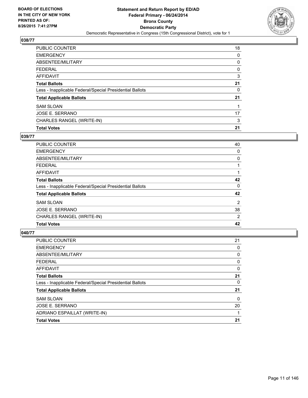

| PUBLIC COUNTER                                           | 18 |
|----------------------------------------------------------|----|
| <b>EMERGENCY</b>                                         | 0  |
| ABSENTEE/MILITARY                                        | 0  |
| <b>FEDERAL</b>                                           | 0  |
| <b>AFFIDAVIT</b>                                         | 3  |
| <b>Total Ballots</b>                                     | 21 |
| Less - Inapplicable Federal/Special Presidential Ballots | 0  |
| <b>Total Applicable Ballots</b>                          | 21 |
| <b>SAM SLOAN</b>                                         |    |
| JOSE E. SERRANO                                          | 17 |
| CHARLES RANGEL (WRITE-IN)                                | 3  |
| <b>Total Votes</b>                                       | 21 |

#### **039/77**

| <b>PUBLIC COUNTER</b>                                    | 40 |
|----------------------------------------------------------|----|
| <b>EMERGENCY</b>                                         | 0  |
| ABSENTEE/MILITARY                                        | 0  |
| <b>FEDERAL</b>                                           |    |
| AFFIDAVIT                                                |    |
| <b>Total Ballots</b>                                     | 42 |
| Less - Inapplicable Federal/Special Presidential Ballots | 0  |
| <b>Total Applicable Ballots</b>                          | 42 |
| <b>SAM SLOAN</b>                                         | 2  |
| JOSE E. SERRANO                                          | 38 |
| CHARLES RANGEL (WRITE-IN)                                | 2  |
| <b>Total Votes</b>                                       | 42 |
|                                                          |    |

| <b>PUBLIC COUNTER</b>                                    | 21 |
|----------------------------------------------------------|----|
| <b>EMERGENCY</b>                                         | 0  |
| ABSENTEE/MILITARY                                        | 0  |
| <b>FEDERAL</b>                                           | 0  |
| AFFIDAVIT                                                | 0  |
| <b>Total Ballots</b>                                     | 21 |
| Less - Inapplicable Federal/Special Presidential Ballots | 0  |
| <b>Total Applicable Ballots</b>                          | 21 |
| <b>SAM SLOAN</b>                                         | 0  |
| <b>JOSE E. SERRANO</b>                                   | 20 |
| ADRIANO ESPAILLAT (WRITE-IN)                             | 1  |
| <b>Total Votes</b>                                       | 21 |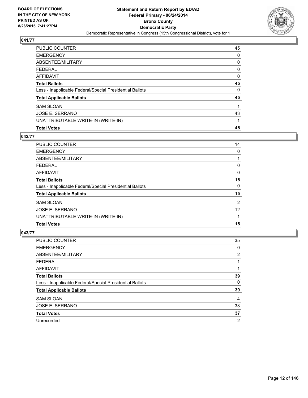

| PUBLIC COUNTER                                           | 45 |
|----------------------------------------------------------|----|
| <b>EMERGENCY</b>                                         | 0  |
| ABSENTEE/MILITARY                                        | 0  |
| <b>FEDERAL</b>                                           | 0  |
| <b>AFFIDAVIT</b>                                         | 0  |
| <b>Total Ballots</b>                                     | 45 |
| Less - Inapplicable Federal/Special Presidential Ballots | 0  |
| <b>Total Applicable Ballots</b>                          | 45 |
| <b>SAM SLOAN</b>                                         | 1  |
| <b>JOSE E. SERRANO</b>                                   | 43 |
| UNATTRIBUTABLE WRITE-IN (WRITE-IN)                       | 1  |
| <b>Total Votes</b>                                       | 45 |

#### **042/77**

| <b>PUBLIC COUNTER</b>                                    | 14             |
|----------------------------------------------------------|----------------|
| <b>EMERGENCY</b>                                         | 0              |
| ABSENTEE/MILITARY                                        |                |
| <b>FEDERAL</b>                                           | 0              |
| AFFIDAVIT                                                | $\Omega$       |
| <b>Total Ballots</b>                                     | 15             |
| Less - Inapplicable Federal/Special Presidential Ballots | 0              |
| <b>Total Applicable Ballots</b>                          | 15             |
| <b>SAM SLOAN</b>                                         | $\overline{2}$ |
| <b>JOSE E. SERRANO</b>                                   | 12             |
| UNATTRIBUTABLE WRITE-IN (WRITE-IN)                       |                |
| <b>Total Votes</b>                                       | 15             |
|                                                          |                |

| PUBLIC COUNTER                                           | 35 |
|----------------------------------------------------------|----|
| <b>EMERGENCY</b>                                         | 0  |
| ABSENTEE/MILITARY                                        | 2  |
| <b>FEDERAL</b>                                           |    |
| <b>AFFIDAVIT</b>                                         |    |
| <b>Total Ballots</b>                                     | 39 |
| Less - Inapplicable Federal/Special Presidential Ballots | 0  |
| <b>Total Applicable Ballots</b>                          | 39 |
| <b>SAM SLOAN</b>                                         | 4  |
| JOSE E. SERRANO                                          | 33 |
| <b>Total Votes</b>                                       | 37 |
| Unrecorded                                               | 2  |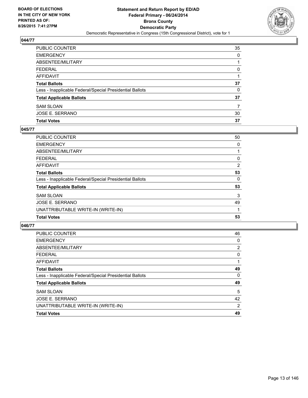

| PUBLIC COUNTER                                           | 35 |
|----------------------------------------------------------|----|
| EMERGENCY                                                | 0  |
| ABSENTEE/MILITARY                                        |    |
| FEDERAL                                                  | 0  |
| AFFIDAVIT                                                |    |
| Total Ballots                                            | 37 |
| Less - Inapplicable Federal/Special Presidential Ballots | 0  |
| <b>Total Applicable Ballots</b>                          | 37 |
| <b>SAM SLOAN</b>                                         | 7  |
| JOSE E. SERRANO                                          | 30 |
| <b>Total Votes</b>                                       | 37 |

#### **045/77**

| <b>PUBLIC COUNTER</b>                                    | 50 |
|----------------------------------------------------------|----|
| <b>EMERGENCY</b>                                         | 0  |
| ABSENTEE/MILITARY                                        |    |
| <b>FEDERAL</b>                                           | 0  |
| <b>AFFIDAVIT</b>                                         | 2  |
| <b>Total Ballots</b>                                     | 53 |
| Less - Inapplicable Federal/Special Presidential Ballots | 0  |
| <b>Total Applicable Ballots</b>                          | 53 |
| <b>SAM SLOAN</b>                                         | 3  |
| <b>JOSE E. SERRANO</b>                                   | 49 |
| UNATTRIBUTABLE WRITE-IN (WRITE-IN)                       |    |
| <b>Total Votes</b>                                       | 53 |
|                                                          |    |

| <b>PUBLIC COUNTER</b>                                    | 46 |
|----------------------------------------------------------|----|
| <b>EMERGENCY</b>                                         | 0  |
| ABSENTEE/MILITARY                                        | 2  |
| FEDERAL                                                  | 0  |
| AFFIDAVIT                                                |    |
| <b>Total Ballots</b>                                     | 49 |
| Less - Inapplicable Federal/Special Presidential Ballots | 0  |
| <b>Total Applicable Ballots</b>                          | 49 |
| <b>SAM SLOAN</b>                                         | 5  |
| <b>JOSE E. SERRANO</b>                                   | 42 |
| UNATTRIBUTABLE WRITE-IN (WRITE-IN)                       | 2  |
| <b>Total Votes</b>                                       | 49 |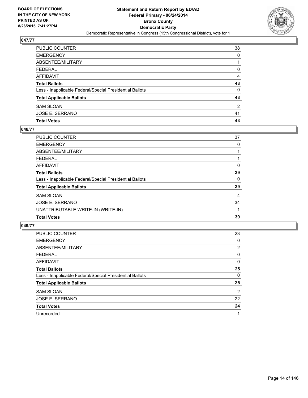

| PUBLIC COUNTER                                           | 38 |
|----------------------------------------------------------|----|
| <b>EMERGENCY</b>                                         | 0  |
| <b>ABSENTEE/MILITARY</b>                                 | 1  |
| <b>FEDERAL</b>                                           | 0  |
| AFFIDAVIT                                                | 4  |
| <b>Total Ballots</b>                                     | 43 |
| Less - Inapplicable Federal/Special Presidential Ballots | 0  |
| <b>Total Applicable Ballots</b>                          | 43 |
| <b>SAM SLOAN</b>                                         | 2  |
| JOSE E. SERRANO                                          | 41 |
| <b>Total Votes</b>                                       | 43 |

#### **048/77**

| <b>PUBLIC COUNTER</b>                                    | 37 |
|----------------------------------------------------------|----|
| <b>EMERGENCY</b>                                         | 0  |
| ABSENTEE/MILITARY                                        |    |
| <b>FEDERAL</b>                                           |    |
| <b>AFFIDAVIT</b>                                         | 0  |
| <b>Total Ballots</b>                                     | 39 |
| Less - Inapplicable Federal/Special Presidential Ballots | 0  |
| <b>Total Applicable Ballots</b>                          | 39 |
| <b>SAM SLOAN</b>                                         | 4  |
| JOSE E. SERRANO                                          | 34 |
| UNATTRIBUTABLE WRITE-IN (WRITE-IN)                       |    |
| <b>Total Votes</b>                                       | 39 |
|                                                          |    |

| <b>PUBLIC COUNTER</b>                                    | 23             |
|----------------------------------------------------------|----------------|
| <b>EMERGENCY</b>                                         | 0              |
| ABSENTEE/MILITARY                                        | $\overline{2}$ |
| <b>FEDERAL</b>                                           | 0              |
| AFFIDAVIT                                                | 0              |
| <b>Total Ballots</b>                                     | 25             |
| Less - Inapplicable Federal/Special Presidential Ballots | 0              |
| <b>Total Applicable Ballots</b>                          | 25             |
| <b>SAM SLOAN</b>                                         | $\overline{2}$ |
| JOSE E. SERRANO                                          | 22             |
| <b>Total Votes</b>                                       | 24             |
| Unrecorded                                               | 1              |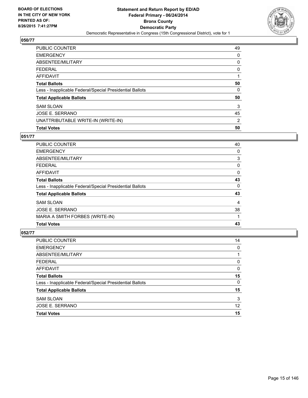

| PUBLIC COUNTER                                           | 49             |
|----------------------------------------------------------|----------------|
| <b>EMERGENCY</b>                                         | 0              |
| ABSENTEE/MILITARY                                        | 0              |
| <b>FEDERAL</b>                                           | 0              |
| <b>AFFIDAVIT</b>                                         |                |
| <b>Total Ballots</b>                                     | 50             |
| Less - Inapplicable Federal/Special Presidential Ballots | 0              |
| <b>Total Applicable Ballots</b>                          | 50             |
| <b>SAM SLOAN</b>                                         | 3              |
| <b>JOSE E. SERRANO</b>                                   | 45             |
| UNATTRIBUTABLE WRITE-IN (WRITE-IN)                       | $\overline{2}$ |
| <b>Total Votes</b>                                       | 50             |

## **051/77**

| <b>PUBLIC COUNTER</b>                                    | 40 |
|----------------------------------------------------------|----|
| <b>EMERGENCY</b>                                         | 0  |
| ABSENTEE/MILITARY                                        | 3  |
| FEDERAL                                                  | 0  |
| <b>AFFIDAVIT</b>                                         | 0  |
| <b>Total Ballots</b>                                     | 43 |
| Less - Inapplicable Federal/Special Presidential Ballots | 0  |
| <b>Total Applicable Ballots</b>                          | 43 |
| <b>SAM SLOAN</b>                                         | 4  |
| JOSE E. SERRANO                                          | 38 |
| MARIA A SMITH FORBES (WRITE-IN)                          |    |
| <b>Total Votes</b>                                       | 43 |
|                                                          |    |

| <b>PUBLIC COUNTER</b>                                    | 14 |
|----------------------------------------------------------|----|
| <b>EMERGENCY</b>                                         | 0  |
| ABSENTEE/MILITARY                                        |    |
| <b>FEDERAL</b>                                           | 0  |
| <b>AFFIDAVIT</b>                                         | 0  |
| <b>Total Ballots</b>                                     | 15 |
| Less - Inapplicable Federal/Special Presidential Ballots | 0  |
| <b>Total Applicable Ballots</b>                          | 15 |
| <b>SAM SLOAN</b>                                         | 3  |
| <b>JOSE E. SERRANO</b>                                   | 12 |
| <b>Total Votes</b>                                       | 15 |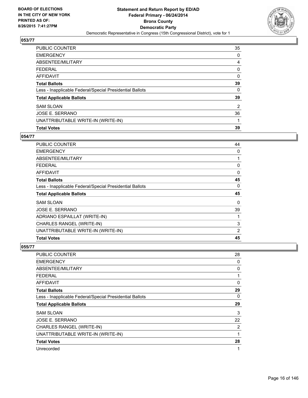

| PUBLIC COUNTER                                           | 35 |
|----------------------------------------------------------|----|
| <b>EMERGENCY</b>                                         | 0  |
| ABSENTEE/MILITARY                                        | 4  |
| <b>FEDERAL</b>                                           | 0  |
| <b>AFFIDAVIT</b>                                         | 0  |
| <b>Total Ballots</b>                                     | 39 |
| Less - Inapplicable Federal/Special Presidential Ballots | 0  |
| <b>Total Applicable Ballots</b>                          | 39 |
| <b>SAM SLOAN</b>                                         | 2  |
| JOSE E. SERRANO                                          | 36 |
| UNATTRIBUTABLE WRITE-IN (WRITE-IN)                       |    |
| <b>Total Votes</b>                                       | 39 |

## **054/77**

| <b>PUBLIC COUNTER</b>                                    | 44 |
|----------------------------------------------------------|----|
| <b>EMERGENCY</b>                                         | 0  |
| ABSENTEE/MILITARY                                        |    |
| <b>FEDERAL</b>                                           | 0  |
| AFFIDAVIT                                                | 0  |
| <b>Total Ballots</b>                                     | 45 |
| Less - Inapplicable Federal/Special Presidential Ballots | 0  |
| <b>Total Applicable Ballots</b>                          | 45 |
| <b>SAM SLOAN</b>                                         | 0  |
| JOSE E. SERRANO                                          | 39 |
| ADRIANO ESPAILLAT (WRITE-IN)                             |    |
| CHARLES RANGEL (WRITE-IN)                                | 3  |
| UNATTRIBUTABLE WRITE-IN (WRITE-IN)                       | 2  |
| <b>Total Votes</b>                                       | 45 |
|                                                          |    |

| PUBLIC COUNTER                                           | 28 |
|----------------------------------------------------------|----|
| <b>EMERGENCY</b>                                         | 0  |
| ABSENTEE/MILITARY                                        | 0  |
| <b>FEDERAL</b>                                           | 1  |
| <b>AFFIDAVIT</b>                                         | 0  |
| <b>Total Ballots</b>                                     | 29 |
| Less - Inapplicable Federal/Special Presidential Ballots | 0  |
| <b>Total Applicable Ballots</b>                          | 29 |
| <b>SAM SLOAN</b>                                         | 3  |
| JOSE E. SERRANO                                          | 22 |
| CHARLES RANGEL (WRITE-IN)                                | 2  |
| UNATTRIBUTABLE WRITE-IN (WRITE-IN)                       | 1  |
| <b>Total Votes</b>                                       | 28 |
| Unrecorded                                               | 1  |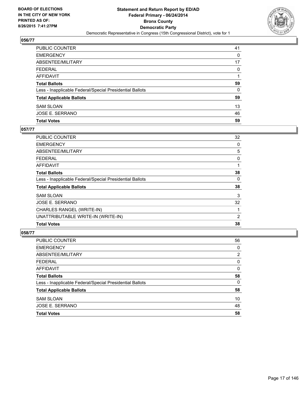

| PUBLIC COUNTER                                           | 41       |
|----------------------------------------------------------|----------|
| <b>EMERGENCY</b>                                         | 0        |
| <b>ABSENTEE/MILITARY</b>                                 | 17       |
| <b>FEDERAL</b>                                           | $\Omega$ |
| AFFIDAVIT                                                |          |
| <b>Total Ballots</b>                                     | 59       |
| Less - Inapplicable Federal/Special Presidential Ballots | $\Omega$ |
| <b>Total Applicable Ballots</b>                          | 59       |
| <b>SAM SLOAN</b>                                         | 13       |
| JOSE E. SERRANO                                          | 46       |
| <b>Total Votes</b>                                       | 59       |

#### **057/77**

| PUBLIC COUNTER                                           | 32       |
|----------------------------------------------------------|----------|
| <b>EMERGENCY</b>                                         | 0        |
| ABSENTEE/MILITARY                                        | 5        |
| <b>FEDERAL</b>                                           | 0        |
| AFFIDAVIT                                                | 1        |
| <b>Total Ballots</b>                                     | 38       |
| Less - Inapplicable Federal/Special Presidential Ballots | $\Omega$ |
| <b>Total Applicable Ballots</b>                          | 38       |
| <b>SAM SLOAN</b>                                         | 3        |
| JOSE E. SERRANO                                          | 32       |
| CHARLES RANGEL (WRITE-IN)                                |          |
| UNATTRIBUTABLE WRITE-IN (WRITE-IN)                       | 2        |
| <b>Total Votes</b>                                       | 38       |
|                                                          |          |

| PUBLIC COUNTER                                           | 56 |
|----------------------------------------------------------|----|
| <b>EMERGENCY</b>                                         | 0  |
| ABSENTEE/MILITARY                                        | 2  |
| <b>FEDERAL</b>                                           | 0  |
| <b>AFFIDAVIT</b>                                         | 0  |
| <b>Total Ballots</b>                                     | 58 |
| Less - Inapplicable Federal/Special Presidential Ballots | 0  |
| <b>Total Applicable Ballots</b>                          | 58 |
| <b>SAM SLOAN</b>                                         | 10 |
| JOSE E. SERRANO                                          | 48 |
| <b>Total Votes</b>                                       | 58 |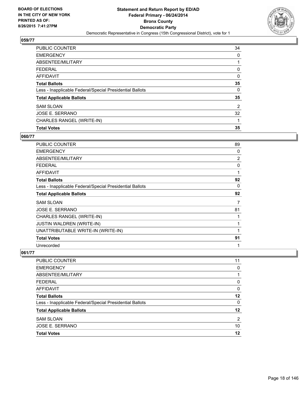

| PUBLIC COUNTER                                           | 34 |
|----------------------------------------------------------|----|
| <b>EMERGENCY</b>                                         | 0  |
| ABSENTEE/MILITARY                                        |    |
| <b>FEDERAL</b>                                           | 0  |
| <b>AFFIDAVIT</b>                                         | 0  |
| <b>Total Ballots</b>                                     | 35 |
| Less - Inapplicable Federal/Special Presidential Ballots | 0  |
| <b>Total Applicable Ballots</b>                          | 35 |
| <b>SAM SLOAN</b>                                         | 2  |
| <b>JOSE E. SERRANO</b>                                   | 32 |
| CHARLES RANGEL (WRITE-IN)                                |    |
| <b>Total Votes</b>                                       | 35 |

#### **060/77**

| PUBLIC COUNTER                                           | 89             |
|----------------------------------------------------------|----------------|
| <b>EMERGENCY</b>                                         | 0              |
| ABSENTEE/MILITARY                                        | $\overline{2}$ |
| FEDERAL                                                  | 0              |
| AFFIDAVIT                                                | 1              |
| <b>Total Ballots</b>                                     | 92             |
| Less - Inapplicable Federal/Special Presidential Ballots | 0              |
| <b>Total Applicable Ballots</b>                          | 92             |
| SAM SLOAN                                                | 7              |
| JOSE E. SERRANO                                          | 81             |
| CHARLES RANGEL (WRITE-IN)                                | 1              |
| JUSTIN WALDREN (WRITE-IN)                                | 1              |
| UNATTRIBUTABLE WRITE-IN (WRITE-IN)                       | 1              |
| <b>Total Votes</b>                                       | 91             |
| Unrecorded                                               | 1              |

| PUBLIC COUNTER                                           | 11 |
|----------------------------------------------------------|----|
| <b>EMERGENCY</b>                                         | 0  |
| ABSENTEE/MILITARY                                        |    |
| <b>FEDERAL</b>                                           | 0  |
| <b>AFFIDAVIT</b>                                         | 0  |
| <b>Total Ballots</b>                                     | 12 |
| Less - Inapplicable Federal/Special Presidential Ballots | 0  |
| <b>Total Applicable Ballots</b>                          | 12 |
| <b>SAM SLOAN</b>                                         | 2  |
| <b>JOSE E. SERRANO</b>                                   | 10 |
| <b>Total Votes</b>                                       | 12 |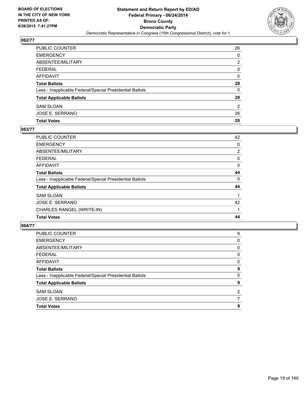

| PUBLIC COUNTER                                           | 26 |
|----------------------------------------------------------|----|
| EMERGENCY                                                | 0  |
| ABSENTEE/MILITARY                                        | 2  |
| FEDERAL                                                  | 0  |
| AFFIDAVIT                                                | 0  |
| Total Ballots                                            | 28 |
| Less - Inapplicable Federal/Special Presidential Ballots | 0  |
| <b>Total Applicable Ballots</b>                          | 28 |
| SAM SLOAN                                                | 2  |
| JOSE E. SERRANO                                          | 26 |
| <b>Total Votes</b>                                       | 28 |

#### **063/77**

| PUBLIC COUNTER                                           | 42             |
|----------------------------------------------------------|----------------|
| <b>EMERGENCY</b>                                         | 0              |
| ABSENTEE/MILITARY                                        | $\overline{2}$ |
| <b>FEDERAL</b>                                           | 0              |
| <b>AFFIDAVIT</b>                                         | 0              |
| <b>Total Ballots</b>                                     | 44             |
| Less - Inapplicable Federal/Special Presidential Ballots | 0              |
| <b>Total Applicable Ballots</b>                          | 44             |
| <b>SAM SLOAN</b>                                         |                |
| JOSE E. SERRANO                                          | 42             |
| CHARLES RANGEL (WRITE-IN)                                |                |
| <b>Total Votes</b>                                       | 44             |
|                                                          |                |

| <b>PUBLIC COUNTER</b>                                    | 9              |
|----------------------------------------------------------|----------------|
| <b>EMERGENCY</b>                                         | 0              |
| ABSENTEE/MILITARY                                        | 0              |
| <b>FEDERAL</b>                                           | 0              |
| AFFIDAVIT                                                | 0              |
| <b>Total Ballots</b>                                     | 9              |
| Less - Inapplicable Federal/Special Presidential Ballots | 0              |
| <b>Total Applicable Ballots</b>                          | 9              |
| <b>SAM SLOAN</b>                                         | $\overline{2}$ |
| JOSE E. SERRANO                                          |                |
| <b>Total Votes</b>                                       | 9              |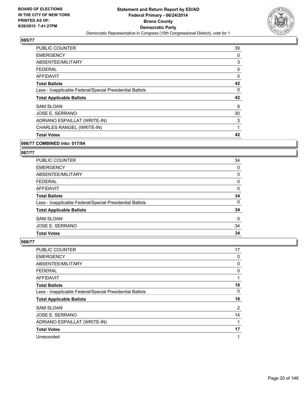

| <b>Total Votes</b>                                       | 42 |
|----------------------------------------------------------|----|
| CHARLES RANGEL (WRITE-IN)                                | 1  |
| ADRIANO ESPAILLAT (WRITE-IN)                             | 3  |
| JOSE E. SERRANO                                          | 30 |
| <b>SAM SLOAN</b>                                         | 8  |
| <b>Total Applicable Ballots</b>                          | 42 |
| Less - Inapplicable Federal/Special Presidential Ballots | 0  |
| <b>Total Ballots</b>                                     | 42 |
| AFFIDAVIT                                                | 0  |
| <b>FEDERAL</b>                                           | 0  |
| ABSENTEE/MILITARY                                        | 3  |
| <b>EMERGENCY</b>                                         | 0  |
| PUBLIC COUNTER                                           | 39 |

## **066/77 COMBINED into: 017/84**

#### **067/77**

| PUBLIC COUNTER                                           | 34 |
|----------------------------------------------------------|----|
| <b>EMERGENCY</b>                                         | 0  |
| ABSENTEE/MILITARY                                        | 0  |
| <b>FEDERAL</b>                                           | 0  |
| AFFIDAVIT                                                | 0  |
| <b>Total Ballots</b>                                     | 34 |
| Less - Inapplicable Federal/Special Presidential Ballots | 0  |
| <b>Total Applicable Ballots</b>                          | 34 |
| <b>SAM SLOAN</b>                                         | 0  |
| <b>JOSE E. SERRANO</b>                                   | 34 |
| <b>Total Votes</b>                                       | 34 |

| PUBLIC COUNTER                                           | 17 |
|----------------------------------------------------------|----|
| <b>EMERGENCY</b>                                         | 0  |
| ABSENTEE/MILITARY                                        | 0  |
| <b>FEDERAL</b>                                           | 0  |
| AFFIDAVIT                                                | 1  |
| <b>Total Ballots</b>                                     | 18 |
| Less - Inapplicable Federal/Special Presidential Ballots | 0  |
| <b>Total Applicable Ballots</b>                          | 18 |
| <b>SAM SLOAN</b>                                         | 2  |
| JOSE E. SERRANO                                          | 14 |
| ADRIANO ESPAILLAT (WRITE-IN)                             | 1  |
| <b>Total Votes</b>                                       | 17 |
| Unrecorded                                               | 1  |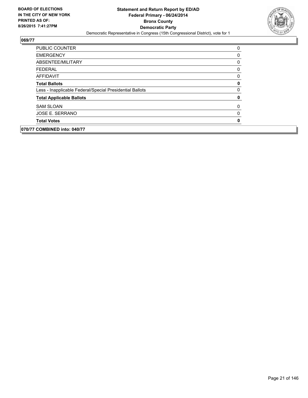

| <b>PUBLIC COUNTER</b>                                    | 0           |
|----------------------------------------------------------|-------------|
| <b>EMERGENCY</b>                                         | 0           |
| ABSENTEE/MILITARY                                        | 0           |
| <b>FEDERAL</b>                                           | 0           |
| AFFIDAVIT                                                | 0           |
| <b>Total Ballots</b>                                     | $\mathbf 0$ |
| Less - Inapplicable Federal/Special Presidential Ballots | 0           |
| <b>Total Applicable Ballots</b>                          | $\mathbf 0$ |
| <b>SAM SLOAN</b>                                         | 0           |
| <b>JOSE E. SERRANO</b>                                   | 0           |
| <b>Total Votes</b>                                       | 0           |
| 070/77 COMBINED into: 040/77                             |             |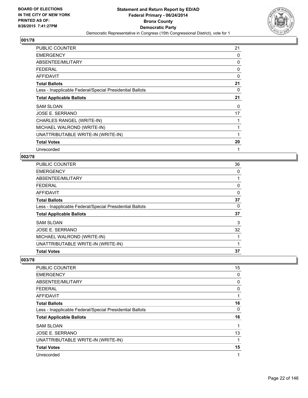

| <b>PUBLIC COUNTER</b>                                    | 21 |
|----------------------------------------------------------|----|
| <b>EMERGENCY</b>                                         | 0  |
| ABSENTEE/MILITARY                                        | 0  |
| <b>FEDERAL</b>                                           | 0  |
| <b>AFFIDAVIT</b>                                         | 0  |
| <b>Total Ballots</b>                                     | 21 |
| Less - Inapplicable Federal/Special Presidential Ballots | 0  |
| <b>Total Applicable Ballots</b>                          | 21 |
| <b>SAM SLOAN</b>                                         | 0  |
| JOSE E. SERRANO                                          | 17 |
| CHARLES RANGEL (WRITE-IN)                                |    |
| MICHAEL WALROND (WRITE-IN)                               |    |
| UNATTRIBUTABLE WRITE-IN (WRITE-IN)                       |    |
| <b>Total Votes</b>                                       | 20 |
| Unrecorded                                               | 1  |

## **002/78**

| <b>Total Votes</b>                                       | 37 |
|----------------------------------------------------------|----|
| UNATTRIBUTABLE WRITE-IN (WRITE-IN)                       | 1  |
| MICHAEL WALROND (WRITE-IN)                               | 1  |
| <b>JOSE E. SERRANO</b>                                   | 32 |
| <b>SAM SLOAN</b>                                         | 3  |
| <b>Total Applicable Ballots</b>                          | 37 |
| Less - Inapplicable Federal/Special Presidential Ballots | 0  |
| <b>Total Ballots</b>                                     | 37 |
| <b>AFFIDAVIT</b>                                         | 0  |
| <b>FEDERAL</b>                                           | 0  |
| ABSENTEE/MILITARY                                        |    |
| <b>EMERGENCY</b>                                         | 0  |
| <b>PUBLIC COUNTER</b>                                    | 36 |

| <b>PUBLIC COUNTER</b>                                    | 15 |
|----------------------------------------------------------|----|
| <b>EMERGENCY</b>                                         | 0  |
| ABSENTEE/MILITARY                                        | 0  |
| <b>FEDERAL</b>                                           | 0  |
| AFFIDAVIT                                                | 1  |
| <b>Total Ballots</b>                                     | 16 |
| Less - Inapplicable Federal/Special Presidential Ballots | 0  |
| <b>Total Applicable Ballots</b>                          | 16 |
| <b>SAM SLOAN</b>                                         | 1  |
| JOSE E. SERRANO                                          | 13 |
| UNATTRIBUTABLE WRITE-IN (WRITE-IN)                       | 1  |
| <b>Total Votes</b>                                       | 15 |
| Unrecorded                                               | 1  |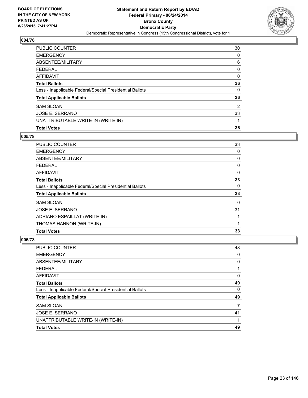

| <b>PUBLIC COUNTER</b>                                    | 30 |
|----------------------------------------------------------|----|
| <b>EMERGENCY</b>                                         | 0  |
| ABSENTEE/MILITARY                                        | 6  |
| <b>FEDERAL</b>                                           | 0  |
| <b>AFFIDAVIT</b>                                         | 0  |
| <b>Total Ballots</b>                                     | 36 |
| Less - Inapplicable Federal/Special Presidential Ballots | 0  |
| <b>Total Applicable Ballots</b>                          | 36 |
| <b>SAM SLOAN</b>                                         | 2  |
| JOSE E. SERRANO                                          | 33 |
| UNATTRIBUTABLE WRITE-IN (WRITE-IN)                       |    |
| <b>Total Votes</b>                                       | 36 |

# **005/78**

| <b>PUBLIC COUNTER</b>                                    | 33 |
|----------------------------------------------------------|----|
| <b>EMERGENCY</b>                                         | 0  |
| ABSENTEE/MILITARY                                        | 0  |
| <b>FEDERAL</b>                                           | 0  |
| AFFIDAVIT                                                | 0  |
| <b>Total Ballots</b>                                     | 33 |
| Less - Inapplicable Federal/Special Presidential Ballots | 0  |
| <b>Total Applicable Ballots</b>                          | 33 |
| <b>SAM SLOAN</b>                                         | 0  |
| JOSE E. SERRANO                                          | 31 |
| ADRIANO ESPAILLAT (WRITE-IN)                             |    |
| THOMAS HANNON (WRITE-IN)                                 | 1  |
| <b>Total Votes</b>                                       | 33 |
|                                                          |    |

| <b>PUBLIC COUNTER</b>                                    | 48 |
|----------------------------------------------------------|----|
| <b>EMERGENCY</b>                                         | 0  |
| ABSENTEE/MILITARY                                        | 0  |
| <b>FEDERAL</b>                                           |    |
| <b>AFFIDAVIT</b>                                         | 0  |
| <b>Total Ballots</b>                                     | 49 |
| Less - Inapplicable Federal/Special Presidential Ballots | 0  |
| <b>Total Applicable Ballots</b>                          | 49 |
| <b>SAM SLOAN</b>                                         | 7  |
| JOSE E. SERRANO                                          | 41 |
| UNATTRIBUTABLE WRITE-IN (WRITE-IN)                       |    |
| <b>Total Votes</b>                                       | 49 |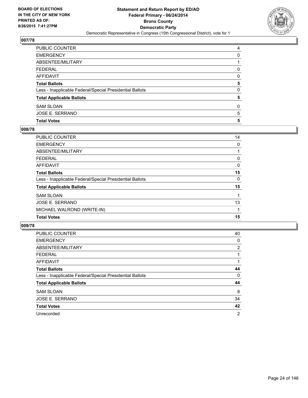

| PUBLIC COUNTER                                           | 4 |
|----------------------------------------------------------|---|
| EMERGENCY                                                | 0 |
| ABSENTEE/MILITARY                                        |   |
| FEDERAL                                                  | 0 |
| AFFIDAVIT                                                | 0 |
| <b>Total Ballots</b>                                     | 5 |
| Less - Inapplicable Federal/Special Presidential Ballots | 0 |
| <b>Total Applicable Ballots</b>                          | 5 |
| SAM SLOAN                                                | 0 |
| JOSE E. SERRANO                                          | 5 |
| <b>Total Votes</b>                                       | 5 |

## **008/78**

| <b>PUBLIC COUNTER</b>                                    | 14 |
|----------------------------------------------------------|----|
| <b>EMERGENCY</b>                                         | 0  |
| ABSENTEE/MILITARY                                        |    |
| <b>FEDERAL</b>                                           | 0  |
| <b>AFFIDAVIT</b>                                         | 0  |
| <b>Total Ballots</b>                                     | 15 |
| Less - Inapplicable Federal/Special Presidential Ballots | 0  |
| <b>Total Applicable Ballots</b>                          | 15 |
| <b>SAM SLOAN</b>                                         |    |
| JOSE E. SERRANO                                          | 13 |
| MICHAEL WALROND (WRITE-IN)                               |    |
| <b>Total Votes</b>                                       | 15 |
|                                                          |    |

| <b>PUBLIC COUNTER</b>                                    | 40             |
|----------------------------------------------------------|----------------|
| <b>EMERGENCY</b>                                         | 0              |
| ABSENTEE/MILITARY                                        | 2              |
| FEDERAL                                                  |                |
| AFFIDAVIT                                                |                |
| <b>Total Ballots</b>                                     | 44             |
| Less - Inapplicable Federal/Special Presidential Ballots | 0              |
| <b>Total Applicable Ballots</b>                          | 44             |
| <b>SAM SLOAN</b>                                         | 8              |
| JOSE E. SERRANO                                          | 34             |
| <b>Total Votes</b>                                       | 42             |
| Unrecorded                                               | $\overline{2}$ |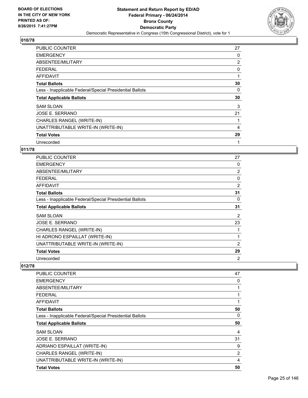

| <b>PUBLIC COUNTER</b>                                    | 27             |
|----------------------------------------------------------|----------------|
| <b>EMERGENCY</b>                                         | 0              |
| ABSENTEE/MILITARY                                        | $\overline{2}$ |
| <b>FEDERAL</b>                                           | 0              |
| AFFIDAVIT                                                |                |
| <b>Total Ballots</b>                                     | 30             |
| Less - Inapplicable Federal/Special Presidential Ballots | 0              |
|                                                          |                |
| <b>Total Applicable Ballots</b>                          | 30             |
| SAM SLOAN                                                | 3              |
| JOSE E. SERRANO                                          | 21             |
| CHARLES RANGEL (WRITE-IN)                                |                |
| UNATTRIBUTABLE WRITE-IN (WRITE-IN)                       | 4              |
| <b>Total Votes</b>                                       | 29             |

# **011/78**

| <b>PUBLIC COUNTER</b>                                    | 27             |
|----------------------------------------------------------|----------------|
| <b>EMERGENCY</b>                                         | 0              |
| ABSENTEE/MILITARY                                        | $\overline{2}$ |
| <b>FEDERAL</b>                                           | 0              |
| AFFIDAVIT                                                | $\overline{2}$ |
| <b>Total Ballots</b>                                     | 31             |
| Less - Inapplicable Federal/Special Presidential Ballots | 0              |
| <b>Total Applicable Ballots</b>                          | 31             |
| <b>SAM SLOAN</b>                                         | 2              |
| JOSE E. SERRANO                                          | 23             |
| CHARLES RANGEL (WRITE-IN)                                |                |
| HI ADRONO ESPAILLAT (WRITE-IN)                           | 1              |
| UNATTRIBUTABLE WRITE-IN (WRITE-IN)                       | 2              |
| <b>Total Votes</b>                                       | 29             |
| Unrecorded                                               | 2              |

| PUBLIC COUNTER                                           | 47 |
|----------------------------------------------------------|----|
| <b>EMERGENCY</b>                                         | 0  |
| ABSENTEE/MILITARY                                        | 1  |
| <b>FEDERAL</b>                                           | 1  |
| AFFIDAVIT                                                | 1  |
| <b>Total Ballots</b>                                     | 50 |
| Less - Inapplicable Federal/Special Presidential Ballots | 0  |
| <b>Total Applicable Ballots</b>                          | 50 |
| <b>SAM SLOAN</b>                                         | 4  |
| <b>JOSE E. SERRANO</b>                                   | 31 |
| ADRIANO ESPAILLAT (WRITE-IN)                             | 9  |
| CHARLES RANGEL (WRITE-IN)                                | 2  |
| UNATTRIBUTABLE WRITE-IN (WRITE-IN)                       | 4  |
| <b>Total Votes</b>                                       | 50 |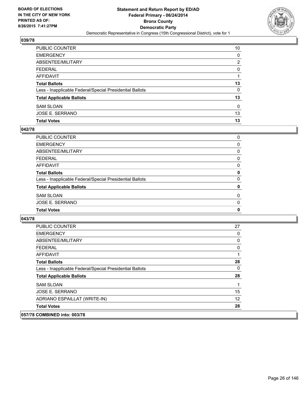

| PUBLIC COUNTER                                           | 10 |
|----------------------------------------------------------|----|
| <b>EMERGENCY</b>                                         | 0  |
| ABSENTEE/MILITARY                                        | 2  |
| <b>FEDERAL</b>                                           | 0  |
| <b>AFFIDAVIT</b>                                         |    |
| <b>Total Ballots</b>                                     | 13 |
| Less - Inapplicable Federal/Special Presidential Ballots | 0  |
| <b>Total Applicable Ballots</b>                          | 13 |
| <b>SAM SLOAN</b>                                         | 0  |
| JOSE E. SERRANO                                          | 13 |
| <b>Total Votes</b>                                       | 13 |

#### **042/78**

| 0 |
|---|
| 0 |
| 0 |
| 0 |
| 0 |
| 0 |
| 0 |
| 0 |
| 0 |
| 0 |
| 0 |
|   |

| <b>PUBLIC COUNTER</b>                                    | 27 |
|----------------------------------------------------------|----|
| <b>EMERGENCY</b>                                         | 0  |
| ABSENTEE/MILITARY                                        | 0  |
| <b>FEDERAL</b>                                           | 0  |
| AFFIDAVIT                                                |    |
| <b>Total Ballots</b>                                     | 28 |
| Less - Inapplicable Federal/Special Presidential Ballots | 0  |
| <b>Total Applicable Ballots</b>                          | 28 |
| <b>SAM SLOAN</b>                                         |    |
| JOSE E. SERRANO                                          | 15 |
| ADRIANO ESPAILLAT (WRITE-IN)                             | 12 |
| <b>Total Votes</b>                                       | 28 |
| 057/78 COMBINED into: 003/78                             |    |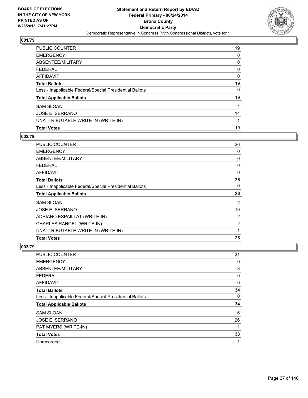

| PUBLIC COUNTER                                           | 19 |
|----------------------------------------------------------|----|
| <b>EMERGENCY</b>                                         | 0  |
| ABSENTEE/MILITARY                                        | 0  |
| <b>FEDERAL</b>                                           | 0  |
| <b>AFFIDAVIT</b>                                         | 0  |
| <b>Total Ballots</b>                                     | 19 |
| Less - Inapplicable Federal/Special Presidential Ballots | 0  |
| <b>Total Applicable Ballots</b>                          | 19 |
| <b>SAM SLOAN</b>                                         | 4  |
| JOSE E. SERRANO                                          | 14 |
| UNATTRIBUTABLE WRITE-IN (WRITE-IN)                       | 1  |
| <b>Total Votes</b>                                       | 19 |

# **002/79**

| 26           |
|--------------|
| 0            |
| 0            |
| 0            |
| $\mathbf{0}$ |
| 26           |
| 0            |
| 26           |
|              |
| 2            |
| 19           |
| 2            |
| 2            |
| 1            |
|              |

| PUBLIC COUNTER                                           | 31 |
|----------------------------------------------------------|----|
| <b>EMERGENCY</b>                                         | 0  |
| ABSENTEE/MILITARY                                        | 3  |
| <b>FEDERAL</b>                                           | 0  |
| <b>AFFIDAVIT</b>                                         | 0  |
| <b>Total Ballots</b>                                     | 34 |
| Less - Inapplicable Federal/Special Presidential Ballots | 0  |
| <b>Total Applicable Ballots</b>                          | 34 |
| <b>SAM SLOAN</b>                                         | 6  |
| <b>JOSE E. SERRANO</b>                                   | 26 |
| PAT MYERS (WRITE-IN)                                     |    |
| <b>Total Votes</b>                                       | 33 |
| Unrecorded                                               | 1  |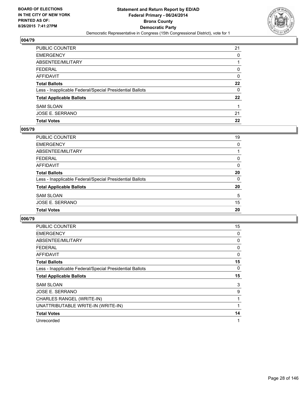

| PUBLIC COUNTER                                           | 21 |
|----------------------------------------------------------|----|
| <b>EMERGENCY</b>                                         | 0  |
| <b>ABSENTEE/MILITARY</b>                                 |    |
| <b>FEDERAL</b>                                           | 0  |
| AFFIDAVIT                                                | 0  |
| <b>Total Ballots</b>                                     | 22 |
| Less - Inapplicable Federal/Special Presidential Ballots | 0  |
| <b>Total Applicable Ballots</b>                          | 22 |
| <b>SAM SLOAN</b>                                         |    |
| JOSE E. SERRANO                                          | 21 |
| <b>Total Votes</b>                                       | 22 |

## **005/79**

| PUBLIC COUNTER                                           | 19       |
|----------------------------------------------------------|----------|
| <b>EMERGENCY</b>                                         | 0        |
| <b>ABSENTEE/MILITARY</b>                                 |          |
| <b>FEDERAL</b>                                           | 0        |
| <b>AFFIDAVIT</b>                                         | $\Omega$ |
| <b>Total Ballots</b>                                     | 20       |
| Less - Inapplicable Federal/Special Presidential Ballots | 0        |
| <b>Total Applicable Ballots</b>                          | 20       |
| <b>SAM SLOAN</b>                                         | 5        |
| <b>JOSE E. SERRANO</b>                                   | 15       |
| <b>Total Votes</b>                                       | 20       |
|                                                          |          |

| PUBLIC COUNTER                                           | 15 |
|----------------------------------------------------------|----|
| <b>EMERGENCY</b>                                         | 0  |
| ABSENTEE/MILITARY                                        | 0  |
| FEDERAL                                                  | 0  |
| <b>AFFIDAVIT</b>                                         | 0  |
| <b>Total Ballots</b>                                     | 15 |
| Less - Inapplicable Federal/Special Presidential Ballots | 0  |
| <b>Total Applicable Ballots</b>                          | 15 |
| <b>SAM SLOAN</b>                                         | 3  |
| JOSE E. SERRANO                                          | 9  |
| CHARLES RANGEL (WRITE-IN)                                | 1  |
| UNATTRIBUTABLE WRITE-IN (WRITE-IN)                       |    |
| <b>Total Votes</b>                                       | 14 |
| Unrecorded                                               | 1  |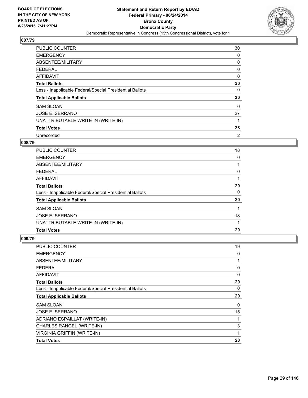

| <b>PUBLIC COUNTER</b>                                    | 30 |
|----------------------------------------------------------|----|
| <b>EMERGENCY</b>                                         | 0  |
| ABSENTEE/MILITARY                                        | 0  |
| <b>FEDERAL</b>                                           | 0  |
| <b>AFFIDAVIT</b>                                         | 0  |
| <b>Total Ballots</b>                                     | 30 |
| Less - Inapplicable Federal/Special Presidential Ballots | 0  |
| <b>Total Applicable Ballots</b>                          | 30 |
| <b>SAM SLOAN</b>                                         | 0  |
| JOSE E. SERRANO                                          | 27 |
| UNATTRIBUTABLE WRITE-IN (WRITE-IN)                       |    |
| <b>Total Votes</b>                                       | 28 |
| Unrecorded                                               | 2  |

#### **008/79**

| <b>PUBLIC COUNTER</b>                                    | 18 |
|----------------------------------------------------------|----|
| <b>EMERGENCY</b>                                         | 0  |
| ABSENTEE/MILITARY                                        |    |
| FEDERAL                                                  | 0  |
| AFFIDAVIT                                                |    |
| <b>Total Ballots</b>                                     | 20 |
| Less - Inapplicable Federal/Special Presidential Ballots | 0  |
| <b>Total Applicable Ballots</b>                          | 20 |
| <b>SAM SLOAN</b>                                         |    |
| JOSE E. SERRANO                                          | 18 |
| UNATTRIBUTABLE WRITE-IN (WRITE-IN)                       |    |
| <b>Total Votes</b>                                       | 20 |

| PUBLIC COUNTER                                           | 19 |
|----------------------------------------------------------|----|
| <b>EMERGENCY</b>                                         | 0  |
| ABSENTEE/MILITARY                                        | 1  |
| <b>FEDERAL</b>                                           | 0  |
| AFFIDAVIT                                                | 0  |
| <b>Total Ballots</b>                                     | 20 |
| Less - Inapplicable Federal/Special Presidential Ballots | 0  |
| <b>Total Applicable Ballots</b>                          | 20 |
| <b>SAM SLOAN</b>                                         | 0  |
| <b>JOSE E. SERRANO</b>                                   | 15 |
| ADRIANO ESPAILLAT (WRITE-IN)                             | 1  |
| CHARLES RANGEL (WRITE-IN)                                | 3  |
| <b>VIRGINIA GRIFFIN (WRITE-IN)</b>                       | 1  |
| <b>Total Votes</b>                                       | 20 |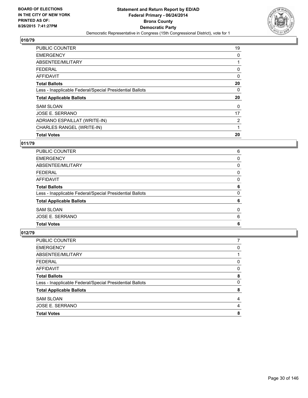

| <b>PUBLIC COUNTER</b>                                    | 19             |
|----------------------------------------------------------|----------------|
| <b>EMERGENCY</b>                                         | 0              |
| ABSENTEE/MILITARY                                        |                |
| <b>FEDERAL</b>                                           | 0              |
| <b>AFFIDAVIT</b>                                         | 0              |
| <b>Total Ballots</b>                                     | 20             |
| Less - Inapplicable Federal/Special Presidential Ballots | 0              |
| <b>Total Applicable Ballots</b>                          | 20             |
| <b>SAM SLOAN</b>                                         | 0              |
| JOSE E. SERRANO                                          | 17             |
| ADRIANO ESPAILLAT (WRITE-IN)                             | $\overline{2}$ |
| CHARLES RANGEL (WRITE-IN)                                | 1              |
| <b>Total Votes</b>                                       | 20             |

# **011/79**

| PUBLIC COUNTER                                           | 6 |
|----------------------------------------------------------|---|
| <b>EMERGENCY</b>                                         | 0 |
| ABSENTEE/MILITARY                                        | 0 |
| <b>FEDERAL</b>                                           | 0 |
| AFFIDAVIT                                                | 0 |
| <b>Total Ballots</b>                                     | 6 |
| Less - Inapplicable Federal/Special Presidential Ballots | 0 |
| <b>Total Applicable Ballots</b>                          | 6 |
| <b>SAM SLOAN</b>                                         | 0 |
| JOSE E. SERRANO                                          | 6 |
| <b>Total Votes</b>                                       | 6 |
|                                                          |   |

| <b>PUBLIC COUNTER</b>                                    |   |
|----------------------------------------------------------|---|
| <b>EMERGENCY</b>                                         | 0 |
| ABSENTEE/MILITARY                                        |   |
| <b>FEDERAL</b>                                           | 0 |
| <b>AFFIDAVIT</b>                                         | 0 |
| <b>Total Ballots</b>                                     | 8 |
| Less - Inapplicable Federal/Special Presidential Ballots | 0 |
| <b>Total Applicable Ballots</b>                          | 8 |
| <b>SAM SLOAN</b>                                         | 4 |
| JOSE E. SERRANO                                          | 4 |
| <b>Total Votes</b>                                       | 8 |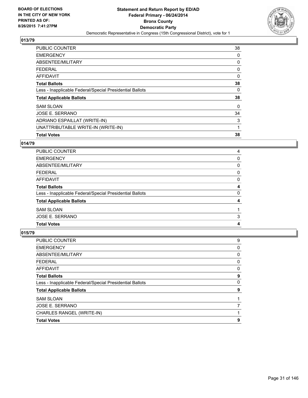

| <b>PUBLIC COUNTER</b>                                    | 38 |
|----------------------------------------------------------|----|
| <b>EMERGENCY</b>                                         | 0  |
| ABSENTEE/MILITARY                                        | 0  |
| FEDERAL                                                  | 0  |
| AFFIDAVIT                                                | 0  |
| <b>Total Ballots</b>                                     | 38 |
| Less - Inapplicable Federal/Special Presidential Ballots | 0  |
| <b>Total Applicable Ballots</b>                          | 38 |
| <b>SAM SLOAN</b>                                         | 0  |
| <b>JOSE E. SERRANO</b>                                   | 34 |
| ADRIANO ESPAILLAT (WRITE-IN)                             | 3  |
| UNATTRIBUTABLE WRITE-IN (WRITE-IN)                       | 1  |
| <b>Total Votes</b>                                       | 38 |

## **014/79**

| <b>PUBLIC COUNTER</b>                                    | 4 |
|----------------------------------------------------------|---|
| <b>EMERGENCY</b>                                         | 0 |
| ABSENTEE/MILITARY                                        | 0 |
| <b>FEDERAL</b>                                           | 0 |
| AFFIDAVIT                                                | 0 |
| <b>Total Ballots</b>                                     | 4 |
| Less - Inapplicable Federal/Special Presidential Ballots | 0 |
| <b>Total Applicable Ballots</b>                          | 4 |
| <b>SAM SLOAN</b>                                         |   |
| JOSE E. SERRANO                                          | 3 |
| <b>Total Votes</b>                                       | 4 |
|                                                          |   |

| PUBLIC COUNTER                                           | 9 |
|----------------------------------------------------------|---|
| <b>EMERGENCY</b>                                         | 0 |
| ABSENTEE/MILITARY                                        | 0 |
| <b>FEDERAL</b>                                           | 0 |
| <b>AFFIDAVIT</b>                                         | 0 |
| <b>Total Ballots</b>                                     | 9 |
| Less - Inapplicable Federal/Special Presidential Ballots | 0 |
| <b>Total Applicable Ballots</b>                          | 9 |
| <b>SAM SLOAN</b>                                         |   |
| JOSE E. SERRANO                                          |   |
| CHARLES RANGEL (WRITE-IN)                                |   |
| <b>Total Votes</b>                                       | 9 |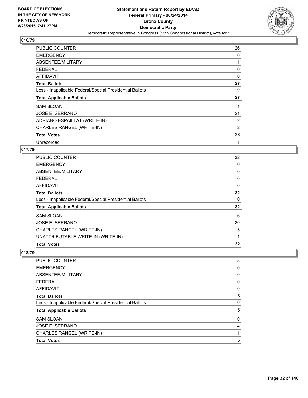

| <b>PUBLIC COUNTER</b>                                    | 26 |
|----------------------------------------------------------|----|
| <b>EMERGENCY</b>                                         | 0  |
| ABSENTEE/MILITARY                                        |    |
| <b>FEDERAL</b>                                           | 0  |
| <b>AFFIDAVIT</b>                                         | 0  |
| <b>Total Ballots</b>                                     | 27 |
| Less - Inapplicable Federal/Special Presidential Ballots | 0  |
| <b>Total Applicable Ballots</b>                          | 27 |
| <b>SAM SLOAN</b>                                         |    |
| JOSE E. SERRANO                                          | 21 |
| ADRIANO ESPAILLAT (WRITE-IN)                             | 2  |
| CHARLES RANGEL (WRITE-IN)                                | 2  |
| <b>Total Votes</b>                                       | 26 |
| Unrecorded                                               | 1  |

# **017/79**

| <b>Total Votes</b>                                       | 32 |
|----------------------------------------------------------|----|
| UNATTRIBUTABLE WRITE-IN (WRITE-IN)                       | 1  |
| CHARLES RANGEL (WRITE-IN)                                | 5  |
| <b>JOSE E. SERRANO</b>                                   | 20 |
| <b>SAM SLOAN</b>                                         | 6  |
| <b>Total Applicable Ballots</b>                          | 32 |
| Less - Inapplicable Federal/Special Presidential Ballots | 0  |
| <b>Total Ballots</b>                                     | 32 |
| AFFIDAVIT                                                | 0  |
| <b>FEDERAL</b>                                           | 0  |
| ABSENTEE/MILITARY                                        | 0  |
| <b>EMERGENCY</b>                                         | 0  |
| PUBLIC COUNTER                                           | 32 |

| <b>Total Votes</b>                                       | 5 |
|----------------------------------------------------------|---|
| CHARLES RANGEL (WRITE-IN)                                |   |
| JOSE E. SERRANO                                          | 4 |
| <b>SAM SLOAN</b>                                         | 0 |
| <b>Total Applicable Ballots</b>                          | 5 |
| Less - Inapplicable Federal/Special Presidential Ballots | 0 |
| <b>Total Ballots</b>                                     | 5 |
| <b>AFFIDAVIT</b>                                         | 0 |
| <b>FEDERAL</b>                                           | 0 |
| ABSENTEE/MILITARY                                        | 0 |
| <b>EMERGENCY</b>                                         | 0 |
| PUBLIC COUNTER                                           | 5 |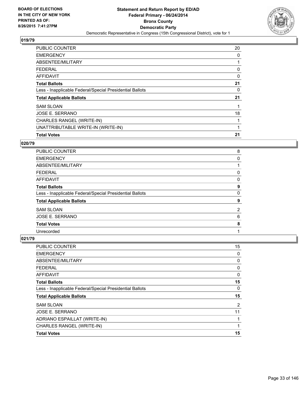

| <b>Total Votes</b>                                       | 21 |
|----------------------------------------------------------|----|
| UNATTRIBUTABLE WRITE-IN (WRITE-IN)                       |    |
| CHARLES RANGEL (WRITE-IN)                                |    |
| JOSE E. SERRANO                                          | 18 |
| <b>SAM SLOAN</b>                                         |    |
| <b>Total Applicable Ballots</b>                          | 21 |
| Less - Inapplicable Federal/Special Presidential Ballots | 0  |
| <b>Total Ballots</b>                                     | 21 |
| AFFIDAVIT                                                | 0  |
| <b>FEDERAL</b>                                           | 0  |
| ABSENTEE/MILITARY                                        |    |
| <b>EMERGENCY</b>                                         | 0  |
| <b>PUBLIC COUNTER</b>                                    | 20 |

#### **020/79**

| <b>PUBLIC COUNTER</b>                                    | 8 |
|----------------------------------------------------------|---|
| <b>EMERGENCY</b>                                         | 0 |
| ABSENTEE/MILITARY                                        |   |
| <b>FEDERAL</b>                                           | 0 |
| AFFIDAVIT                                                | 0 |
| <b>Total Ballots</b>                                     | 9 |
| Less - Inapplicable Federal/Special Presidential Ballots | 0 |
| <b>Total Applicable Ballots</b>                          | 9 |
| <b>SAM SLOAN</b>                                         | 2 |
| <b>JOSE E. SERRANO</b>                                   | 6 |
| <b>Total Votes</b>                                       | 8 |
| Unrecorded                                               |   |

| <b>Total Votes</b>                                       | 15 |
|----------------------------------------------------------|----|
| CHARLES RANGEL (WRITE-IN)                                | 1  |
| ADRIANO ESPAILLAT (WRITE-IN)                             | 1  |
| <b>JOSE E. SERRANO</b>                                   | 11 |
| <b>SAM SLOAN</b>                                         | 2  |
| <b>Total Applicable Ballots</b>                          | 15 |
| Less - Inapplicable Federal/Special Presidential Ballots | 0  |
| <b>Total Ballots</b>                                     | 15 |
| <b>AFFIDAVIT</b>                                         | 0  |
| <b>FEDERAL</b>                                           | 0  |
| ABSENTEE/MILITARY                                        | 0  |
| <b>EMERGENCY</b>                                         | 0  |
| <b>PUBLIC COUNTER</b>                                    | 15 |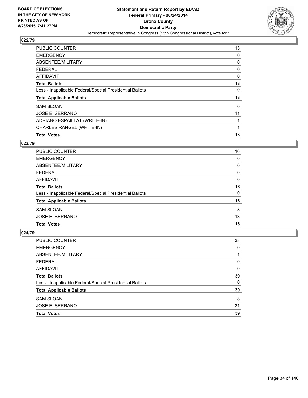

| PUBLIC COUNTER                                           | 13 |
|----------------------------------------------------------|----|
| <b>EMERGENCY</b>                                         | 0  |
| ABSENTEE/MILITARY                                        | 0  |
| <b>FEDERAL</b>                                           | 0  |
| <b>AFFIDAVIT</b>                                         | 0  |
| <b>Total Ballots</b>                                     | 13 |
| Less - Inapplicable Federal/Special Presidential Ballots | 0  |
| <b>Total Applicable Ballots</b>                          | 13 |
| <b>SAM SLOAN</b>                                         | 0  |
| JOSE E. SERRANO                                          | 11 |
| ADRIANO ESPAILLAT (WRITE-IN)                             |    |
| CHARLES RANGEL (WRITE-IN)                                |    |
| <b>Total Votes</b>                                       | 13 |

### **023/79**

| <b>PUBLIC COUNTER</b>                                    | 16 |
|----------------------------------------------------------|----|
| <b>EMERGENCY</b>                                         | 0  |
| ABSENTEE/MILITARY                                        | 0  |
| <b>FEDERAL</b>                                           | 0  |
| AFFIDAVIT                                                | 0  |
| <b>Total Ballots</b>                                     | 16 |
| Less - Inapplicable Federal/Special Presidential Ballots | 0  |
| <b>Total Applicable Ballots</b>                          | 16 |
| <b>SAM SLOAN</b>                                         | 3  |
| JOSE E. SERRANO                                          | 13 |
| <b>Total Votes</b>                                       | 16 |

| <b>Total Votes</b>                                       | 39       |
|----------------------------------------------------------|----------|
| JOSE E. SERRANO                                          | 31       |
| <b>SAM SLOAN</b>                                         | 8        |
| <b>Total Applicable Ballots</b>                          | 39       |
| Less - Inapplicable Federal/Special Presidential Ballots | $\Omega$ |
| <b>Total Ballots</b>                                     | 39       |
| <b>AFFIDAVIT</b>                                         | 0        |
| <b>FEDERAL</b>                                           | 0        |
| ABSENTEE/MILITARY                                        |          |
| <b>EMERGENCY</b>                                         | 0        |
| PUBLIC COUNTER                                           | 38       |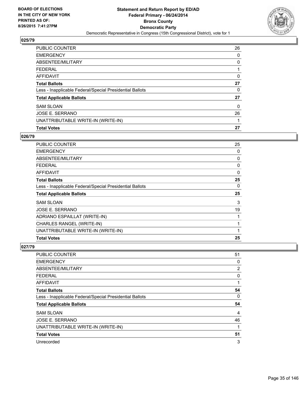

| PUBLIC COUNTER                                           | 26 |
|----------------------------------------------------------|----|
| <b>EMERGENCY</b>                                         | 0  |
| ABSENTEE/MILITARY                                        | 0  |
| <b>FEDERAL</b>                                           |    |
| <b>AFFIDAVIT</b>                                         | 0  |
| <b>Total Ballots</b>                                     | 27 |
| Less - Inapplicable Federal/Special Presidential Ballots | 0  |
| <b>Total Applicable Ballots</b>                          | 27 |
| <b>SAM SLOAN</b>                                         | 0  |
| JOSE E. SERRANO                                          | 26 |
| UNATTRIBUTABLE WRITE-IN (WRITE-IN)                       |    |
| <b>Total Votes</b>                                       | 27 |

#### **026/79**

| PUBLIC COUNTER                                           | 25           |
|----------------------------------------------------------|--------------|
| <b>EMERGENCY</b>                                         | 0            |
| ABSENTEE/MILITARY                                        | 0            |
| <b>FEDERAL</b>                                           | 0            |
| AFFIDAVIT                                                | $\mathbf{0}$ |
| <b>Total Ballots</b>                                     | 25           |
| Less - Inapplicable Federal/Special Presidential Ballots | 0            |
| <b>Total Applicable Ballots</b>                          | 25           |
| <b>SAM SLOAN</b>                                         | 3            |
| JOSE E. SERRANO                                          | 19           |
| ADRIANO ESPAILLAT (WRITE-IN)                             |              |
| CHARLES RANGEL (WRITE-IN)                                |              |
| UNATTRIBUTABLE WRITE-IN (WRITE-IN)                       |              |
| <b>Total Votes</b>                                       | 25           |
|                                                          |              |

| PUBLIC COUNTER                                           | 51             |
|----------------------------------------------------------|----------------|
| <b>EMERGENCY</b>                                         | 0              |
| ABSENTEE/MILITARY                                        | $\overline{2}$ |
| <b>FEDERAL</b>                                           | 0              |
| <b>AFFIDAVIT</b>                                         |                |
| <b>Total Ballots</b>                                     | 54             |
| Less - Inapplicable Federal/Special Presidential Ballots | 0              |
| <b>Total Applicable Ballots</b>                          | 54             |
| <b>SAM SLOAN</b>                                         | 4              |
| JOSE E. SERRANO                                          | 46             |
| UNATTRIBUTABLE WRITE-IN (WRITE-IN)                       |                |
| <b>Total Votes</b>                                       | 51             |
| Unrecorded                                               | 3              |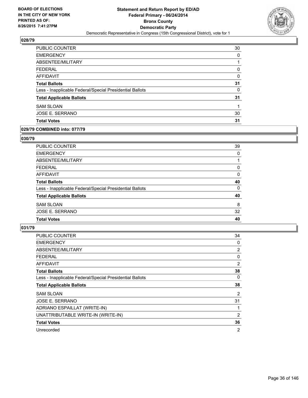

| PUBLIC COUNTER                                           | 30 |
|----------------------------------------------------------|----|
| <b>EMERGENCY</b>                                         | 0  |
| ABSENTEE/MILITARY                                        | 1  |
| <b>FEDERAL</b>                                           | 0  |
| AFFIDAVIT                                                | 0  |
| <b>Total Ballots</b>                                     | 31 |
| Less - Inapplicable Federal/Special Presidential Ballots | 0  |
| <b>Total Applicable Ballots</b>                          | 31 |
| <b>SAM SLOAN</b>                                         |    |
| JOSE E. SERRANO                                          | 30 |
| <b>Total Votes</b>                                       | 31 |

#### **029/79 COMBINED into: 077/79**

#### **030/79**

| PUBLIC COUNTER                                           | 39 |
|----------------------------------------------------------|----|
| <b>EMERGENCY</b>                                         | 0  |
| ABSENTEE/MILITARY                                        |    |
| <b>FEDERAL</b>                                           | 0  |
| <b>AFFIDAVIT</b>                                         | 0  |
| <b>Total Ballots</b>                                     | 40 |
| Less - Inapplicable Federal/Special Presidential Ballots | 0  |
| <b>Total Applicable Ballots</b>                          | 40 |
| <b>SAM SLOAN</b>                                         | 8  |
| JOSE E. SERRANO                                          | 32 |
| <b>Total Votes</b>                                       | 40 |
|                                                          |    |

| <b>PUBLIC COUNTER</b>                                    | 34             |
|----------------------------------------------------------|----------------|
| <b>EMERGENCY</b>                                         | 0              |
| ABSENTEE/MILITARY                                        | 2              |
| <b>FEDERAL</b>                                           | 0              |
| AFFIDAVIT                                                | 2              |
| <b>Total Ballots</b>                                     | 38             |
| Less - Inapplicable Federal/Special Presidential Ballots | 0              |
| <b>Total Applicable Ballots</b>                          | 38             |
| <b>SAM SLOAN</b>                                         | $\overline{2}$ |
| <b>JOSE E. SERRANO</b>                                   | 31             |
| ADRIANO ESPAILLAT (WRITE-IN)                             | 1              |
| UNATTRIBUTABLE WRITE-IN (WRITE-IN)                       | 2              |
| <b>Total Votes</b>                                       | 36             |
| Unrecorded                                               | $\overline{2}$ |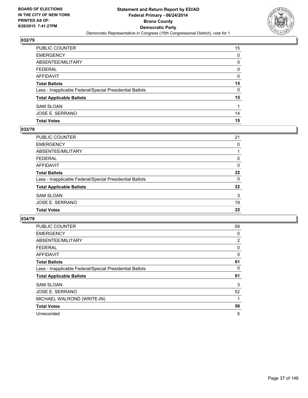

| PUBLIC COUNTER                                           | 15 |
|----------------------------------------------------------|----|
| <b>EMERGENCY</b>                                         | 0  |
| ABSENTEE/MILITARY                                        | 0  |
| <b>FEDERAL</b>                                           | 0  |
| AFFIDAVIT                                                | 0  |
| <b>Total Ballots</b>                                     | 15 |
| Less - Inapplicable Federal/Special Presidential Ballots | 0  |
| <b>Total Applicable Ballots</b>                          | 15 |
| <b>SAM SLOAN</b>                                         |    |
| JOSE E. SERRANO                                          | 14 |
| <b>Total Votes</b>                                       | 15 |

## **033/79**

| PUBLIC COUNTER                                           | 21       |
|----------------------------------------------------------|----------|
| <b>EMERGENCY</b>                                         | 0        |
| <b>ABSENTEE/MILITARY</b>                                 |          |
| <b>FEDERAL</b>                                           | 0        |
| <b>AFFIDAVIT</b>                                         | 0        |
| <b>Total Ballots</b>                                     | 22       |
| Less - Inapplicable Federal/Special Presidential Ballots | $\Omega$ |
| <b>Total Applicable Ballots</b>                          | 22       |
| <b>SAM SLOAN</b>                                         | 3        |
| <b>JOSE E. SERRANO</b>                                   | 19       |
| <b>Total Votes</b>                                       | 22       |
|                                                          |          |

| <b>PUBLIC COUNTER</b>                                    | 59 |
|----------------------------------------------------------|----|
| <b>EMERGENCY</b>                                         | 0  |
| ABSENTEE/MILITARY                                        | 2  |
| <b>FEDERAL</b>                                           | 0  |
| AFFIDAVIT                                                | 0  |
| <b>Total Ballots</b>                                     | 61 |
| Less - Inapplicable Federal/Special Presidential Ballots | 0  |
| <b>Total Applicable Ballots</b>                          | 61 |
| <b>SAM SLOAN</b>                                         | 3  |
| <b>JOSE E. SERRANO</b>                                   | 52 |
| MICHAEL WALROND (WRITE-IN)                               | 1  |
| <b>Total Votes</b>                                       | 56 |
| Unrecorded                                               | 5  |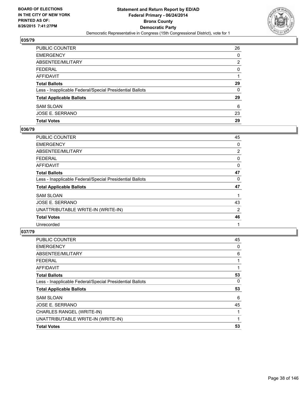

| JOSE E. SERRANO<br><b>Total Votes</b>                    | 23<br>29 |
|----------------------------------------------------------|----------|
| <b>SAM SLOAN</b>                                         | 6        |
| <b>Total Applicable Ballots</b>                          | 29       |
| Less - Inapplicable Federal/Special Presidential Ballots | $\Omega$ |
| <b>Total Ballots</b>                                     | 29       |
| AFFIDAVIT                                                |          |
| <b>FEDERAL</b>                                           | $\Omega$ |
| ABSENTEE/MILITARY                                        | 2        |
| <b>EMERGENCY</b>                                         | 0        |
| PUBLIC COUNTER                                           | 26       |

## **036/79**

| <b>PUBLIC COUNTER</b>                                    | 45             |
|----------------------------------------------------------|----------------|
| <b>EMERGENCY</b>                                         | 0              |
| ABSENTEE/MILITARY                                        | $\overline{2}$ |
| FEDERAL                                                  | 0              |
| <b>AFFIDAVIT</b>                                         | 0              |
| <b>Total Ballots</b>                                     | 47             |
| Less - Inapplicable Federal/Special Presidential Ballots | 0              |
| <b>Total Applicable Ballots</b>                          | 47             |
| <b>SAM SLOAN</b>                                         |                |
| JOSE E. SERRANO                                          | 43             |
| UNATTRIBUTABLE WRITE-IN (WRITE-IN)                       | 2              |
| <b>Total Votes</b>                                       | 46             |
| Unrecorded                                               |                |

| <b>Total Votes</b>                                       | 53 |
|----------------------------------------------------------|----|
| UNATTRIBUTABLE WRITE-IN (WRITE-IN)                       | 1  |
| CHARLES RANGEL (WRITE-IN)                                | 1  |
| JOSE E. SERRANO                                          | 45 |
| <b>SAM SLOAN</b>                                         | 6  |
| <b>Total Applicable Ballots</b>                          | 53 |
| Less - Inapplicable Federal/Special Presidential Ballots | 0  |
| <b>Total Ballots</b>                                     | 53 |
| <b>AFFIDAVIT</b>                                         | 1  |
| <b>FEDERAL</b>                                           | 1  |
| ABSENTEE/MILITARY                                        | 6  |
| <b>EMERGENCY</b>                                         | 0  |
| <b>PUBLIC COUNTER</b>                                    | 45 |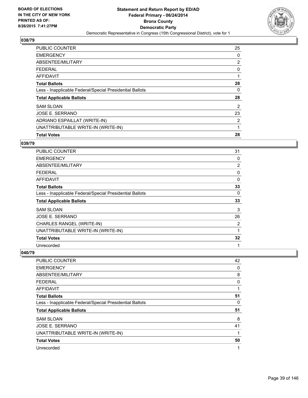

| <b>PUBLIC COUNTER</b>                                    | 25 |
|----------------------------------------------------------|----|
| <b>EMERGENCY</b>                                         | 0  |
| ABSENTEE/MILITARY                                        | 2  |
| <b>FEDERAL</b>                                           | 0  |
| AFFIDAVIT                                                |    |
| <b>Total Ballots</b>                                     | 28 |
| Less - Inapplicable Federal/Special Presidential Ballots | 0  |
| <b>Total Applicable Ballots</b>                          | 28 |
| <b>SAM SLOAN</b>                                         | 2  |
| JOSE E. SERRANO                                          | 23 |
| ADRIANO ESPAILLAT (WRITE-IN)                             | 2  |
| UNATTRIBUTABLE WRITE-IN (WRITE-IN)                       | 1  |
| <b>Total Votes</b>                                       | 28 |

#### **039/79**

| PUBLIC COUNTER                                           | 31 |
|----------------------------------------------------------|----|
| <b>EMERGENCY</b>                                         | 0  |
| ABSENTEE/MILITARY                                        | 2  |
| <b>FEDERAL</b>                                           | 0  |
| AFFIDAVIT                                                | 0  |
| <b>Total Ballots</b>                                     | 33 |
| Less - Inapplicable Federal/Special Presidential Ballots | 0  |
| <b>Total Applicable Ballots</b>                          | 33 |
| <b>SAM SLOAN</b>                                         | 3  |
| JOSE E. SERRANO                                          | 26 |
| CHARLES RANGEL (WRITE-IN)                                | 2  |
| UNATTRIBUTABLE WRITE-IN (WRITE-IN)                       | 1  |
| <b>Total Votes</b>                                       | 32 |
| Unrecorded                                               | 1  |

| PUBLIC COUNTER                                           | 42 |
|----------------------------------------------------------|----|
| <b>EMERGENCY</b>                                         | 0  |
| ABSENTEE/MILITARY                                        | 8  |
| <b>FEDERAL</b>                                           | 0  |
| AFFIDAVIT                                                | 1  |
| <b>Total Ballots</b>                                     | 51 |
| Less - Inapplicable Federal/Special Presidential Ballots | 0  |
| <b>Total Applicable Ballots</b>                          | 51 |
| <b>SAM SLOAN</b>                                         | 8  |
| JOSE E. SERRANO                                          | 41 |
| UNATTRIBUTABLE WRITE-IN (WRITE-IN)                       | 1  |
| <b>Total Votes</b>                                       | 50 |
| Unrecorded                                               | 1  |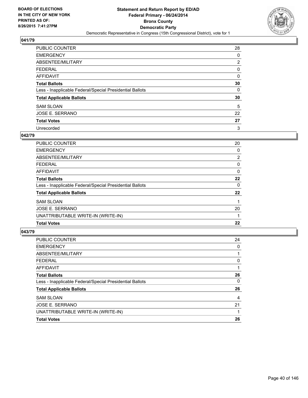

| PUBLIC COUNTER                                           | 28             |
|----------------------------------------------------------|----------------|
| <b>EMERGENCY</b>                                         | 0              |
| ABSENTEE/MILITARY                                        | $\overline{2}$ |
| <b>FEDERAL</b>                                           | 0              |
| <b>AFFIDAVIT</b>                                         | 0              |
| <b>Total Ballots</b>                                     | 30             |
| Less - Inapplicable Federal/Special Presidential Ballots | 0              |
| <b>Total Applicable Ballots</b>                          | 30             |
| <b>SAM SLOAN</b>                                         | 5              |
| JOSE E. SERRANO                                          | 22             |
| <b>Total Votes</b>                                       | 27             |
| Unrecorded                                               | 3              |

### **042/79**

| PUBLIC COUNTER                                           | 20             |
|----------------------------------------------------------|----------------|
| <b>EMERGENCY</b>                                         | 0              |
| ABSENTEE/MILITARY                                        | $\overline{2}$ |
| <b>FEDERAL</b>                                           | 0              |
| <b>AFFIDAVIT</b>                                         | 0              |
| <b>Total Ballots</b>                                     | 22             |
| Less - Inapplicable Federal/Special Presidential Ballots | 0              |
| <b>Total Applicable Ballots</b>                          | 22             |
| <b>SAM SLOAN</b>                                         |                |
| JOSE E. SERRANO                                          | 20             |
| UNATTRIBUTABLE WRITE-IN (WRITE-IN)                       |                |
| <b>Total Votes</b>                                       | 22             |

| PUBLIC COUNTER                                           | 24 |
|----------------------------------------------------------|----|
| <b>EMERGENCY</b>                                         | 0  |
| ABSENTEE/MILITARY                                        |    |
| <b>FEDERAL</b>                                           | 0  |
| AFFIDAVIT                                                |    |
| <b>Total Ballots</b>                                     | 26 |
| Less - Inapplicable Federal/Special Presidential Ballots | 0  |
| <b>Total Applicable Ballots</b>                          | 26 |
| <b>SAM SLOAN</b>                                         | 4  |
| JOSE E. SERRANO                                          | 21 |
| UNATTRIBUTABLE WRITE-IN (WRITE-IN)                       |    |
| <b>Total Votes</b>                                       | 26 |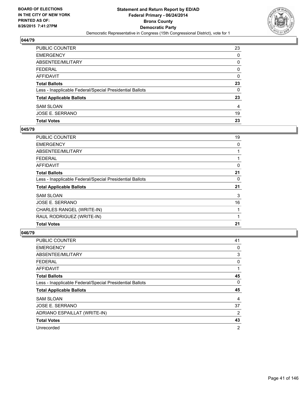

| PUBLIC COUNTER                                           | 23 |
|----------------------------------------------------------|----|
| EMERGENCY                                                | 0  |
| ABSENTEE/MILITARY                                        | 0  |
| FEDERAL                                                  | 0  |
| AFFIDAVIT                                                | 0  |
| Total Ballots                                            | 23 |
| Less - Inapplicable Federal/Special Presidential Ballots | 0  |
| <b>Total Applicable Ballots</b>                          | 23 |
| SAM SLOAN                                                | 4  |
| JOSE E. SERRANO                                          | 19 |
| <b>Total Votes</b>                                       | 23 |

## **045/79**

| <b>PUBLIC COUNTER</b>                                    | 19 |
|----------------------------------------------------------|----|
| <b>EMERGENCY</b>                                         | 0  |
| ABSENTEE/MILITARY                                        |    |
| <b>FEDERAL</b>                                           |    |
| AFFIDAVIT                                                | 0  |
| <b>Total Ballots</b>                                     | 21 |
| Less - Inapplicable Federal/Special Presidential Ballots | 0  |
| <b>Total Applicable Ballots</b>                          | 21 |
| <b>SAM SLOAN</b>                                         | 3  |
| <b>JOSE E. SERRANO</b>                                   | 16 |
| CHARLES RANGEL (WRITE-IN)                                |    |
| RAUL RODRIGUEZ (WRITE-IN)                                | 1  |
| <b>Total Votes</b>                                       | 21 |

| <b>PUBLIC COUNTER</b>                                    | 41 |
|----------------------------------------------------------|----|
| <b>EMERGENCY</b>                                         | 0  |
| ABSENTEE/MILITARY                                        | 3  |
| <b>FEDERAL</b>                                           | 0  |
| AFFIDAVIT                                                | 1  |
| <b>Total Ballots</b>                                     | 45 |
| Less - Inapplicable Federal/Special Presidential Ballots | 0  |
| <b>Total Applicable Ballots</b>                          | 45 |
| <b>SAM SLOAN</b>                                         | 4  |
| <b>JOSE E. SERRANO</b>                                   | 37 |
| ADRIANO ESPAILLAT (WRITE-IN)                             | 2  |
| <b>Total Votes</b>                                       | 43 |
| Unrecorded                                               | 2  |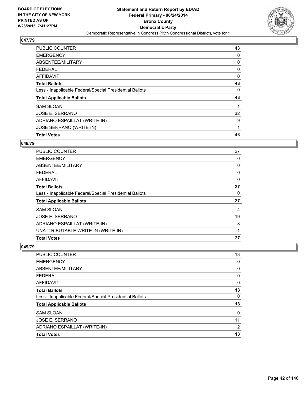

| <b>PUBLIC COUNTER</b>                                    | 43 |
|----------------------------------------------------------|----|
| <b>EMERGENCY</b>                                         | 0  |
| ABSENTEE/MILITARY                                        | 0  |
| <b>FEDERAL</b>                                           | 0  |
| <b>AFFIDAVIT</b>                                         | 0  |
| <b>Total Ballots</b>                                     | 43 |
| Less - Inapplicable Federal/Special Presidential Ballots | 0  |
| <b>Total Applicable Ballots</b>                          | 43 |
| <b>SAM SLOAN</b>                                         |    |
| JOSE E. SERRANO                                          | 32 |
| ADRIANO ESPAILLAT (WRITE-IN)                             | 9  |
| JOSE SERRANO (WRITE-IN)                                  | 1  |
| <b>Total Votes</b>                                       | 43 |

#### **048/79**

| ADRIANO ESPAILLAT (WRITE-IN)<br>UNATTRIBUTABLE WRITE-IN (WRITE-IN) | 3  |
|--------------------------------------------------------------------|----|
| JOSE E. SERRANO                                                    | 19 |
| <b>SAM SLOAN</b>                                                   | 4  |
| <b>Total Applicable Ballots</b>                                    | 27 |
| Less - Inapplicable Federal/Special Presidential Ballots           | 0  |
| <b>Total Ballots</b>                                               | 27 |
| AFFIDAVIT                                                          | 0  |
| <b>FEDERAL</b>                                                     | 0  |
| ABSENTEE/MILITARY                                                  | 0  |
| <b>EMERGENCY</b>                                                   | 0  |
| <b>PUBLIC COUNTER</b>                                              | 27 |

| PUBLIC COUNTER                                           | 13             |
|----------------------------------------------------------|----------------|
| <b>EMERGENCY</b>                                         | 0              |
| ABSENTEE/MILITARY                                        | 0              |
| <b>FEDERAL</b>                                           | 0              |
| <b>AFFIDAVIT</b>                                         | 0              |
| <b>Total Ballots</b>                                     | 13             |
| Less - Inapplicable Federal/Special Presidential Ballots | 0              |
| <b>Total Applicable Ballots</b>                          | 13             |
| <b>SAM SLOAN</b>                                         | 0              |
| JOSE E. SERRANO                                          | 11             |
| ADRIANO ESPAILLAT (WRITE-IN)                             | $\overline{2}$ |
| <b>Total Votes</b>                                       | 13             |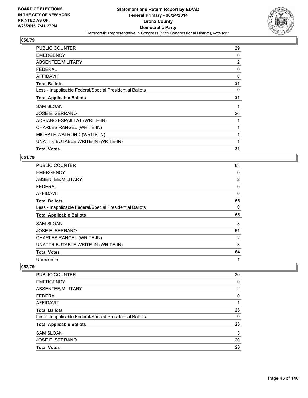

| <b>PUBLIC COUNTER</b>                                    | 29 |
|----------------------------------------------------------|----|
| <b>EMERGENCY</b>                                         | 0  |
| ABSENTEE/MILITARY                                        | 2  |
| <b>FEDERAL</b>                                           | 0  |
| <b>AFFIDAVIT</b>                                         | 0  |
| <b>Total Ballots</b>                                     | 31 |
| Less - Inapplicable Federal/Special Presidential Ballots | 0  |
| <b>Total Applicable Ballots</b>                          | 31 |
| <b>SAM SLOAN</b>                                         |    |
| JOSE E. SERRANO                                          | 26 |
| ADRIANO ESPAILLAT (WRITE-IN)                             | 1  |
| CHARLES RANGEL (WRITE-IN)                                | 1  |
| MICHALE WALROND (WRITE-IN)                               |    |
| UNATTRIBUTABLE WRITE-IN (WRITE-IN)                       | 1  |
| <b>Total Votes</b>                                       | 31 |

### **051/79**

| <b>PUBLIC COUNTER</b>                                    | 63             |
|----------------------------------------------------------|----------------|
| <b>EMERGENCY</b>                                         | 0              |
| ABSENTEE/MILITARY                                        | $\overline{2}$ |
| <b>FEDERAL</b>                                           | 0              |
| AFFIDAVIT                                                | 0              |
| <b>Total Ballots</b>                                     | 65             |
| Less - Inapplicable Federal/Special Presidential Ballots | 0              |
| <b>Total Applicable Ballots</b>                          | 65             |
| <b>SAM SLOAN</b>                                         | 8              |
| JOSE E. SERRANO                                          | 51             |
| CHARLES RANGEL (WRITE-IN)                                | 2              |
| UNATTRIBUTABLE WRITE-IN (WRITE-IN)                       | 3              |
| <b>Total Votes</b>                                       | 64             |
| Unrecorded                                               | 1              |

| 20 |
|----|
| 0  |
| 2  |
| 0  |
| 1  |
| 23 |
| 0  |
| 23 |
| 3  |
| 20 |
| 23 |
|    |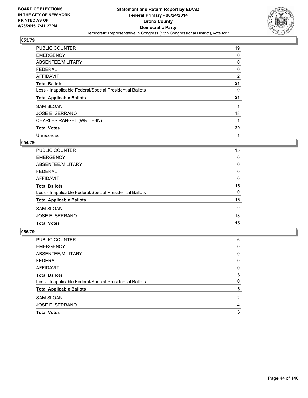

| PUBLIC COUNTER                                           | 19 |
|----------------------------------------------------------|----|
| <b>EMERGENCY</b>                                         | 0  |
| ABSENTEE/MILITARY                                        | 0  |
| <b>FEDERAL</b>                                           | 0  |
| AFFIDAVIT                                                | 2  |
| <b>Total Ballots</b>                                     | 21 |
| Less - Inapplicable Federal/Special Presidential Ballots | 0  |
| <b>Total Applicable Ballots</b>                          | 21 |
| <b>SAM SLOAN</b>                                         |    |
| JOSE E. SERRANO                                          | 18 |
| CHARLES RANGEL (WRITE-IN)                                | 1  |
| <b>Total Votes</b>                                       | 20 |
| Unrecorded                                               | 1  |

## **054/79**

| <b>PUBLIC COUNTER</b>                                    | 15 |
|----------------------------------------------------------|----|
| <b>EMERGENCY</b>                                         | 0  |
| ABSENTEE/MILITARY                                        | 0  |
| <b>FEDERAL</b>                                           | 0  |
| AFFIDAVIT                                                | 0  |
| <b>Total Ballots</b>                                     | 15 |
| Less - Inapplicable Federal/Special Presidential Ballots | 0  |
| <b>Total Applicable Ballots</b>                          | 15 |
| <b>SAM SLOAN</b>                                         | 2  |
| JOSE E. SERRANO                                          | 13 |
| <b>Total Votes</b>                                       | 15 |

| 6              |
|----------------|
| 0              |
| 0              |
| 0              |
| 0              |
| 6              |
| 0              |
| 6              |
| $\overline{2}$ |
| 4              |
| 6              |
|                |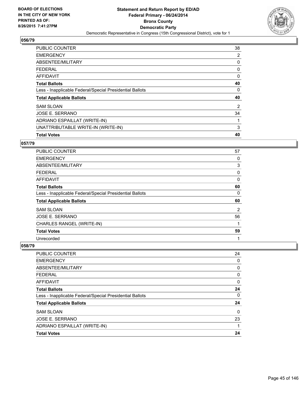

| <b>PUBLIC COUNTER</b>                                    | 38 |
|----------------------------------------------------------|----|
| <b>EMERGENCY</b>                                         | 2  |
| ABSENTEE/MILITARY                                        | 0  |
| <b>FEDERAL</b>                                           | 0  |
| <b>AFFIDAVIT</b>                                         | 0  |
| <b>Total Ballots</b>                                     | 40 |
| Less - Inapplicable Federal/Special Presidential Ballots | 0  |
| <b>Total Applicable Ballots</b>                          | 40 |
| <b>SAM SLOAN</b>                                         | 2  |
| JOSE E. SERRANO                                          | 34 |
| ADRIANO ESPAILLAT (WRITE-IN)                             |    |
| UNATTRIBUTABLE WRITE-IN (WRITE-IN)                       | 3  |
| <b>Total Votes</b>                                       | 40 |

## **057/79**

| PUBLIC COUNTER                                           | 57 |
|----------------------------------------------------------|----|
| <b>EMERGENCY</b>                                         | 0  |
| ABSENTEE/MILITARY                                        | 3  |
| <b>FEDERAL</b>                                           | 0  |
| <b>AFFIDAVIT</b>                                         | 0  |
| <b>Total Ballots</b>                                     | 60 |
| Less - Inapplicable Federal/Special Presidential Ballots | 0  |
| <b>Total Applicable Ballots</b>                          | 60 |
| <b>SAM SLOAN</b>                                         | 2  |
| JOSE E. SERRANO                                          | 56 |
| CHARLES RANGEL (WRITE-IN)                                | 1  |
| <b>Total Votes</b>                                       | 59 |
| Unrecorded                                               | 1  |

| <b>PUBLIC COUNTER</b>                                    | 24       |
|----------------------------------------------------------|----------|
| <b>EMERGENCY</b>                                         | 0        |
| ABSENTEE/MILITARY                                        | 0        |
| FEDERAL                                                  | 0        |
| <b>AFFIDAVIT</b>                                         | 0        |
| <b>Total Ballots</b>                                     | 24       |
| Less - Inapplicable Federal/Special Presidential Ballots | 0        |
| <b>Total Applicable Ballots</b>                          | 24       |
| <b>SAM SLOAN</b>                                         | $\Omega$ |
| JOSE E. SERRANO                                          | 23       |
| ADRIANO ESPAILLAT (WRITE-IN)                             |          |
| <b>Total Votes</b>                                       | 24       |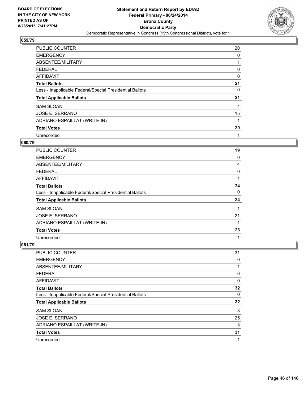

| <b>PUBLIC COUNTER</b>                                    | 20 |
|----------------------------------------------------------|----|
| <b>EMERGENCY</b>                                         | 0  |
| ABSENTEE/MILITARY                                        | 1  |
| <b>FEDERAL</b>                                           | 0  |
| <b>AFFIDAVIT</b>                                         | 0  |
| <b>Total Ballots</b>                                     | 21 |
| Less - Inapplicable Federal/Special Presidential Ballots | 0  |
| <b>Total Applicable Ballots</b>                          | 21 |
| <b>SAM SLOAN</b>                                         | 4  |
| <b>JOSE E. SERRANO</b>                                   | 15 |
| ADRIANO ESPAILLAT (WRITE-IN)                             | 1  |
| <b>Total Votes</b>                                       | 20 |
| Unrecorded                                               | 1  |

# **060/79**

| <b>PUBLIC COUNTER</b>                                    | 19 |
|----------------------------------------------------------|----|
| <b>EMERGENCY</b>                                         | 0  |
| ABSENTEE/MILITARY                                        | 4  |
| FEDERAL                                                  | 0  |
| <b>AFFIDAVIT</b>                                         |    |
| <b>Total Ballots</b>                                     | 24 |
| Less - Inapplicable Federal/Special Presidential Ballots | 0  |
| <b>Total Applicable Ballots</b>                          | 24 |
| <b>SAM SLOAN</b>                                         |    |
| JOSE E. SERRANO                                          | 21 |
| ADRIANO ESPAILLAT (WRITE-IN)                             |    |
| <b>Total Votes</b>                                       | 23 |
| Unrecorded                                               | 1  |

| <b>PUBLIC COUNTER</b>                                    | 31 |
|----------------------------------------------------------|----|
| <b>EMERGENCY</b>                                         | 0  |
| ABSENTEE/MILITARY                                        |    |
| FEDERAL                                                  | 0  |
| AFFIDAVIT                                                | 0  |
| <b>Total Ballots</b>                                     | 32 |
| Less - Inapplicable Federal/Special Presidential Ballots | 0  |
| <b>Total Applicable Ballots</b>                          | 32 |
| <b>SAM SLOAN</b>                                         | 3  |
| <b>JOSE E. SERRANO</b>                                   | 25 |
| ADRIANO ESPAILLAT (WRITE-IN)                             | 3  |
| <b>Total Votes</b>                                       | 31 |
| Unrecorded                                               | 1  |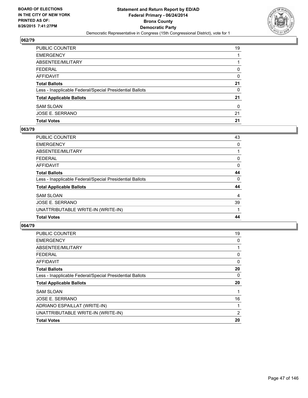

| PUBLIC COUNTER                                           | 19 |
|----------------------------------------------------------|----|
| EMERGENCY                                                |    |
| ABSENTEE/MILITARY                                        |    |
| FEDERAL                                                  | 0  |
| AFFIDAVIT                                                | 0  |
| <b>Total Ballots</b>                                     | 21 |
| Less - Inapplicable Federal/Special Presidential Ballots | 0  |
| <b>Total Applicable Ballots</b>                          | 21 |
| SAM SLOAN                                                | 0  |
| JOSE E. SERRANO                                          | 21 |
| <b>Total Votes</b>                                       | 21 |

## **063/79**

| <b>PUBLIC COUNTER</b>                                    | 43 |
|----------------------------------------------------------|----|
| <b>EMERGENCY</b>                                         | 0  |
| ABSENTEE/MILITARY                                        |    |
| <b>FEDERAL</b>                                           | 0  |
| <b>AFFIDAVIT</b>                                         | 0  |
| <b>Total Ballots</b>                                     | 44 |
| Less - Inapplicable Federal/Special Presidential Ballots | 0  |
| <b>Total Applicable Ballots</b>                          | 44 |
| <b>SAM SLOAN</b>                                         | 4  |
| JOSE E. SERRANO                                          | 39 |
| UNATTRIBUTABLE WRITE-IN (WRITE-IN)                       |    |
| <b>Total Votes</b>                                       | 44 |
|                                                          |    |

| PUBLIC COUNTER                                           | 19 |
|----------------------------------------------------------|----|
| <b>EMERGENCY</b>                                         | 0  |
| ABSENTEE/MILITARY                                        |    |
| FEDERAL                                                  | 0  |
| AFFIDAVIT                                                | 0  |
| <b>Total Ballots</b>                                     | 20 |
| Less - Inapplicable Federal/Special Presidential Ballots | 0  |
| <b>Total Applicable Ballots</b>                          | 20 |
| <b>SAM SLOAN</b>                                         | 1  |
| JOSE E. SERRANO                                          | 16 |
| ADRIANO ESPAILLAT (WRITE-IN)                             | 1  |
| UNATTRIBUTABLE WRITE-IN (WRITE-IN)                       | 2  |
| <b>Total Votes</b>                                       | 20 |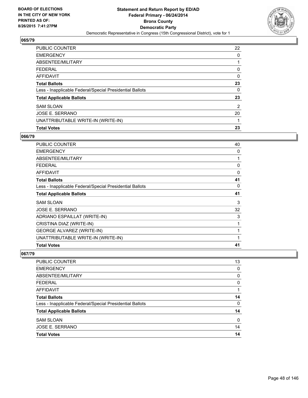

| PUBLIC COUNTER                                           | 22 |
|----------------------------------------------------------|----|
| <b>EMERGENCY</b>                                         | 0  |
| ABSENTEE/MILITARY                                        |    |
| <b>FEDERAL</b>                                           | 0  |
| <b>AFFIDAVIT</b>                                         | 0  |
| <b>Total Ballots</b>                                     | 23 |
| Less - Inapplicable Federal/Special Presidential Ballots | 0  |
| <b>Total Applicable Ballots</b>                          | 23 |
| <b>SAM SLOAN</b>                                         | 2  |
| JOSE E. SERRANO                                          | 20 |
| UNATTRIBUTABLE WRITE-IN (WRITE-IN)                       | 1  |
| <b>Total Votes</b>                                       | 23 |

### **066/79**

| PUBLIC COUNTER                                           | 40 |
|----------------------------------------------------------|----|
| <b>EMERGENCY</b>                                         | 0  |
| ABSENTEE/MILITARY                                        | 1  |
| <b>FEDERAL</b>                                           | 0  |
| <b>AFFIDAVIT</b>                                         | 0  |
| <b>Total Ballots</b>                                     | 41 |
| Less - Inapplicable Federal/Special Presidential Ballots | 0  |
| <b>Total Applicable Ballots</b>                          | 41 |
| <b>SAM SLOAN</b>                                         | 3  |
| JOSE E. SERRANO                                          | 32 |
| ADRIANO ESPAILLAT (WRITE-IN)                             | 3  |
| CRISTINA DIAZ (WRITE-IN)                                 | 1  |
| <b>GEORGE ALVAREZ (WRITE-IN)</b>                         | 1  |
| UNATTRIBUTABLE WRITE-IN (WRITE-IN)                       | 1  |
| <b>Total Votes</b>                                       | 41 |

| <b>Total Votes</b>                                       | 14 |
|----------------------------------------------------------|----|
| JOSE E. SERRANO                                          | 14 |
| <b>SAM SLOAN</b>                                         | 0  |
| <b>Total Applicable Ballots</b>                          | 14 |
| Less - Inapplicable Federal/Special Presidential Ballots | 0  |
| <b>Total Ballots</b>                                     | 14 |
| <b>AFFIDAVIT</b>                                         | 1  |
| <b>FEDERAL</b>                                           | 0  |
| ABSENTEE/MILITARY                                        | 0  |
| <b>EMERGENCY</b>                                         | 0  |
| PUBLIC COUNTER                                           | 13 |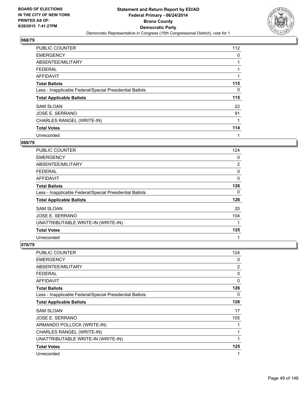

| <b>PUBLIC COUNTER</b>                                    | 112 |
|----------------------------------------------------------|-----|
| <b>EMERGENCY</b>                                         | 0   |
| ABSENTEE/MILITARY                                        | 1   |
| <b>FEDERAL</b>                                           |     |
| AFFIDAVIT                                                | 1   |
| <b>Total Ballots</b>                                     | 115 |
| Less - Inapplicable Federal/Special Presidential Ballots | 0   |
| <b>Total Applicable Ballots</b>                          | 115 |
| <b>SAM SLOAN</b>                                         | 22  |
| JOSE E. SERRANO                                          | 91  |
| CHARLES RANGEL (WRITE-IN)                                | 1   |
| <b>Total Votes</b>                                       | 114 |
| Unrecorded                                               | 1   |

#### **069/79**

| <b>PUBLIC COUNTER</b>                                    | 124            |
|----------------------------------------------------------|----------------|
| <b>EMERGENCY</b>                                         | 0              |
| ABSENTEE/MILITARY                                        | $\overline{2}$ |
| <b>FEDERAL</b>                                           | 0              |
| AFFIDAVIT                                                | 0              |
| <b>Total Ballots</b>                                     | 126            |
| Less - Inapplicable Federal/Special Presidential Ballots | 0              |
| <b>Total Applicable Ballots</b>                          | 126            |
| <b>SAM SLOAN</b>                                         | 20             |
| JOSE E. SERRANO                                          | 104            |
| UNATTRIBUTABLE WRITE-IN (WRITE-IN)                       | 1              |
| <b>Total Votes</b>                                       | 125            |
| Unrecorded                                               | 1              |

| PUBLIC COUNTER                                           | 124            |
|----------------------------------------------------------|----------------|
| <b>EMERGENCY</b>                                         | 0              |
| ABSENTEE/MILITARY                                        | $\overline{2}$ |
| <b>FEDERAL</b>                                           | 0              |
| <b>AFFIDAVIT</b>                                         | $\Omega$       |
| <b>Total Ballots</b>                                     | 126            |
| Less - Inapplicable Federal/Special Presidential Ballots | 0              |
| <b>Total Applicable Ballots</b>                          | 126            |
| <b>SAM SLOAN</b>                                         | 17             |
| JOSE E. SERRANO                                          | 105            |
| ARMANDO POLLOCK (WRITE-IN)                               | 1              |
| CHARLES RANGEL (WRITE-IN)                                | 1              |
| UNATTRIBUTABLE WRITE-IN (WRITE-IN)                       | 1              |
| <b>Total Votes</b>                                       | 125            |
| Unrecorded                                               | 1              |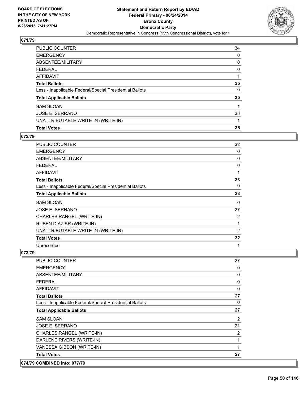

| <b>PUBLIC COUNTER</b>                                    | 34 |
|----------------------------------------------------------|----|
| <b>EMERGENCY</b>                                         | 0  |
| ABSENTEE/MILITARY                                        | 0  |
| <b>FEDERAL</b>                                           | 0  |
| <b>AFFIDAVIT</b>                                         |    |
| <b>Total Ballots</b>                                     | 35 |
| Less - Inapplicable Federal/Special Presidential Ballots | 0  |
| <b>Total Applicable Ballots</b>                          | 35 |
| <b>SAM SLOAN</b>                                         | 1  |
| <b>JOSE E. SERRANO</b>                                   | 33 |
| UNATTRIBUTABLE WRITE-IN (WRITE-IN)                       | 1  |
| <b>Total Votes</b>                                       | 35 |

### **072/79**

| <b>PUBLIC COUNTER</b>                                    | 32 |
|----------------------------------------------------------|----|
| <b>EMERGENCY</b>                                         | 0  |
| ABSENTEE/MILITARY                                        | 0  |
| <b>FEDERAL</b>                                           | 0  |
| <b>AFFIDAVIT</b>                                         | 1  |
| <b>Total Ballots</b>                                     | 33 |
| Less - Inapplicable Federal/Special Presidential Ballots | 0  |
| <b>Total Applicable Ballots</b>                          | 33 |
| <b>SAM SLOAN</b>                                         | 0  |
| JOSE E. SERRANO                                          | 27 |
| CHARLES RANGEL (WRITE-IN)                                | 2  |
| RUBEN DIAZ SR (WRITE-IN)                                 | 1  |
| UNATTRIBUTABLE WRITE-IN (WRITE-IN)                       | 2  |
| <b>Total Votes</b>                                       | 32 |
| Unrecorded                                               | 1  |

| <b>PUBLIC COUNTER</b>                                    | 27             |
|----------------------------------------------------------|----------------|
| <b>EMERGENCY</b>                                         | 0              |
| ABSENTEE/MILITARY                                        | 0              |
| <b>FEDERAL</b>                                           | 0              |
| <b>AFFIDAVIT</b>                                         | 0              |
| <b>Total Ballots</b>                                     | 27             |
| Less - Inapplicable Federal/Special Presidential Ballots | 0              |
| <b>Total Applicable Ballots</b>                          | 27             |
| <b>SAM SLOAN</b>                                         | 2              |
| JOSE E. SERRANO                                          | 21             |
| CHARLES RANGEL (WRITE-IN)                                | $\overline{2}$ |
| DARLENE RIVERS (WRITE-IN)                                | 1              |
| VANESSA GIBSON (WRITE-IN)                                | $\mathbf{1}$   |
| <b>Total Votes</b>                                       | 27             |
| 074/79 COMBINED into: 077/79                             |                |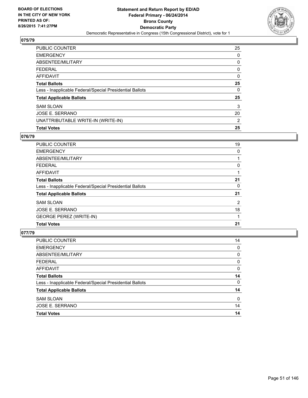

| PUBLIC COUNTER                                           | 25 |
|----------------------------------------------------------|----|
| <b>EMERGENCY</b>                                         | 0  |
| ABSENTEE/MILITARY                                        | 0  |
| <b>FEDERAL</b>                                           | 0  |
| <b>AFFIDAVIT</b>                                         | 0  |
| <b>Total Ballots</b>                                     | 25 |
| Less - Inapplicable Federal/Special Presidential Ballots | 0  |
| <b>Total Applicable Ballots</b>                          | 25 |
| <b>SAM SLOAN</b>                                         | 3  |
| JOSE E. SERRANO                                          | 20 |
| UNATTRIBUTABLE WRITE-IN (WRITE-IN)                       | 2  |
| <b>Total Votes</b>                                       | 25 |

### **076/79**

| <b>PUBLIC COUNTER</b>                                    | 19 |
|----------------------------------------------------------|----|
| <b>EMERGENCY</b>                                         | 0  |
| ABSENTEE/MILITARY                                        |    |
| <b>FEDERAL</b>                                           | 0  |
| <b>AFFIDAVIT</b>                                         |    |
| <b>Total Ballots</b>                                     | 21 |
| Less - Inapplicable Federal/Special Presidential Ballots | 0  |
| <b>Total Applicable Ballots</b>                          | 21 |
| <b>SAM SLOAN</b>                                         | 2  |
| <b>JOSE E. SERRANO</b>                                   | 18 |
| <b>GEORGE PEREZ (WRITE-IN)</b>                           | 1  |
| <b>Total Votes</b>                                       | 21 |

| <b>Total Votes</b>                                       | 14 |
|----------------------------------------------------------|----|
| <b>JOSE E. SERRANO</b>                                   | 14 |
| <b>SAM SLOAN</b>                                         | 0  |
| <b>Total Applicable Ballots</b>                          | 14 |
| Less - Inapplicable Federal/Special Presidential Ballots | 0  |
| <b>Total Ballots</b>                                     | 14 |
| <b>AFFIDAVIT</b>                                         | 0  |
| <b>FEDERAL</b>                                           | 0  |
| ABSENTEE/MILITARY                                        | 0  |
| <b>EMERGENCY</b>                                         | 0  |
| <b>PUBLIC COUNTER</b>                                    | 14 |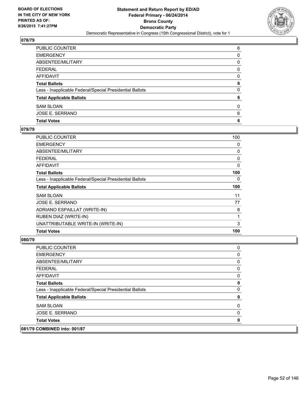

| PUBLIC COUNTER                                           | 6            |
|----------------------------------------------------------|--------------|
| EMERGENCY                                                | 0            |
| ABSENTEE/MILITARY                                        | 0            |
| FEDERAL                                                  | $\mathbf{0}$ |
| AFFIDAVIT                                                | 0            |
| <b>Total Ballots</b>                                     | 6            |
| Less - Inapplicable Federal/Special Presidential Ballots | 0            |
| <b>Total Applicable Ballots</b>                          | 6            |
| <b>SAM SLOAN</b>                                         | 0            |
| JOSE E. SERRANO                                          | 6            |
| <b>Total Votes</b>                                       | 6            |

## **079/79**

| <b>PUBLIC COUNTER</b>                                    | 100 |
|----------------------------------------------------------|-----|
| <b>EMERGENCY</b>                                         | 0   |
| ABSENTEE/MILITARY                                        | 0   |
| <b>FEDERAL</b>                                           | 0   |
| AFFIDAVIT                                                | 0   |
| <b>Total Ballots</b>                                     | 100 |
| Less - Inapplicable Federal/Special Presidential Ballots | 0   |
| <b>Total Applicable Ballots</b>                          | 100 |
| <b>SAM SLOAN</b>                                         | 11  |
| JOSE E. SERRANO                                          | 77  |
| ADRIANO ESPAILLAT (WRITE-IN)                             | 8   |
| RUBEN DIAZ (WRITE-IN)                                    | 1   |
| UNATTRIBUTABLE WRITE-IN (WRITE-IN)                       | 3   |
| <b>Total Votes</b>                                       | 100 |

| PUBLIC COUNTER                                           | 0        |
|----------------------------------------------------------|----------|
| <b>EMERGENCY</b>                                         | 0        |
| ABSENTEE/MILITARY                                        | 0        |
| <b>FEDERAL</b>                                           | 0        |
| AFFIDAVIT                                                | $\Omega$ |
| <b>Total Ballots</b>                                     | 0        |
| Less - Inapplicable Federal/Special Presidential Ballots | $\Omega$ |
| <b>Total Applicable Ballots</b>                          | 0        |
| <b>SAM SLOAN</b>                                         | 0        |
| JOSE E. SERRANO                                          | 0        |
| <b>Total Votes</b>                                       | 0        |
| 081/79 COMBINED into: 001/87                             |          |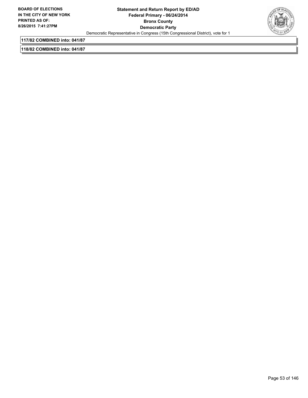

**117/82 COMBINED into: 041/87**

**118/82 COMBINED into: 041/87**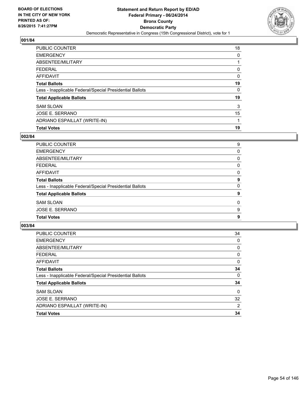

| <b>PUBLIC COUNTER</b>                                    | 18 |
|----------------------------------------------------------|----|
| <b>EMERGENCY</b>                                         | 0  |
| ABSENTEE/MILITARY                                        |    |
| <b>FEDERAL</b>                                           | 0  |
| <b>AFFIDAVIT</b>                                         | 0  |
| <b>Total Ballots</b>                                     | 19 |
| Less - Inapplicable Federal/Special Presidential Ballots | 0  |
| <b>Total Applicable Ballots</b>                          | 19 |
| <b>SAM SLOAN</b>                                         | 3  |
| JOSE E. SERRANO                                          | 15 |
| ADRIANO ESPAILLAT (WRITE-IN)                             |    |
| <b>Total Votes</b>                                       | 19 |

## **002/84**

| <b>PUBLIC COUNTER</b>                                    | 9 |
|----------------------------------------------------------|---|
| <b>EMERGENCY</b>                                         | 0 |
| ABSENTEE/MILITARY                                        | 0 |
| <b>FEDERAL</b>                                           | 0 |
| <b>AFFIDAVIT</b>                                         | 0 |
| <b>Total Ballots</b>                                     | 9 |
| Less - Inapplicable Federal/Special Presidential Ballots | 0 |
| <b>Total Applicable Ballots</b>                          | 9 |
| <b>SAM SLOAN</b>                                         | 0 |
| <b>JOSE E. SERRANO</b>                                   | 9 |
| <b>Total Votes</b>                                       | 9 |
|                                                          |   |

| <b>PUBLIC COUNTER</b>                                    | 34 |
|----------------------------------------------------------|----|
| <b>EMERGENCY</b>                                         | 0  |
| ABSENTEE/MILITARY                                        | 0  |
| FEDERAL                                                  | 0  |
| AFFIDAVIT                                                | 0  |
| <b>Total Ballots</b>                                     | 34 |
| Less - Inapplicable Federal/Special Presidential Ballots | 0  |
| <b>Total Applicable Ballots</b>                          | 34 |
| <b>SAM SLOAN</b>                                         | 0  |
| JOSE E. SERRANO                                          | 32 |
| ADRIANO ESPAILLAT (WRITE-IN)                             | 2  |
| <b>Total Votes</b>                                       | 34 |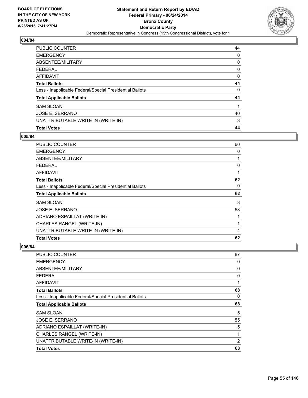

| PUBLIC COUNTER                                           | 44 |
|----------------------------------------------------------|----|
| <b>EMERGENCY</b>                                         | 0  |
| ABSENTEE/MILITARY                                        | 0  |
| <b>FEDERAL</b>                                           | 0  |
| <b>AFFIDAVIT</b>                                         | 0  |
| <b>Total Ballots</b>                                     | 44 |
| Less - Inapplicable Federal/Special Presidential Ballots | 0  |
| <b>Total Applicable Ballots</b>                          | 44 |
| <b>SAM SLOAN</b>                                         | 1  |
| JOSE E. SERRANO                                          | 40 |
| UNATTRIBUTABLE WRITE-IN (WRITE-IN)                       | 3  |
| <b>Total Votes</b>                                       | 44 |

## **005/84**

| <b>PUBLIC COUNTER</b>                                    | 60           |
|----------------------------------------------------------|--------------|
| <b>EMERGENCY</b>                                         | 0            |
| ABSENTEE/MILITARY                                        | 1            |
| <b>FEDERAL</b>                                           | 0            |
| AFFIDAVIT                                                | $\mathbf{1}$ |
| <b>Total Ballots</b>                                     | 62           |
| Less - Inapplicable Federal/Special Presidential Ballots | 0            |
| <b>Total Applicable Ballots</b>                          | 62           |
| <b>SAM SLOAN</b>                                         | 3            |
| JOSE E. SERRANO                                          | 53           |
| ADRIANO ESPAILLAT (WRITE-IN)                             | 1            |
| CHARLES RANGEL (WRITE-IN)                                | 1            |
| UNATTRIBUTABLE WRITE-IN (WRITE-IN)                       | 4            |
|                                                          |              |
| <b>Total Votes</b>                                       | 62           |

| PUBLIC COUNTER                                           | 67 |
|----------------------------------------------------------|----|
| <b>EMERGENCY</b>                                         | 0  |
| ABSENTEE/MILITARY                                        | 0  |
| <b>FEDERAL</b>                                           | 0  |
| <b>AFFIDAVIT</b>                                         | 1  |
| <b>Total Ballots</b>                                     | 68 |
| Less - Inapplicable Federal/Special Presidential Ballots | 0  |
| <b>Total Applicable Ballots</b>                          | 68 |
| <b>SAM SLOAN</b>                                         | 5  |
| JOSE E. SERRANO                                          | 55 |
| ADRIANO ESPAILLAT (WRITE-IN)                             | 5  |
| CHARLES RANGEL (WRITE-IN)                                | 1  |
| UNATTRIBUTABLE WRITE-IN (WRITE-IN)                       | 2  |
| <b>Total Votes</b>                                       | 68 |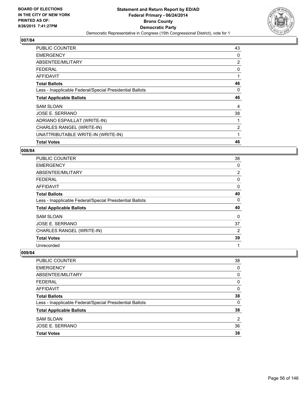

| <b>PUBLIC COUNTER</b>                                    | 43             |
|----------------------------------------------------------|----------------|
| <b>EMERGENCY</b>                                         | 0              |
| ABSENTEE/MILITARY                                        | $\overline{2}$ |
| <b>FEDERAL</b>                                           | 0              |
| <b>AFFIDAVIT</b>                                         |                |
| <b>Total Ballots</b>                                     | 46             |
| Less - Inapplicable Federal/Special Presidential Ballots | 0              |
|                                                          |                |
| <b>Total Applicable Ballots</b>                          | 46             |
| <b>SAM SLOAN</b>                                         | 4              |
| JOSE E. SERRANO                                          | 38             |
| ADRIANO ESPAILLAT (WRITE-IN)                             |                |
| CHARLES RANGEL (WRITE-IN)                                | $\overline{2}$ |
| UNATTRIBUTABLE WRITE-IN (WRITE-IN)                       |                |

#### **008/84**

| <b>PUBLIC COUNTER</b>                                    | 38 |
|----------------------------------------------------------|----|
| <b>EMERGENCY</b>                                         | 0  |
| ABSENTEE/MILITARY                                        | 2  |
| <b>FEDERAL</b>                                           | 0  |
| AFFIDAVIT                                                | 0  |
| <b>Total Ballots</b>                                     | 40 |
| Less - Inapplicable Federal/Special Presidential Ballots | 0  |
| <b>Total Applicable Ballots</b>                          | 40 |
| <b>SAM SLOAN</b>                                         | 0  |
| JOSE E. SERRANO                                          | 37 |
| CHARLES RANGEL (WRITE-IN)                                | 2  |
| <b>Total Votes</b>                                       | 39 |
| Unrecorded                                               | 1  |

| PUBLIC COUNTER                                           | 38       |
|----------------------------------------------------------|----------|
| <b>EMERGENCY</b>                                         | $\Omega$ |
| ABSENTEE/MILITARY                                        | 0        |
| <b>FEDERAL</b>                                           | 0        |
| <b>AFFIDAVIT</b>                                         | 0        |
| <b>Total Ballots</b>                                     | 38       |
| Less - Inapplicable Federal/Special Presidential Ballots | 0        |
| <b>Total Applicable Ballots</b>                          | 38       |
| <b>SAM SLOAN</b>                                         | 2        |
| <b>JOSE E. SERRANO</b>                                   | 36       |
| <b>Total Votes</b>                                       | 38       |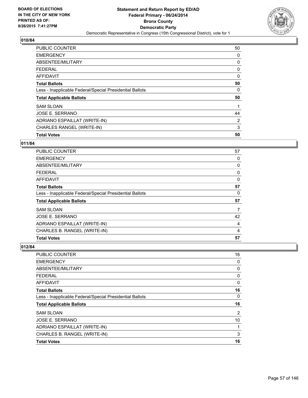

| <b>PUBLIC COUNTER</b>                                    | 50 |
|----------------------------------------------------------|----|
| <b>EMERGENCY</b>                                         | 0  |
| ABSENTEE/MILITARY                                        | 0  |
| <b>FEDERAL</b>                                           | 0  |
| <b>AFFIDAVIT</b>                                         | 0  |
| <b>Total Ballots</b>                                     | 50 |
| Less - Inapplicable Federal/Special Presidential Ballots | 0  |
| <b>Total Applicable Ballots</b>                          | 50 |
| <b>SAM SLOAN</b>                                         | 1  |
| JOSE E. SERRANO                                          | 44 |
| ADRIANO ESPAILLAT (WRITE-IN)                             | 2  |
| CHARLES RANGEL (WRITE-IN)                                | 3  |
| <b>Total Votes</b>                                       | 50 |

## **011/84**

| <b>PUBLIC COUNTER</b>                                    | 57 |
|----------------------------------------------------------|----|
| <b>EMERGENCY</b>                                         | 0  |
| ABSENTEE/MILITARY                                        | 0  |
| <b>FEDERAL</b>                                           | 0  |
| AFFIDAVIT                                                | 0  |
| <b>Total Ballots</b>                                     | 57 |
| Less - Inapplicable Federal/Special Presidential Ballots | 0  |
| <b>Total Applicable Ballots</b>                          | 57 |
| <b>SAM SLOAN</b>                                         | 7  |
| <b>JOSE E. SERRANO</b>                                   | 42 |
| ADRIANO ESPAILLAT (WRITE-IN)                             | 4  |
| CHARLES B. RANGEL (WRITE-IN)                             | 4  |
| <b>Total Votes</b>                                       | 57 |

| <b>Total Votes</b>                                       | 16 |
|----------------------------------------------------------|----|
| CHARLES B. RANGEL (WRITE-IN)                             | 3  |
| ADRIANO ESPAILLAT (WRITE-IN)                             |    |
| JOSE E. SERRANO                                          | 10 |
| <b>SAM SLOAN</b>                                         | 2  |
| <b>Total Applicable Ballots</b>                          | 16 |
| Less - Inapplicable Federal/Special Presidential Ballots | 0  |
| <b>Total Ballots</b>                                     | 16 |
| <b>AFFIDAVIT</b>                                         | 0  |
| <b>FEDERAL</b>                                           | 0  |
| ABSENTEE/MILITARY                                        | 0  |
| <b>EMERGENCY</b>                                         | 0  |
| PUBLIC COUNTER                                           | 16 |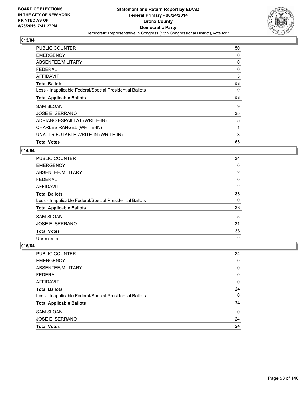

| <b>PUBLIC COUNTER</b>                                    | 50 |
|----------------------------------------------------------|----|
| <b>EMERGENCY</b>                                         | 0  |
| ABSENTEE/MILITARY                                        | 0  |
| <b>FEDERAL</b>                                           | 0  |
| AFFIDAVIT                                                | 3  |
| <b>Total Ballots</b>                                     | 53 |
| Less - Inapplicable Federal/Special Presidential Ballots | 0  |
|                                                          |    |
| <b>Total Applicable Ballots</b>                          | 53 |
| SAM SLOAN                                                | 9  |
| JOSE E. SERRANO                                          | 35 |
| ADRIANO ESPAILLAT (WRITE-IN)                             | 5  |
| CHARLES RANGEL (WRITE-IN)                                |    |
| UNATTRIBUTABLE WRITE-IN (WRITE-IN)                       | 3  |

#### **014/84**

| <b>PUBLIC COUNTER</b>                                    | 34             |
|----------------------------------------------------------|----------------|
| <b>EMERGENCY</b>                                         | 0              |
| ABSENTEE/MILITARY                                        | $\overline{2}$ |
| <b>FEDERAL</b>                                           | 0              |
| AFFIDAVIT                                                | $\overline{2}$ |
| <b>Total Ballots</b>                                     | 38             |
| Less - Inapplicable Federal/Special Presidential Ballots | 0              |
| <b>Total Applicable Ballots</b>                          | 38             |
| <b>SAM SLOAN</b>                                         | 5              |
| JOSE E. SERRANO                                          | 31             |
| <b>Total Votes</b>                                       | 36             |
| Unrecorded                                               | $\overline{2}$ |

| PUBLIC COUNTER                                           | 24 |
|----------------------------------------------------------|----|
| <b>EMERGENCY</b>                                         | 0  |
| ABSENTEE/MILITARY                                        | 0  |
| <b>FEDERAL</b>                                           | 0  |
| <b>AFFIDAVIT</b>                                         | 0  |
| <b>Total Ballots</b>                                     | 24 |
| Less - Inapplicable Federal/Special Presidential Ballots | 0  |
| <b>Total Applicable Ballots</b>                          | 24 |
| <b>SAM SLOAN</b>                                         | 0  |
| <b>JOSE E. SERRANO</b>                                   | 24 |
| <b>Total Votes</b>                                       | 24 |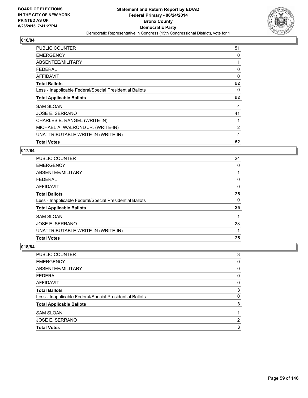

| <b>PUBLIC COUNTER</b>                                    | 51             |
|----------------------------------------------------------|----------------|
| <b>EMERGENCY</b>                                         | 0              |
| ABSENTEE/MILITARY                                        |                |
| <b>FEDERAL</b>                                           | 0              |
| AFFIDAVIT                                                | 0              |
| <b>Total Ballots</b>                                     | 52             |
| Less - Inapplicable Federal/Special Presidential Ballots | 0              |
|                                                          |                |
| <b>Total Applicable Ballots</b>                          | 52             |
| <b>SAM SLOAN</b>                                         | 4              |
| JOSE E. SERRANO                                          | 41             |
| CHARLES B. RANGEL (WRITE-IN)                             |                |
| MICHAEL A. WALROND JR. (WRITE-IN)                        | $\overline{2}$ |
| UNATTRIBUTABLE WRITE-IN (WRITE-IN)                       | 4              |

#### **017/84**

| PUBLIC COUNTER                                           | 24 |
|----------------------------------------------------------|----|
| <b>EMERGENCY</b>                                         | 0  |
| ABSENTEE/MILITARY                                        |    |
| <b>FEDERAL</b>                                           | 0  |
| <b>AFFIDAVIT</b>                                         | 0  |
| <b>Total Ballots</b>                                     | 25 |
| Less - Inapplicable Federal/Special Presidential Ballots | 0  |
| <b>Total Applicable Ballots</b>                          | 25 |
| <b>SAM SLOAN</b>                                         |    |
| JOSE E. SERRANO                                          | 23 |
| UNATTRIBUTABLE WRITE-IN (WRITE-IN)                       |    |
| <b>Total Votes</b>                                       | 25 |

| PUBLIC COUNTER                                           | 3 |
|----------------------------------------------------------|---|
| <b>EMERGENCY</b>                                         | 0 |
| ABSENTEE/MILITARY                                        | 0 |
| <b>FEDERAL</b>                                           | 0 |
| AFFIDAVIT                                                | 0 |
| <b>Total Ballots</b>                                     | 3 |
| Less - Inapplicable Federal/Special Presidential Ballots | 0 |
| <b>Total Applicable Ballots</b>                          | 3 |
| <b>SAM SLOAN</b>                                         |   |
| JOSE E. SERRANO                                          | 2 |
| <b>Total Votes</b>                                       | 3 |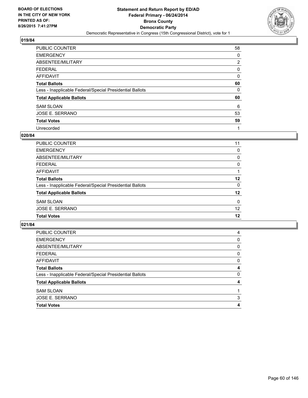

| <b>PUBLIC COUNTER</b>                                    | 58 |
|----------------------------------------------------------|----|
| <b>EMERGENCY</b>                                         | 0  |
| ABSENTEE/MILITARY                                        | 2  |
| <b>FEDERAL</b>                                           | 0  |
| <b>AFFIDAVIT</b>                                         | 0  |
| <b>Total Ballots</b>                                     | 60 |
| Less - Inapplicable Federal/Special Presidential Ballots | 0  |
| <b>Total Applicable Ballots</b>                          | 60 |
| <b>SAM SLOAN</b>                                         | 6  |
| <b>JOSE E. SERRANO</b>                                   | 53 |
| <b>Total Votes</b>                                       | 59 |
| Unrecorded                                               | 1  |

#### **020/84**

| <b>PUBLIC COUNTER</b>                                    | 11       |
|----------------------------------------------------------|----------|
| <b>EMERGENCY</b>                                         | 0        |
| <b>ABSENTEE/MILITARY</b>                                 | 0        |
| <b>FEDERAL</b>                                           | 0        |
| <b>AFFIDAVIT</b>                                         |          |
| <b>Total Ballots</b>                                     | 12       |
| Less - Inapplicable Federal/Special Presidential Ballots | 0        |
| <b>Total Applicable Ballots</b>                          | 12       |
| <b>SAM SLOAN</b>                                         | $\Omega$ |
| JOSE E. SERRANO                                          | 12       |
| <b>Total Votes</b>                                       | 12       |
|                                                          |          |

| PUBLIC COUNTER                                           | 4 |
|----------------------------------------------------------|---|
| <b>EMERGENCY</b>                                         | 0 |
| ABSENTEE/MILITARY                                        | 0 |
| <b>FEDERAL</b>                                           | 0 |
| <b>AFFIDAVIT</b>                                         | 0 |
| <b>Total Ballots</b>                                     | 4 |
| Less - Inapplicable Federal/Special Presidential Ballots | 0 |
| <b>Total Applicable Ballots</b>                          | 4 |
| <b>SAM SLOAN</b>                                         |   |
| <b>JOSE E. SERRANO</b>                                   | 3 |
| <b>Total Votes</b>                                       | 4 |
|                                                          |   |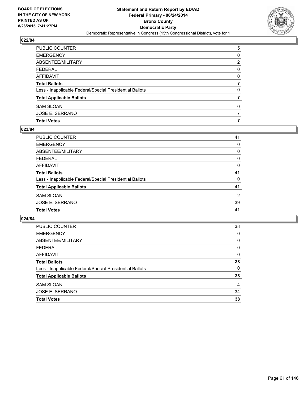

| PUBLIC COUNTER                                           | 5 |
|----------------------------------------------------------|---|
| <b>EMERGENCY</b>                                         | 0 |
| ABSENTEE/MILITARY                                        | 2 |
| <b>FEDERAL</b>                                           | 0 |
| <b>AFFIDAVIT</b>                                         | 0 |
| <b>Total Ballots</b>                                     |   |
| Less - Inapplicable Federal/Special Presidential Ballots | 0 |
| <b>Total Applicable Ballots</b>                          |   |
| <b>SAM SLOAN</b>                                         | 0 |
| <b>JOSE E. SERRANO</b>                                   |   |
| <b>Total Votes</b>                                       | 7 |

## **023/84**

| PUBLIC COUNTER                                           | 41             |
|----------------------------------------------------------|----------------|
| <b>EMERGENCY</b>                                         | 0              |
| ABSENTEE/MILITARY                                        | 0              |
| <b>FEDERAL</b>                                           | 0              |
| <b>AFFIDAVIT</b>                                         | $\Omega$       |
| <b>Total Ballots</b>                                     | 41             |
| Less - Inapplicable Federal/Special Presidential Ballots | 0              |
| <b>Total Applicable Ballots</b>                          | 41             |
| <b>SAM SLOAN</b>                                         | $\overline{2}$ |
| <b>JOSE E. SERRANO</b>                                   | 39             |
| <b>Total Votes</b>                                       | 41             |

| PUBLIC COUNTER                                           | 38 |
|----------------------------------------------------------|----|
| <b>EMERGENCY</b>                                         | 0  |
| ABSENTEE/MILITARY                                        | 0  |
| <b>FEDERAL</b>                                           | 0  |
| AFFIDAVIT                                                | 0  |
| <b>Total Ballots</b>                                     | 38 |
| Less - Inapplicable Federal/Special Presidential Ballots | 0  |
| <b>Total Applicable Ballots</b>                          | 38 |
| <b>SAM SLOAN</b>                                         | 4  |
| JOSE E. SERRANO                                          | 34 |
| <b>Total Votes</b>                                       | 38 |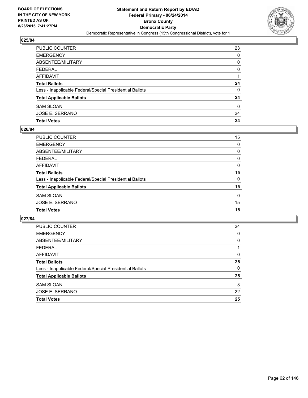

| PUBLIC COUNTER                                           | 23 |
|----------------------------------------------------------|----|
| <b>EMERGENCY</b>                                         | 0  |
| ABSENTEE/MILITARY                                        | 0  |
| <b>FEDERAL</b>                                           | 0  |
| <b>AFFIDAVIT</b>                                         |    |
| <b>Total Ballots</b>                                     | 24 |
| Less - Inapplicable Federal/Special Presidential Ballots | 0  |
| <b>Total Applicable Ballots</b>                          | 24 |
| <b>SAM SLOAN</b>                                         | 0  |
| JOSE E. SERRANO                                          | 24 |
| <b>Total Votes</b>                                       | 24 |

## **026/84**

| PUBLIC COUNTER                                           | 15       |
|----------------------------------------------------------|----------|
| <b>EMERGENCY</b>                                         | 0        |
| <b>ABSENTEE/MILITARY</b>                                 | 0        |
| <b>FEDERAL</b>                                           | 0        |
| <b>AFFIDAVIT</b>                                         | $\Omega$ |
| <b>Total Ballots</b>                                     | 15       |
| Less - Inapplicable Federal/Special Presidential Ballots | 0        |
| <b>Total Applicable Ballots</b>                          | 15       |
| <b>SAM SLOAN</b>                                         | 0        |
| <b>JOSE E. SERRANO</b>                                   | 15       |
| <b>Total Votes</b>                                       | 15       |
|                                                          |          |

| <b>PUBLIC COUNTER</b>                                    | 24 |
|----------------------------------------------------------|----|
| <b>EMERGENCY</b>                                         | 0  |
| ABSENTEE/MILITARY                                        | 0  |
| <b>FEDERAL</b>                                           |    |
| AFFIDAVIT                                                | 0  |
| <b>Total Ballots</b>                                     | 25 |
| Less - Inapplicable Federal/Special Presidential Ballots | 0  |
| <b>Total Applicable Ballots</b>                          | 25 |
| <b>SAM SLOAN</b>                                         | 3  |
| <b>JOSE E. SERRANO</b>                                   | 22 |
| <b>Total Votes</b>                                       | 25 |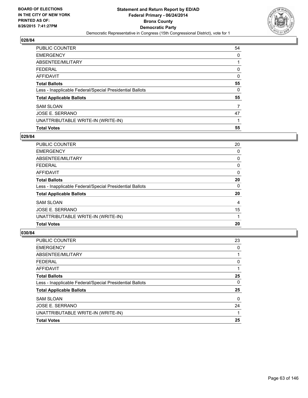

| <b>PUBLIC COUNTER</b>                                    | 54 |
|----------------------------------------------------------|----|
| <b>EMERGENCY</b>                                         | 0  |
| ABSENTEE/MILITARY                                        |    |
| <b>FEDERAL</b>                                           | 0  |
| <b>AFFIDAVIT</b>                                         | 0  |
| <b>Total Ballots</b>                                     | 55 |
| Less - Inapplicable Federal/Special Presidential Ballots | 0  |
| <b>Total Applicable Ballots</b>                          | 55 |
| <b>SAM SLOAN</b>                                         | 7  |
| JOSE E. SERRANO                                          | 47 |
| UNATTRIBUTABLE WRITE-IN (WRITE-IN)                       |    |
| <b>Total Votes</b>                                       | 55 |

#### **029/84**

| <b>PUBLIC COUNTER</b>                                    | 20       |
|----------------------------------------------------------|----------|
| <b>EMERGENCY</b>                                         | 0        |
| ABSENTEE/MILITARY                                        | 0        |
| <b>FEDERAL</b>                                           | 0        |
| AFFIDAVIT                                                | $\Omega$ |
| <b>Total Ballots</b>                                     | 20       |
| Less - Inapplicable Federal/Special Presidential Ballots | 0        |
| <b>Total Applicable Ballots</b>                          | 20       |
| <b>SAM SLOAN</b>                                         | 4        |
| JOSE E. SERRANO                                          | 15       |
| UNATTRIBUTABLE WRITE-IN (WRITE-IN)                       |          |
| <b>Total Votes</b>                                       | 20       |
|                                                          |          |

| <b>PUBLIC COUNTER</b>                                    | 23 |
|----------------------------------------------------------|----|
| <b>EMERGENCY</b>                                         | 0  |
| ABSENTEE/MILITARY                                        |    |
| <b>FEDERAL</b>                                           | 0  |
| <b>AFFIDAVIT</b>                                         |    |
| <b>Total Ballots</b>                                     | 25 |
| Less - Inapplicable Federal/Special Presidential Ballots | 0  |
| <b>Total Applicable Ballots</b>                          | 25 |
| <b>SAM SLOAN</b>                                         | 0  |
| <b>JOSE E. SERRANO</b>                                   | 24 |
| UNATTRIBUTABLE WRITE-IN (WRITE-IN)                       |    |
| <b>Total Votes</b>                                       | 25 |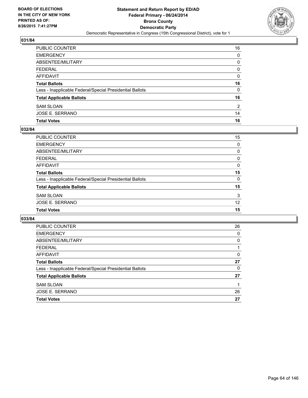

| PUBLIC COUNTER                                           | 16 |
|----------------------------------------------------------|----|
| <b>EMERGENCY</b>                                         | 0  |
| <b>ABSENTEE/MILITARY</b>                                 | 0  |
| <b>FEDERAL</b>                                           | 0  |
| AFFIDAVIT                                                | 0  |
| <b>Total Ballots</b>                                     | 16 |
| Less - Inapplicable Federal/Special Presidential Ballots | 0  |
| <b>Total Applicable Ballots</b>                          | 16 |
| <b>SAM SLOAN</b>                                         | 2  |
| JOSE E. SERRANO                                          | 14 |
| <b>Total Votes</b>                                       | 16 |

## **032/84**

| 15       |
|----------|
| 0        |
| 0        |
| 0        |
| $\Omega$ |
| 15       |
| 0        |
| 15       |
| 3        |
| 12       |
| 15       |
|          |

| <b>PUBLIC COUNTER</b>                                    | 26 |
|----------------------------------------------------------|----|
| <b>EMERGENCY</b>                                         | 0  |
| ABSENTEE/MILITARY                                        | 0  |
| <b>FEDERAL</b>                                           |    |
| AFFIDAVIT                                                | 0  |
| <b>Total Ballots</b>                                     | 27 |
| Less - Inapplicable Federal/Special Presidential Ballots | 0  |
| <b>Total Applicable Ballots</b>                          | 27 |
| <b>SAM SLOAN</b>                                         |    |
| JOSE E. SERRANO                                          | 26 |
| <b>Total Votes</b>                                       | 27 |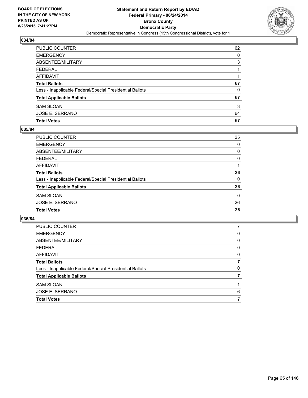

| PUBLIC COUNTER                                           | 62 |
|----------------------------------------------------------|----|
| <b>EMERGENCY</b>                                         | 0  |
| <b>ABSENTEE/MILITARY</b>                                 | 3  |
| <b>FEDERAL</b>                                           |    |
| AFFIDAVIT                                                |    |
| <b>Total Ballots</b>                                     | 67 |
| Less - Inapplicable Federal/Special Presidential Ballots | 0  |
| <b>Total Applicable Ballots</b>                          | 67 |
| <b>SAM SLOAN</b>                                         | 3  |
| JOSE E. SERRANO                                          | 64 |
| <b>Total Votes</b>                                       | 67 |

## **035/84**

| PUBLIC COUNTER                                           | 25       |
|----------------------------------------------------------|----------|
| <b>EMERGENCY</b>                                         | 0        |
| ABSENTEE/MILITARY                                        | 0        |
| <b>FEDERAL</b>                                           | 0        |
| <b>AFFIDAVIT</b>                                         |          |
| <b>Total Ballots</b>                                     | 26       |
| Less - Inapplicable Federal/Special Presidential Ballots | 0        |
| <b>Total Applicable Ballots</b>                          | 26       |
| <b>SAM SLOAN</b>                                         | $\Omega$ |
| JOSE E. SERRANO                                          | 26       |
| <b>Total Votes</b>                                       | 26       |

| PUBLIC COUNTER                                           |   |
|----------------------------------------------------------|---|
| <b>EMERGENCY</b>                                         | 0 |
| ABSENTEE/MILITARY                                        | 0 |
| <b>FEDERAL</b>                                           | 0 |
| AFFIDAVIT                                                | 0 |
| <b>Total Ballots</b>                                     | 7 |
| Less - Inapplicable Federal/Special Presidential Ballots | 0 |
| <b>Total Applicable Ballots</b>                          |   |
| <b>SAM SLOAN</b>                                         |   |
| JOSE E. SERRANO                                          | 6 |
| <b>Total Votes</b>                                       |   |
|                                                          |   |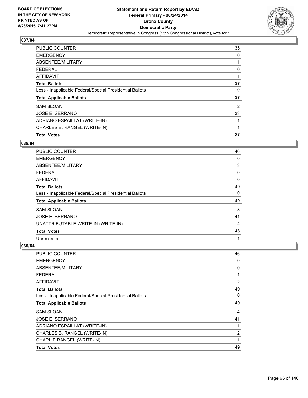

| <b>Total Votes</b>                                       | 37             |
|----------------------------------------------------------|----------------|
| CHARLES B. RANGEL (WRITE-IN)                             | 1              |
| ADRIANO ESPAILLAT (WRITE-IN)                             | 1              |
| JOSE E. SERRANO                                          | 33             |
| <b>SAM SLOAN</b>                                         | $\overline{2}$ |
| <b>Total Applicable Ballots</b>                          | 37             |
| Less - Inapplicable Federal/Special Presidential Ballots | 0              |
| <b>Total Ballots</b>                                     | 37             |
| <b>AFFIDAVIT</b>                                         |                |
| <b>FEDERAL</b>                                           | 0              |
| ABSENTEE/MILITARY                                        | 1              |
| <b>EMERGENCY</b>                                         | 0              |
| <b>PUBLIC COUNTER</b>                                    | 35             |

#### **038/84**

| PUBLIC COUNTER                                           | 46 |
|----------------------------------------------------------|----|
| <b>EMERGENCY</b>                                         | 0  |
| ABSENTEE/MILITARY                                        | 3  |
| <b>FEDERAL</b>                                           | 0  |
| AFFIDAVIT                                                | 0  |
| <b>Total Ballots</b>                                     | 49 |
| Less - Inapplicable Federal/Special Presidential Ballots | 0  |
| <b>Total Applicable Ballots</b>                          | 49 |
| <b>SAM SLOAN</b>                                         | 3  |
| <b>JOSE E. SERRANO</b>                                   | 41 |
| UNATTRIBUTABLE WRITE-IN (WRITE-IN)                       | 4  |
| <b>Total Votes</b>                                       | 48 |
| Unrecorded                                               | 1  |

| <b>PUBLIC COUNTER</b>                                    | 46 |
|----------------------------------------------------------|----|
| <b>EMERGENCY</b>                                         | 0  |
| ABSENTEE/MILITARY                                        | 0  |
| <b>FEDERAL</b>                                           | 1  |
| <b>AFFIDAVIT</b>                                         | 2  |
| <b>Total Ballots</b>                                     | 49 |
| Less - Inapplicable Federal/Special Presidential Ballots | 0  |
| <b>Total Applicable Ballots</b>                          | 49 |
| <b>SAM SLOAN</b>                                         | 4  |
| JOSE E. SERRANO                                          | 41 |
| ADRIANO ESPAILLAT (WRITE-IN)                             | 1  |
| CHARLES B. RANGEL (WRITE-IN)                             | 2  |
| CHARLIE RANGEL (WRITE-IN)                                | 1  |
| <b>Total Votes</b>                                       | 49 |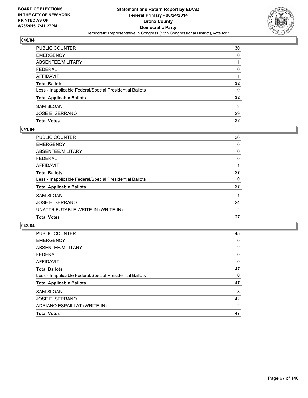

| PUBLIC COUNTER                                           | 30              |
|----------------------------------------------------------|-----------------|
| <b>EMERGENCY</b>                                         | 0               |
| ABSENTEE/MILITARY                                        |                 |
| <b>FEDERAL</b>                                           | 0               |
| AFFIDAVIT                                                |                 |
| <b>Total Ballots</b>                                     | $32\phantom{a}$ |
| Less - Inapplicable Federal/Special Presidential Ballots | 0               |
| <b>Total Applicable Ballots</b>                          | $32\phantom{a}$ |
| <b>SAM SLOAN</b>                                         | 3               |
| JOSE E. SERRANO                                          | 29              |
| <b>Total Votes</b>                                       | 32              |

## **041/84**

| <b>PUBLIC COUNTER</b>                                    | 26 |
|----------------------------------------------------------|----|
| <b>EMERGENCY</b>                                         | 0  |
| ABSENTEE/MILITARY                                        | 0  |
| <b>FEDERAL</b>                                           | 0  |
| <b>AFFIDAVIT</b>                                         |    |
| <b>Total Ballots</b>                                     | 27 |
| Less - Inapplicable Federal/Special Presidential Ballots | 0  |
| <b>Total Applicable Ballots</b>                          | 27 |
| <b>SAM SLOAN</b>                                         |    |
| <b>JOSE E. SERRANO</b>                                   | 24 |
| UNATTRIBUTABLE WRITE-IN (WRITE-IN)                       | 2  |
| <b>Total Votes</b>                                       | 27 |
|                                                          |    |

| <b>PUBLIC COUNTER</b>                                    | 45             |
|----------------------------------------------------------|----------------|
| <b>EMERGENCY</b>                                         | 0              |
| ABSENTEE/MILITARY                                        | 2              |
| FEDERAL                                                  | 0              |
| AFFIDAVIT                                                | 0              |
| <b>Total Ballots</b>                                     | 47             |
| Less - Inapplicable Federal/Special Presidential Ballots | 0              |
| <b>Total Applicable Ballots</b>                          | 47             |
| <b>SAM SLOAN</b>                                         | 3              |
| JOSE E. SERRANO                                          | 42             |
| ADRIANO ESPAILLAT (WRITE-IN)                             | $\overline{2}$ |
| <b>Total Votes</b>                                       | 47             |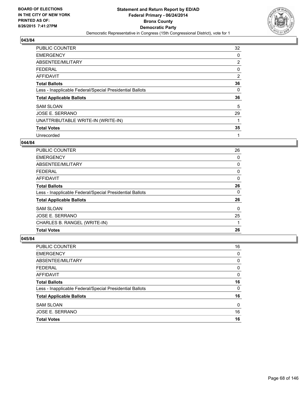

| <b>PUBLIC COUNTER</b>                                    | 32 |
|----------------------------------------------------------|----|
| <b>EMERGENCY</b>                                         | 0  |
| ABSENTEE/MILITARY                                        | 2  |
| <b>FEDERAL</b>                                           | 0  |
| <b>AFFIDAVIT</b>                                         | 2  |
| <b>Total Ballots</b>                                     | 36 |
| Less - Inapplicable Federal/Special Presidential Ballots | 0  |
| <b>Total Applicable Ballots</b>                          | 36 |
| <b>SAM SLOAN</b>                                         | 5  |
| JOSE E. SERRANO                                          | 29 |
| UNATTRIBUTABLE WRITE-IN (WRITE-IN)                       |    |
| <b>Total Votes</b>                                       | 35 |
| Unrecorded                                               | 1  |

#### **044/84**

| <b>PUBLIC COUNTER</b>                                    | 26 |
|----------------------------------------------------------|----|
| <b>EMERGENCY</b>                                         | 0  |
| ABSENTEE/MILITARY                                        | 0  |
| <b>FEDERAL</b>                                           | 0  |
| AFFIDAVIT                                                | 0  |
| <b>Total Ballots</b>                                     | 26 |
| Less - Inapplicable Federal/Special Presidential Ballots | 0  |
| <b>Total Applicable Ballots</b>                          | 26 |
| <b>SAM SLOAN</b>                                         | 0  |
| JOSE E. SERRANO                                          | 25 |
| CHARLES B. RANGEL (WRITE-IN)                             |    |
| <b>Total Votes</b>                                       | 26 |

| JOSE E. SERRANO<br><b>Total Votes</b>                    | 16<br>16 |
|----------------------------------------------------------|----------|
|                                                          |          |
| <b>SAM SLOAN</b>                                         | 0        |
| <b>Total Applicable Ballots</b>                          | 16       |
| Less - Inapplicable Federal/Special Presidential Ballots | 0        |
| <b>Total Ballots</b>                                     | 16       |
| <b>AFFIDAVIT</b>                                         | 0        |
| <b>FEDERAL</b>                                           | 0        |
| ABSENTEE/MILITARY                                        | 0        |
| <b>EMERGENCY</b>                                         | 0        |
| PUBLIC COUNTER                                           | 16       |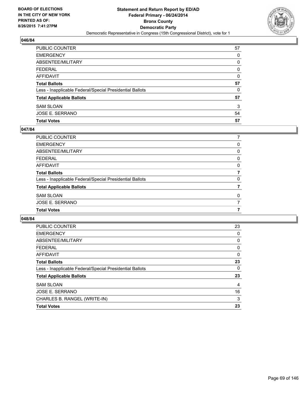

| PUBLIC COUNTER                                           | 57 |
|----------------------------------------------------------|----|
| <b>EMERGENCY</b>                                         | 0  |
| ABSENTEE/MILITARY                                        | 0  |
| <b>FEDERAL</b>                                           | 0  |
| <b>AFFIDAVIT</b>                                         | 0  |
| <b>Total Ballots</b>                                     | 57 |
| Less - Inapplicable Federal/Special Presidential Ballots | 0  |
| <b>Total Applicable Ballots</b>                          | 57 |
| <b>SAM SLOAN</b>                                         | 3  |
| JOSE E. SERRANO                                          | 54 |
| <b>Total Votes</b>                                       | 57 |

## **047/84**

| PUBLIC COUNTER                                           |   |
|----------------------------------------------------------|---|
| <b>EMERGENCY</b>                                         | 0 |
| ABSENTEE/MILITARY                                        | 0 |
| <b>FEDERAL</b>                                           | 0 |
| <b>AFFIDAVIT</b>                                         | 0 |
| <b>Total Ballots</b>                                     |   |
| Less - Inapplicable Federal/Special Presidential Ballots | 0 |
| <b>Total Applicable Ballots</b>                          |   |
| <b>SAM SLOAN</b>                                         | 0 |
| JOSE E. SERRANO                                          |   |
| <b>Total Votes</b>                                       |   |
|                                                          |   |

| <b>PUBLIC COUNTER</b>                                    | 23 |
|----------------------------------------------------------|----|
| <b>EMERGENCY</b>                                         | 0  |
| ABSENTEE/MILITARY                                        | 0  |
| <b>FEDERAL</b>                                           | 0  |
| AFFIDAVIT                                                | 0  |
| <b>Total Ballots</b>                                     | 23 |
| Less - Inapplicable Federal/Special Presidential Ballots | 0  |
| <b>Total Applicable Ballots</b>                          | 23 |
| <b>SAM SLOAN</b>                                         | 4  |
| JOSE E. SERRANO                                          | 16 |
| CHARLES B. RANGEL (WRITE-IN)                             | 3  |
| <b>Total Votes</b>                                       | 23 |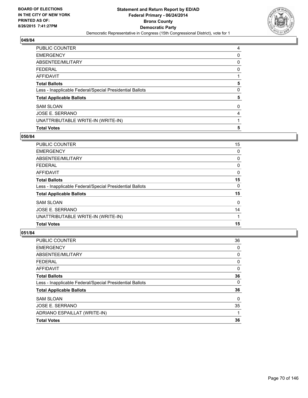

| <b>PUBLIC COUNTER</b>                                    | 4 |
|----------------------------------------------------------|---|
| <b>EMERGENCY</b>                                         | 0 |
| ABSENTEE/MILITARY                                        | 0 |
| <b>FEDERAL</b>                                           | 0 |
| <b>AFFIDAVIT</b>                                         |   |
| <b>Total Ballots</b>                                     | 5 |
| Less - Inapplicable Federal/Special Presidential Ballots | 0 |
| <b>Total Applicable Ballots</b>                          | 5 |
| <b>SAM SLOAN</b>                                         | 0 |
| <b>JOSE E. SERRANO</b>                                   | 4 |
| UNATTRIBUTABLE WRITE-IN (WRITE-IN)                       |   |
| <b>Total Votes</b>                                       | 5 |

## **050/84**

| <b>PUBLIC COUNTER</b>                                    | 15           |
|----------------------------------------------------------|--------------|
| <b>EMERGENCY</b>                                         | 0            |
| ABSENTEE/MILITARY                                        | 0            |
| <b>FEDERAL</b>                                           | 0            |
| AFFIDAVIT                                                | 0            |
| <b>Total Ballots</b>                                     | 15           |
| Less - Inapplicable Federal/Special Presidential Ballots | 0            |
| <b>Total Applicable Ballots</b>                          | 15           |
| <b>SAM SLOAN</b>                                         | $\mathbf{0}$ |
| <b>JOSE E. SERRANO</b>                                   | 14           |
| UNATTRIBUTABLE WRITE-IN (WRITE-IN)                       |              |
| <b>Total Votes</b>                                       | 15           |
|                                                          |              |

| <b>PUBLIC COUNTER</b>                                    | 36 |
|----------------------------------------------------------|----|
| <b>EMERGENCY</b>                                         | 0  |
| ABSENTEE/MILITARY                                        | 0  |
| <b>FEDERAL</b>                                           | 0  |
| <b>AFFIDAVIT</b>                                         | 0  |
| <b>Total Ballots</b>                                     | 36 |
| Less - Inapplicable Federal/Special Presidential Ballots | 0  |
| <b>Total Applicable Ballots</b>                          | 36 |
| <b>SAM SLOAN</b>                                         | 0  |
| <b>JOSE E. SERRANO</b>                                   | 35 |
| ADRIANO ESPAILLAT (WRITE-IN)                             | 1  |
| <b>Total Votes</b>                                       | 36 |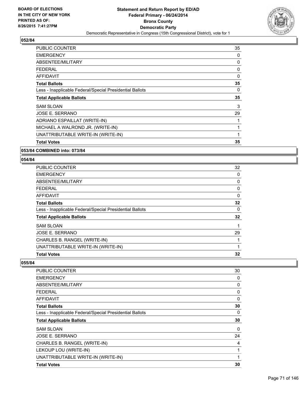

| <b>PUBLIC COUNTER</b>                                    | 35 |
|----------------------------------------------------------|----|
| <b>EMERGENCY</b>                                         | 0  |
| ABSENTEE/MILITARY                                        | 0  |
| <b>FEDERAL</b>                                           | 0  |
| <b>AFFIDAVIT</b>                                         | 0  |
| <b>Total Ballots</b>                                     | 35 |
| Less - Inapplicable Federal/Special Presidential Ballots | 0  |
| <b>Total Applicable Ballots</b>                          | 35 |
| <b>SAM SLOAN</b>                                         | 3  |
| JOSE E. SERRANO                                          | 29 |
| ADRIANO ESPAILLAT (WRITE-IN)                             | 1  |
| MICHAEL A WALROND JR. (WRITE-IN)                         | 1  |
| UNATTRIBUTABLE WRITE-IN (WRITE-IN)                       | 1  |
| <b>Total Votes</b>                                       | 35 |

### **053/84 COMBINED into: 073/84**

## **054/84**

| <b>PUBLIC COUNTER</b>                                    | 32 |
|----------------------------------------------------------|----|
| <b>EMERGENCY</b>                                         | 0  |
| ABSENTEE/MILITARY                                        | 0  |
| <b>FEDERAL</b>                                           | 0  |
| <b>AFFIDAVIT</b>                                         | 0  |
| <b>Total Ballots</b>                                     | 32 |
| Less - Inapplicable Federal/Special Presidential Ballots | 0  |
| <b>Total Applicable Ballots</b>                          | 32 |
| <b>SAM SLOAN</b>                                         | 1  |
| JOSE E. SERRANO                                          | 29 |
| CHARLES B. RANGEL (WRITE-IN)                             | 1  |
| UNATTRIBUTABLE WRITE-IN (WRITE-IN)                       | 1  |
| <b>Total Votes</b>                                       | 32 |

| <b>PUBLIC COUNTER</b>                                    | 30 |
|----------------------------------------------------------|----|
| <b>EMERGENCY</b>                                         | 0  |
| ABSENTEE/MILITARY                                        | 0  |
| <b>FEDERAL</b>                                           | 0  |
| <b>AFFIDAVIT</b>                                         | 0  |
| <b>Total Ballots</b>                                     | 30 |
| Less - Inapplicable Federal/Special Presidential Ballots | 0  |
| <b>Total Applicable Ballots</b>                          | 30 |
| <b>SAM SLOAN</b>                                         | 0  |
| JOSE E. SERRANO                                          | 24 |
| CHARLES B. RANGEL (WRITE-IN)                             | 4  |
| LEKOUP LOU (WRITE-IN)                                    | 1  |
| UNATTRIBUTABLE WRITE-IN (WRITE-IN)                       | 1  |
| <b>Total Votes</b>                                       | 30 |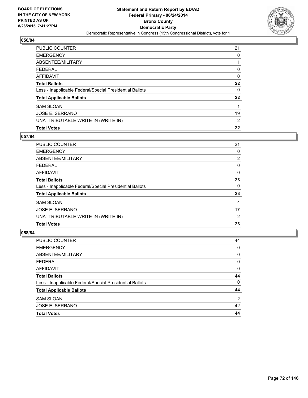

| <b>PUBLIC COUNTER</b>                                    | 21 |
|----------------------------------------------------------|----|
| <b>EMERGENCY</b>                                         | 0  |
| ABSENTEE/MILITARY                                        |    |
| <b>FEDERAL</b>                                           | 0  |
| <b>AFFIDAVIT</b>                                         | 0  |
| <b>Total Ballots</b>                                     | 22 |
| Less - Inapplicable Federal/Special Presidential Ballots | 0  |
| <b>Total Applicable Ballots</b>                          | 22 |
| <b>SAM SLOAN</b>                                         | 1  |
| JOSE E. SERRANO                                          | 19 |
| UNATTRIBUTABLE WRITE-IN (WRITE-IN)                       | 2  |
| <b>Total Votes</b>                                       | 22 |

## **057/84**

| PUBLIC COUNTER                                           | 21             |
|----------------------------------------------------------|----------------|
| <b>EMERGENCY</b>                                         | 0              |
| ABSENTEE/MILITARY                                        | $\overline{2}$ |
| <b>FEDERAL</b>                                           | 0              |
| AFFIDAVIT                                                | $\Omega$       |
| <b>Total Ballots</b>                                     | 23             |
| Less - Inapplicable Federal/Special Presidential Ballots | 0              |
| <b>Total Applicable Ballots</b>                          | 23             |
| <b>SAM SLOAN</b>                                         | 4              |
| JOSE E. SERRANO                                          | 17             |
| UNATTRIBUTABLE WRITE-IN (WRITE-IN)                       | 2              |
| <b>Total Votes</b>                                       | 23             |
|                                                          |                |

| <b>Total Votes</b>                                       | 44 |
|----------------------------------------------------------|----|
| JOSE E. SERRANO                                          | 42 |
| <b>SAM SLOAN</b>                                         | 2  |
| <b>Total Applicable Ballots</b>                          | 44 |
| Less - Inapplicable Federal/Special Presidential Ballots | 0  |
| <b>Total Ballots</b>                                     | 44 |
| <b>AFFIDAVIT</b>                                         | 0  |
| <b>FEDERAL</b>                                           | 0  |
| ABSENTEE/MILITARY                                        | 0  |
| <b>EMERGENCY</b>                                         | 0  |
| <b>PUBLIC COUNTER</b>                                    | 44 |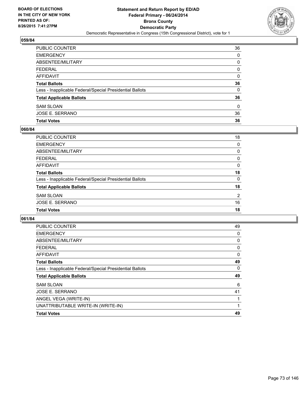

| PUBLIC COUNTER                                           | 36 |
|----------------------------------------------------------|----|
| <b>EMERGENCY</b>                                         | 0  |
| <b>ABSENTEE/MILITARY</b>                                 | 0  |
| <b>FEDERAL</b>                                           | 0  |
| AFFIDAVIT                                                | 0  |
| <b>Total Ballots</b>                                     | 36 |
| Less - Inapplicable Federal/Special Presidential Ballots | 0  |
| <b>Total Applicable Ballots</b>                          | 36 |
| <b>SAM SLOAN</b>                                         | 0  |
| JOSE E. SERRANO                                          | 36 |
| <b>Total Votes</b>                                       | 36 |

# **060/84**

| PUBLIC COUNTER                                           | 18             |
|----------------------------------------------------------|----------------|
| <b>EMERGENCY</b>                                         | 0              |
| <b>ABSENTEE/MILITARY</b>                                 | 0              |
| <b>FEDERAL</b>                                           | 0              |
| <b>AFFIDAVIT</b>                                         | $\Omega$       |
| <b>Total Ballots</b>                                     | 18             |
| Less - Inapplicable Federal/Special Presidential Ballots | 0              |
| <b>Total Applicable Ballots</b>                          | 18             |
| <b>SAM SLOAN</b>                                         | $\overline{2}$ |
| <b>JOSE E. SERRANO</b>                                   | 16             |
| <b>Total Votes</b>                                       | 18             |
|                                                          |                |

| <b>PUBLIC COUNTER</b>                                    | 49 |
|----------------------------------------------------------|----|
| <b>EMERGENCY</b>                                         | 0  |
| ABSENTEE/MILITARY                                        | 0  |
| <b>FEDERAL</b>                                           | 0  |
| AFFIDAVIT                                                | 0  |
| <b>Total Ballots</b>                                     | 49 |
| Less - Inapplicable Federal/Special Presidential Ballots | 0  |
| <b>Total Applicable Ballots</b>                          | 49 |
| <b>SAM SLOAN</b>                                         | 6  |
| JOSE E. SERRANO                                          | 41 |
| ANGEL VEGA (WRITE-IN)                                    | 1  |
| UNATTRIBUTABLE WRITE-IN (WRITE-IN)                       | 1  |
| <b>Total Votes</b>                                       | 49 |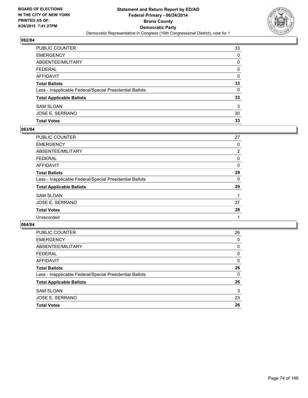

| PUBLIC COUNTER                                           | 33       |
|----------------------------------------------------------|----------|
| <b>EMERGENCY</b>                                         | 0        |
| ABSENTEE/MILITARY                                        | 0        |
| <b>FEDERAL</b>                                           | 0        |
| <b>AFFIDAVIT</b>                                         | $\Omega$ |
| <b>Total Ballots</b>                                     | 33       |
| Less - Inapplicable Federal/Special Presidential Ballots | $\Omega$ |
| <b>Total Applicable Ballots</b>                          | 33       |
| <b>SAM SLOAN</b>                                         | 3        |
| <b>JOSE E. SERRANO</b>                                   | 30       |
| <b>Total Votes</b>                                       | 33       |

# **063/84**

| <b>PUBLIC COUNTER</b>                                    | 27             |
|----------------------------------------------------------|----------------|
| <b>EMERGENCY</b>                                         | 0              |
| ABSENTEE/MILITARY                                        | $\overline{2}$ |
| <b>FEDERAL</b>                                           | 0              |
| <b>AFFIDAVIT</b>                                         | 0              |
| <b>Total Ballots</b>                                     | 29             |
| Less - Inapplicable Federal/Special Presidential Ballots | 0              |
| <b>Total Applicable Ballots</b>                          | 29             |
| <b>SAM SLOAN</b>                                         |                |
| JOSE E. SERRANO                                          | 27             |
| <b>Total Votes</b>                                       | 28             |
| Unrecorded                                               |                |
|                                                          |                |

| PUBLIC COUNTER                                           | 26 |
|----------------------------------------------------------|----|
| <b>EMERGENCY</b>                                         | 0  |
| ABSENTEE/MILITARY                                        | 0  |
| <b>FEDERAL</b>                                           | 0  |
| AFFIDAVIT                                                | 0  |
| <b>Total Ballots</b>                                     | 26 |
| Less - Inapplicable Federal/Special Presidential Ballots | 0  |
| <b>Total Applicable Ballots</b>                          | 26 |
| <b>SAM SLOAN</b>                                         | 3  |
| <b>JOSE E. SERRANO</b>                                   | 23 |
| <b>Total Votes</b>                                       | 26 |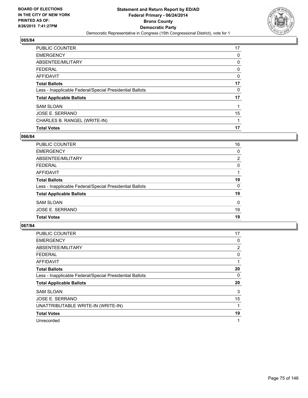

| <b>PUBLIC COUNTER</b>                                    | 17 |
|----------------------------------------------------------|----|
| <b>EMERGENCY</b>                                         | 0  |
| ABSENTEE/MILITARY                                        | 0  |
| <b>FEDERAL</b>                                           | 0  |
| <b>AFFIDAVIT</b>                                         | 0  |
| <b>Total Ballots</b>                                     | 17 |
| Less - Inapplicable Federal/Special Presidential Ballots | 0  |
| <b>Total Applicable Ballots</b>                          | 17 |
| <b>SAM SLOAN</b>                                         | 1  |
| JOSE E. SERRANO                                          | 15 |
| CHARLES B. RANGEL (WRITE-IN)                             | 1  |
| <b>Total Votes</b>                                       | 17 |

### **066/84**

| <b>PUBLIC COUNTER</b>                                    | 16 |
|----------------------------------------------------------|----|
| <b>EMERGENCY</b>                                         | 0  |
| ABSENTEE/MILITARY                                        | 2  |
| <b>FEDERAL</b>                                           | 0  |
| <b>AFFIDAVIT</b>                                         |    |
| <b>Total Ballots</b>                                     | 19 |
| Less - Inapplicable Federal/Special Presidential Ballots | 0  |
| <b>Total Applicable Ballots</b>                          | 19 |
| <b>SAM SLOAN</b>                                         | 0  |
| <b>JOSE E. SERRANO</b>                                   | 19 |
| <b>Total Votes</b>                                       | 19 |
|                                                          |    |

| PUBLIC COUNTER                                           | 17 |
|----------------------------------------------------------|----|
| <b>EMERGENCY</b>                                         | 0  |
| ABSENTEE/MILITARY                                        | 2  |
| FEDERAL                                                  | 0  |
| <b>AFFIDAVIT</b>                                         | 1  |
| <b>Total Ballots</b>                                     | 20 |
| Less - Inapplicable Federal/Special Presidential Ballots | 0  |
| <b>Total Applicable Ballots</b>                          | 20 |
| <b>SAM SLOAN</b>                                         | 3  |
| JOSE E. SERRANO                                          | 15 |
| UNATTRIBUTABLE WRITE-IN (WRITE-IN)                       | 1  |
| <b>Total Votes</b>                                       | 19 |
| Unrecorded                                               | 1  |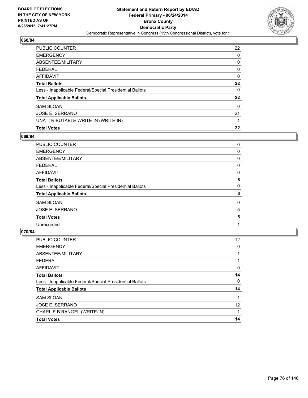

| <b>PUBLIC COUNTER</b>                                    | 22 |
|----------------------------------------------------------|----|
| <b>EMERGENCY</b>                                         | 0  |
| ABSENTEE/MILITARY                                        | 0  |
| <b>FEDERAL</b>                                           | 0  |
| <b>AFFIDAVIT</b>                                         | 0  |
| <b>Total Ballots</b>                                     | 22 |
| Less - Inapplicable Federal/Special Presidential Ballots | 0  |
| <b>Total Applicable Ballots</b>                          | 22 |
| <b>SAM SLOAN</b>                                         | 0  |
| JOSE E. SERRANO                                          | 21 |
| UNATTRIBUTABLE WRITE-IN (WRITE-IN)                       |    |
| <b>Total Votes</b>                                       | 22 |

# **069/84**

| PUBLIC COUNTER                                           | 6 |
|----------------------------------------------------------|---|
| <b>EMERGENCY</b>                                         | 0 |
| ABSENTEE/MILITARY                                        | 0 |
| <b>FEDERAL</b>                                           | 0 |
| AFFIDAVIT                                                | 0 |
| <b>Total Ballots</b>                                     | 6 |
| Less - Inapplicable Federal/Special Presidential Ballots | 0 |
| <b>Total Applicable Ballots</b>                          | 6 |
| <b>SAM SLOAN</b>                                         | 0 |
| <b>JOSE E. SERRANO</b>                                   | 5 |
| <b>Total Votes</b>                                       | 5 |
| Unrecorded                                               |   |
|                                                          |   |

| <b>PUBLIC COUNTER</b>                                    | 12 |
|----------------------------------------------------------|----|
| <b>EMERGENCY</b>                                         | 0  |
| ABSENTEE/MILITARY                                        |    |
| <b>FEDERAL</b>                                           |    |
| AFFIDAVIT                                                | 0  |
| <b>Total Ballots</b>                                     | 14 |
| Less - Inapplicable Federal/Special Presidential Ballots | 0  |
| <b>Total Applicable Ballots</b>                          | 14 |
| <b>SAM SLOAN</b>                                         |    |
| JOSE E. SERRANO                                          | 12 |
| CHARLIE B RANGEL (WRITE-IN)                              |    |
| <b>Total Votes</b>                                       | 14 |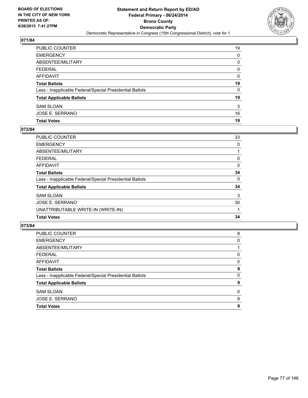

| PUBLIC COUNTER                                           | 19 |
|----------------------------------------------------------|----|
| EMERGENCY                                                | 0  |
| ABSENTEE/MILITARY                                        | 0  |
| FEDERAL                                                  | 0  |
| AFFIDAVIT                                                | 0  |
| Total Ballots                                            | 19 |
| Less - Inapplicable Federal/Special Presidential Ballots | 0  |
| <b>Total Applicable Ballots</b>                          | 19 |
| SAM SLOAN                                                | 3  |
| JOSE E. SERRANO                                          | 16 |
| <b>Total Votes</b>                                       | 19 |

#### **072/84**

| PUBLIC COUNTER                                           | 33 |
|----------------------------------------------------------|----|
| <b>EMERGENCY</b>                                         | 0  |
| ABSENTEE/MILITARY                                        |    |
| <b>FEDERAL</b>                                           | 0  |
| <b>AFFIDAVIT</b>                                         | 0  |
| <b>Total Ballots</b>                                     | 34 |
| Less - Inapplicable Federal/Special Presidential Ballots | 0  |
| <b>Total Applicable Ballots</b>                          | 34 |
| <b>SAM SLOAN</b>                                         | 3  |
| JOSE E. SERRANO                                          | 30 |
| UNATTRIBUTABLE WRITE-IN (WRITE-IN)                       |    |
| <b>Total Votes</b>                                       | 34 |
|                                                          |    |

| <b>PUBLIC COUNTER</b>                                    | 8 |
|----------------------------------------------------------|---|
| <b>EMERGENCY</b>                                         | 0 |
| ABSENTEE/MILITARY                                        |   |
| <b>FEDERAL</b>                                           | 0 |
| <b>AFFIDAVIT</b>                                         | 0 |
| <b>Total Ballots</b>                                     | 9 |
| Less - Inapplicable Federal/Special Presidential Ballots | 0 |
| <b>Total Applicable Ballots</b>                          | 9 |
| <b>SAM SLOAN</b>                                         | 0 |
| <b>JOSE E. SERRANO</b>                                   | 9 |
| <b>Total Votes</b>                                       | 9 |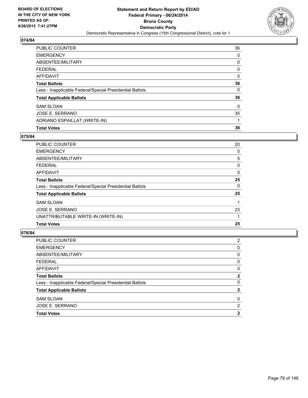

| <b>PUBLIC COUNTER</b>                                    | 36 |
|----------------------------------------------------------|----|
| <b>EMERGENCY</b>                                         | 0  |
| ABSENTEE/MILITARY                                        | 0  |
| <b>FEDERAL</b>                                           | 0  |
| <b>AFFIDAVIT</b>                                         | 0  |
| <b>Total Ballots</b>                                     | 36 |
| Less - Inapplicable Federal/Special Presidential Ballots | 0  |
| <b>Total Applicable Ballots</b>                          | 36 |
| <b>SAM SLOAN</b>                                         | 0  |
| JOSE E. SERRANO                                          | 35 |
| ADRIANO ESPAILLAT (WRITE-IN)                             | 1  |
| <b>Total Votes</b>                                       | 36 |

### **075/84**

| <b>PUBLIC COUNTER</b>                                    | 20 |
|----------------------------------------------------------|----|
| <b>EMERGENCY</b>                                         | 0  |
| ABSENTEE/MILITARY                                        | 5  |
| <b>FEDERAL</b>                                           | 0  |
| AFFIDAVIT                                                | 0  |
| <b>Total Ballots</b>                                     | 25 |
| Less - Inapplicable Federal/Special Presidential Ballots | 0  |
| <b>Total Applicable Ballots</b>                          | 25 |
| <b>SAM SLOAN</b>                                         |    |
| JOSE E. SERRANO                                          | 23 |
| UNATTRIBUTABLE WRITE-IN (WRITE-IN)                       |    |
| <b>Total Votes</b>                                       | 25 |
|                                                          |    |

| <b>PUBLIC COUNTER</b>                                    | 2            |
|----------------------------------------------------------|--------------|
| <b>EMERGENCY</b>                                         | 0            |
| ABSENTEE/MILITARY                                        | 0            |
| <b>FEDERAL</b>                                           | 0            |
| <b>AFFIDAVIT</b>                                         | 0            |
| <b>Total Ballots</b>                                     | $\mathbf{2}$ |
| Less - Inapplicable Federal/Special Presidential Ballots | 0            |
| <b>Total Applicable Ballots</b>                          | 2            |
| <b>SAM SLOAN</b>                                         | 0            |
| <b>JOSE E. SERRANO</b>                                   | 2            |
| <b>Total Votes</b>                                       | 2            |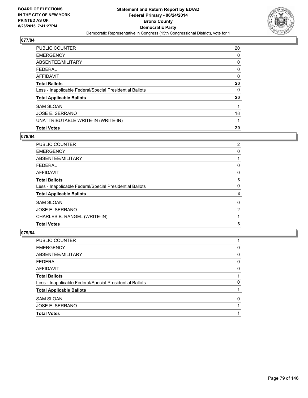

| <b>PUBLIC COUNTER</b>                                    | 20 |
|----------------------------------------------------------|----|
| <b>EMERGENCY</b>                                         | 0  |
| ABSENTEE/MILITARY                                        | 0  |
| <b>FEDERAL</b>                                           | 0  |
| <b>AFFIDAVIT</b>                                         | 0  |
| <b>Total Ballots</b>                                     | 20 |
| Less - Inapplicable Federal/Special Presidential Ballots | 0  |
| <b>Total Applicable Ballots</b>                          | 20 |
| <b>SAM SLOAN</b>                                         | 1  |
| JOSE E. SERRANO                                          | 18 |
| UNATTRIBUTABLE WRITE-IN (WRITE-IN)                       | 1  |
| <b>Total Votes</b>                                       | 20 |

# **078/84**

| <b>PUBLIC COUNTER</b>                                    | $\overline{2}$ |
|----------------------------------------------------------|----------------|
| <b>EMERGENCY</b>                                         | 0              |
| ABSENTEE/MILITARY                                        |                |
| <b>FEDERAL</b>                                           | 0              |
| <b>AFFIDAVIT</b>                                         | 0              |
| <b>Total Ballots</b>                                     | 3              |
| Less - Inapplicable Federal/Special Presidential Ballots | 0              |
| <b>Total Applicable Ballots</b>                          | 3              |
| <b>SAM SLOAN</b>                                         | 0              |
| <b>JOSE E. SERRANO</b>                                   | 2              |
| CHARLES B. RANGEL (WRITE-IN)                             |                |
| <b>Total Votes</b>                                       | 3              |

| <b>Total Votes</b>                                       |   |
|----------------------------------------------------------|---|
| JOSE E. SERRANO                                          |   |
| <b>SAM SLOAN</b>                                         | 0 |
| <b>Total Applicable Ballots</b>                          |   |
| Less - Inapplicable Federal/Special Presidential Ballots | 0 |
| <b>Total Ballots</b>                                     |   |
| <b>AFFIDAVIT</b>                                         | 0 |
| <b>FEDERAL</b>                                           | 0 |
| ABSENTEE/MILITARY                                        | 0 |
| <b>EMERGENCY</b>                                         | 0 |
| PUBLIC COUNTER                                           |   |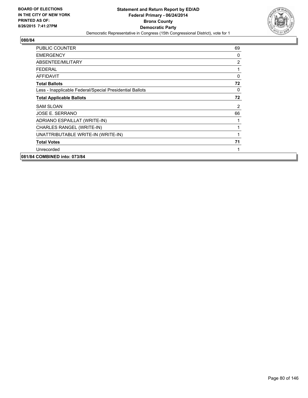

| <b>PUBLIC COUNTER</b>                                    | 69           |
|----------------------------------------------------------|--------------|
| <b>EMERGENCY</b>                                         | 0            |
| ABSENTEE/MILITARY                                        | 2            |
| FEDERAL                                                  | 1            |
| <b>AFFIDAVIT</b>                                         | $\mathbf{0}$ |
| <b>Total Ballots</b>                                     | 72           |
| Less - Inapplicable Federal/Special Presidential Ballots | 0            |
| <b>Total Applicable Ballots</b>                          | 72           |
| <b>SAM SLOAN</b>                                         | 2            |
| JOSE E. SERRANO                                          | 66           |
| ADRIANO ESPAILLAT (WRITE-IN)                             | 1            |
| CHARLES RANGEL (WRITE-IN)                                | 1            |
| UNATTRIBUTABLE WRITE-IN (WRITE-IN)                       | 1            |
| <b>Total Votes</b>                                       | 71           |
| Unrecorded                                               | 1            |
| 081/84 COMBINED into: 073/84                             |              |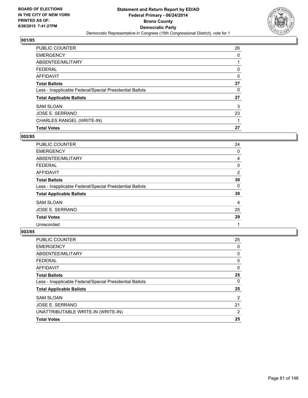

| PUBLIC COUNTER                                           | 26 |
|----------------------------------------------------------|----|
| <b>EMERGENCY</b>                                         | 0  |
| ABSENTEE/MILITARY                                        |    |
| <b>FEDERAL</b>                                           | 0  |
| <b>AFFIDAVIT</b>                                         | 0  |
| <b>Total Ballots</b>                                     | 27 |
| Less - Inapplicable Federal/Special Presidential Ballots | 0  |
| <b>Total Applicable Ballots</b>                          | 27 |
| <b>SAM SLOAN</b>                                         | 3  |
| JOSE E. SERRANO                                          | 23 |
| CHARLES RANGEL (WRITE-IN)                                |    |
| <b>Total Votes</b>                                       | 27 |

# **002/85**

| PUBLIC COUNTER                                           | 24 |
|----------------------------------------------------------|----|
| <b>EMERGENCY</b>                                         | 0  |
| ABSENTEE/MILITARY                                        | 4  |
| <b>FEDERAL</b>                                           | 0  |
| AFFIDAVIT                                                | 2  |
| <b>Total Ballots</b>                                     | 30 |
| Less - Inapplicable Federal/Special Presidential Ballots | 0  |
| <b>Total Applicable Ballots</b>                          | 30 |
| <b>SAM SLOAN</b>                                         | 4  |
| <b>JOSE E. SERRANO</b>                                   | 25 |
| <b>Total Votes</b>                                       | 29 |
| Unrecorded                                               | 1  |

| <b>PUBLIC COUNTER</b>                                    | 25 |
|----------------------------------------------------------|----|
| <b>EMERGENCY</b>                                         | 0  |
| ABSENTEE/MILITARY                                        | 0  |
| <b>FEDERAL</b>                                           | 0  |
| AFFIDAVIT                                                | 0  |
| <b>Total Ballots</b>                                     | 25 |
| Less - Inapplicable Federal/Special Presidential Ballots | 0  |
| <b>Total Applicable Ballots</b>                          | 25 |
| <b>SAM SLOAN</b>                                         | 2  |
| JOSE E. SERRANO                                          | 21 |
| UNATTRIBUTABLE WRITE-IN (WRITE-IN)                       | 2  |
| <b>Total Votes</b>                                       | 25 |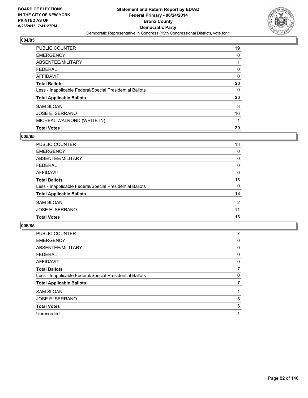

| <b>PUBLIC COUNTER</b>                                    | 19 |
|----------------------------------------------------------|----|
| <b>EMERGENCY</b>                                         | 0  |
| ABSENTEE/MILITARY                                        |    |
| <b>FEDERAL</b>                                           | 0  |
| <b>AFFIDAVIT</b>                                         | 0  |
| <b>Total Ballots</b>                                     | 20 |
| Less - Inapplicable Federal/Special Presidential Ballots | 0  |
| <b>Total Applicable Ballots</b>                          | 20 |
| <b>SAM SLOAN</b>                                         | 3  |
| JOSE E. SERRANO                                          | 16 |
| MICHEAL WALROND (WRITE-IN)                               |    |
| <b>Total Votes</b>                                       | 20 |

# **005/85**

| <b>PUBLIC COUNTER</b>                                    | 13 |
|----------------------------------------------------------|----|
| <b>EMERGENCY</b>                                         | 0  |
| ABSENTEE/MILITARY                                        | 0  |
| <b>FEDERAL</b>                                           | 0  |
| <b>AFFIDAVIT</b>                                         | 0  |
| <b>Total Ballots</b>                                     | 13 |
| Less - Inapplicable Federal/Special Presidential Ballots | 0  |
| <b>Total Applicable Ballots</b>                          | 13 |
| <b>SAM SLOAN</b>                                         | 2  |
| <b>JOSE E. SERRANO</b>                                   | 11 |
| <b>Total Votes</b>                                       | 13 |
|                                                          |    |

| <b>PUBLIC COUNTER</b>                                    |   |
|----------------------------------------------------------|---|
| <b>EMERGENCY</b>                                         | 0 |
| ABSENTEE/MILITARY                                        | 0 |
| FEDERAL                                                  | 0 |
| AFFIDAVIT                                                | 0 |
| <b>Total Ballots</b>                                     |   |
| Less - Inapplicable Federal/Special Presidential Ballots | 0 |
| <b>Total Applicable Ballots</b>                          |   |
| <b>SAM SLOAN</b>                                         |   |
| JOSE E. SERRANO                                          | 5 |
| <b>Total Votes</b>                                       | 6 |
| Unrecorded                                               |   |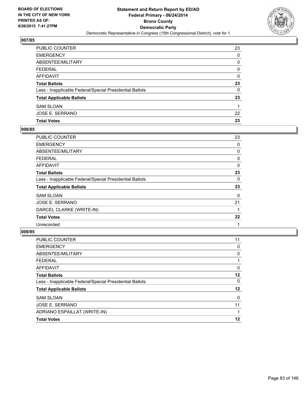

| PUBLIC COUNTER                                           | 23 |
|----------------------------------------------------------|----|
| <b>EMERGENCY</b>                                         | 0  |
| ABSENTEE/MILITARY                                        | 0  |
| <b>FEDERAL</b>                                           | 0  |
| AFFIDAVIT                                                | 0  |
| <b>Total Ballots</b>                                     | 23 |
| Less - Inapplicable Federal/Special Presidential Ballots | 0  |
| <b>Total Applicable Ballots</b>                          | 23 |
| <b>SAM SLOAN</b>                                         | 1  |
| JOSE E. SERRANO                                          | 22 |
| <b>Total Votes</b>                                       | 23 |

# **008/85**

| <b>PUBLIC COUNTER</b>                                    | 23 |
|----------------------------------------------------------|----|
| <b>EMERGENCY</b>                                         | 0  |
| ABSENTEE/MILITARY                                        | 0  |
| FEDERAL                                                  | 0  |
| AFFIDAVIT                                                | 0  |
| <b>Total Ballots</b>                                     | 23 |
| Less - Inapplicable Federal/Special Presidential Ballots | 0  |
| <b>Total Applicable Ballots</b>                          | 23 |
| <b>SAM SLOAN</b>                                         | 0  |
| <b>JOSE E. SERRANO</b>                                   | 21 |
| DARCEL CLARKE (WRITE-IN)                                 |    |
| <b>Total Votes</b>                                       | 22 |
| Unrecorded                                               | 1  |
|                                                          |    |

| PUBLIC COUNTER                                           | 11 |
|----------------------------------------------------------|----|
| <b>EMERGENCY</b>                                         | 0  |
| ABSENTEE/MILITARY                                        | 0  |
| <b>FEDERAL</b>                                           |    |
| AFFIDAVIT                                                | 0  |
| <b>Total Ballots</b>                                     | 12 |
| Less - Inapplicable Federal/Special Presidential Ballots | 0  |
| <b>Total Applicable Ballots</b>                          | 12 |
| <b>SAM SLOAN</b>                                         | 0  |
| JOSE E. SERRANO                                          | 11 |
| ADRIANO ESPAILLAT (WRITE-IN)                             |    |
| <b>Total Votes</b>                                       | 12 |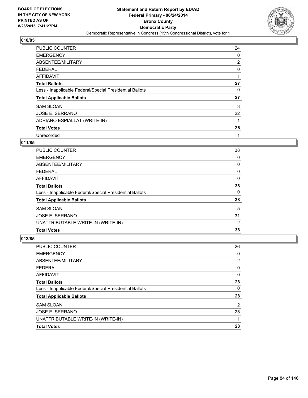

| <b>PUBLIC COUNTER</b>                                    | 24 |
|----------------------------------------------------------|----|
| <b>EMERGENCY</b>                                         | 0  |
| ABSENTEE/MILITARY                                        | 2  |
| <b>FEDERAL</b>                                           | 0  |
| AFFIDAVIT                                                |    |
| <b>Total Ballots</b>                                     | 27 |
| Less - Inapplicable Federal/Special Presidential Ballots | 0  |
| <b>Total Applicable Ballots</b>                          | 27 |
| <b>SAM SLOAN</b>                                         | 3  |
| <b>JOSE E. SERRANO</b>                                   | 22 |
| ADRIANO ESPIALLAT (WRITE-IN)                             | 1  |
| <b>Total Votes</b>                                       | 26 |
| Unrecorded                                               | 1  |

# **011/85**

| PUBLIC COUNTER                                           | 38 |
|----------------------------------------------------------|----|
| <b>EMERGENCY</b>                                         | 0  |
| ABSENTEE/MILITARY                                        | 0  |
| <b>FEDERAL</b>                                           | 0  |
| AFFIDAVIT                                                | 0  |
| <b>Total Ballots</b>                                     | 38 |
| Less - Inapplicable Federal/Special Presidential Ballots | 0  |
| <b>Total Applicable Ballots</b>                          | 38 |
| <b>SAM SLOAN</b>                                         | 5  |
| JOSE E. SERRANO                                          | 31 |
| UNATTRIBUTABLE WRITE-IN (WRITE-IN)                       | 2  |
| <b>Total Votes</b>                                       | 38 |
|                                                          |    |

| <b>PUBLIC COUNTER</b>                                    | 26 |
|----------------------------------------------------------|----|
| <b>EMERGENCY</b>                                         | 0  |
| ABSENTEE/MILITARY                                        | 2  |
| <b>FEDERAL</b>                                           | 0  |
| AFFIDAVIT                                                | 0  |
| <b>Total Ballots</b>                                     | 28 |
| Less - Inapplicable Federal/Special Presidential Ballots | 0  |
| <b>Total Applicable Ballots</b>                          | 28 |
| <b>SAM SLOAN</b>                                         | 2  |
| JOSE E. SERRANO                                          | 25 |
| UNATTRIBUTABLE WRITE-IN (WRITE-IN)                       |    |
| <b>Total Votes</b>                                       | 28 |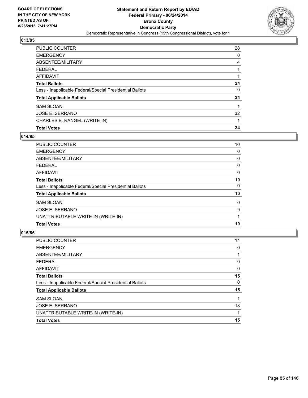

| <b>PUBLIC COUNTER</b>                                    | 28 |
|----------------------------------------------------------|----|
| <b>EMERGENCY</b>                                         | 0  |
| ABSENTEE/MILITARY                                        | 4  |
| <b>FEDERAL</b>                                           |    |
| <b>AFFIDAVIT</b>                                         |    |
| <b>Total Ballots</b>                                     | 34 |
| Less - Inapplicable Federal/Special Presidential Ballots | 0  |
| <b>Total Applicable Ballots</b>                          | 34 |
| <b>SAM SLOAN</b>                                         |    |
| JOSE E. SERRANO                                          | 32 |
| CHARLES B. RANGEL (WRITE-IN)                             |    |
| <b>Total Votes</b>                                       | 34 |

# **014/85**

| <b>PUBLIC COUNTER</b>                                    | 10 |
|----------------------------------------------------------|----|
| <b>EMERGENCY</b>                                         | 0  |
| ABSENTEE/MILITARY                                        | 0  |
| <b>FEDERAL</b>                                           | 0  |
| AFFIDAVIT                                                | 0  |
| <b>Total Ballots</b>                                     | 10 |
| Less - Inapplicable Federal/Special Presidential Ballots | 0  |
| <b>Total Applicable Ballots</b>                          | 10 |
| <b>SAM SLOAN</b>                                         | 0  |
| JOSE E. SERRANO                                          | 9  |
| UNATTRIBUTABLE WRITE-IN (WRITE-IN)                       |    |
| <b>Total Votes</b>                                       | 10 |
|                                                          |    |

| <b>PUBLIC COUNTER</b>                                    | 14 |
|----------------------------------------------------------|----|
| <b>EMERGENCY</b>                                         | 0  |
| ABSENTEE/MILITARY                                        |    |
| <b>FEDERAL</b>                                           | 0  |
| <b>AFFIDAVIT</b>                                         | 0  |
| <b>Total Ballots</b>                                     | 15 |
| Less - Inapplicable Federal/Special Presidential Ballots | 0  |
| <b>Total Applicable Ballots</b>                          | 15 |
| <b>SAM SLOAN</b>                                         |    |
| <b>JOSE E. SERRANO</b>                                   | 13 |
| UNATTRIBUTABLE WRITE-IN (WRITE-IN)                       |    |
| <b>Total Votes</b>                                       | 15 |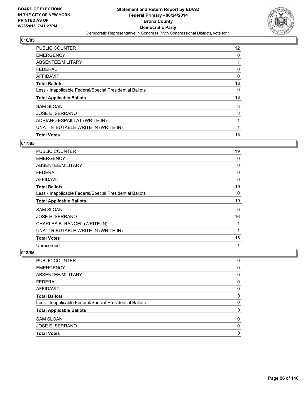

| <b>PUBLIC COUNTER</b>                                    | 12 <sup>°</sup> |
|----------------------------------------------------------|-----------------|
| <b>EMERGENCY</b>                                         | 0               |
| ABSENTEE/MILITARY                                        | 1               |
| <b>FEDERAL</b>                                           | 0               |
| AFFIDAVIT                                                | 0               |
| <b>Total Ballots</b>                                     | 13              |
| Less - Inapplicable Federal/Special Presidential Ballots | 0               |
| <b>Total Applicable Ballots</b>                          | 13              |
| <b>SAM SLOAN</b>                                         | 3               |
| JOSE E. SERRANO                                          | 8               |
| ADRIANO ESPAILLAT (WRITE-IN)                             | 1               |
| UNATTRIBUTABLE WRITE-IN (WRITE-IN)                       | 1               |
| <b>Total Votes</b>                                       | 13              |

### **017/85**

| <b>PUBLIC COUNTER</b>                                    | 19 |
|----------------------------------------------------------|----|
| <b>EMERGENCY</b>                                         | 0  |
| ABSENTEE/MILITARY                                        | 0  |
| <b>FEDERAL</b>                                           | 0  |
| AFFIDAVIT                                                | 0  |
| <b>Total Ballots</b>                                     | 19 |
| Less - Inapplicable Federal/Special Presidential Ballots | 0  |
| <b>Total Applicable Ballots</b>                          | 19 |
| <b>SAM SLOAN</b>                                         | 0  |
| <b>JOSE E. SERRANO</b>                                   | 16 |
| CHARLES B. RANGEL (WRITE-IN)                             | 1  |
| UNATTRIBUTABLE WRITE-IN (WRITE-IN)                       | 1  |
| <b>Total Votes</b>                                       | 18 |
|                                                          | 1  |

| <b>PUBLIC COUNTER</b>                                    | 0 |
|----------------------------------------------------------|---|
|                                                          |   |
| <b>EMERGENCY</b>                                         | 0 |
| ABSENTEE/MILITARY                                        | 0 |
| <b>FEDERAL</b>                                           | 0 |
| <b>AFFIDAVIT</b>                                         | 0 |
| <b>Total Ballots</b>                                     | 0 |
| Less - Inapplicable Federal/Special Presidential Ballots | 0 |
| <b>Total Applicable Ballots</b>                          | 0 |
| <b>SAM SLOAN</b>                                         | 0 |
| <b>JOSE E. SERRANO</b>                                   | 0 |
| <b>Total Votes</b>                                       | 0 |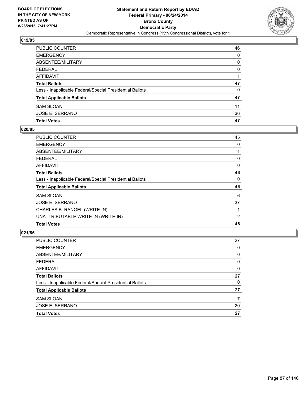

| PUBLIC COUNTER                                           | 46 |
|----------------------------------------------------------|----|
| <b>EMERGENCY</b>                                         | 0  |
| <b>ABSENTEE/MILITARY</b>                                 | 0  |
| <b>FEDERAL</b>                                           | 0  |
| AFFIDAVIT                                                |    |
| <b>Total Ballots</b>                                     | 47 |
| Less - Inapplicable Federal/Special Presidential Ballots | 0  |
| <b>Total Applicable Ballots</b>                          | 47 |
| <b>SAM SLOAN</b>                                         | 11 |
| JOSE E. SERRANO                                          | 36 |
| <b>Total Votes</b>                                       | 47 |

# **020/85**

| PUBLIC COUNTER                                           | 45 |
|----------------------------------------------------------|----|
| <b>EMERGENCY</b>                                         | 0  |
| ABSENTEE/MILITARY                                        |    |
| <b>FEDERAL</b>                                           | 0  |
| <b>AFFIDAVIT</b>                                         | 0  |
| <b>Total Ballots</b>                                     | 46 |
| Less - Inapplicable Federal/Special Presidential Ballots | 0  |
| <b>Total Applicable Ballots</b>                          | 46 |
| <b>SAM SLOAN</b>                                         | 6  |
| <b>JOSE E. SERRANO</b>                                   | 37 |
| CHARLES B. RANGEL (WRITE-IN)                             |    |
| UNATTRIBUTABLE WRITE-IN (WRITE-IN)                       | 2  |
| <b>Total Votes</b>                                       | 46 |
|                                                          |    |

| <b>Total Votes</b>                                       | 27 |
|----------------------------------------------------------|----|
| <b>JOSE E. SERRANO</b>                                   | 20 |
| <b>SAM SLOAN</b>                                         | 7  |
| <b>Total Applicable Ballots</b>                          | 27 |
| Less - Inapplicable Federal/Special Presidential Ballots | 0  |
| <b>Total Ballots</b>                                     | 27 |
| <b>AFFIDAVIT</b>                                         | 0  |
| <b>FEDERAL</b>                                           | 0  |
| ABSENTEE/MILITARY                                        | 0  |
| <b>EMERGENCY</b>                                         | 0  |
| <b>PUBLIC COUNTER</b>                                    | 27 |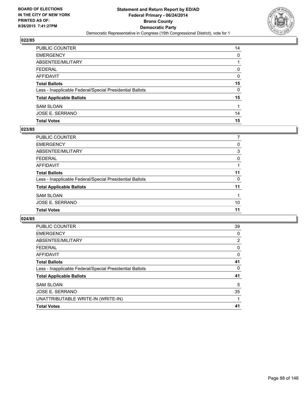

| PUBLIC COUNTER                                           | 14 |
|----------------------------------------------------------|----|
| <b>EMERGENCY</b>                                         | 0  |
| ABSENTEE/MILITARY                                        |    |
| <b>FEDERAL</b>                                           | 0  |
| <b>AFFIDAVIT</b>                                         | 0  |
| <b>Total Ballots</b>                                     | 15 |
| Less - Inapplicable Federal/Special Presidential Ballots | 0  |
| <b>Total Applicable Ballots</b>                          | 15 |
| <b>SAM SLOAN</b>                                         |    |
| JOSE E. SERRANO                                          | 14 |
| <b>Total Votes</b>                                       | 15 |

# **023/85**

| <b>PUBLIC COUNTER</b>                                    |    |
|----------------------------------------------------------|----|
| <b>EMERGENCY</b>                                         | 0  |
| <b>ABSENTEE/MILITARY</b>                                 | 3  |
| <b>FEDERAL</b>                                           | 0  |
| <b>AFFIDAVIT</b>                                         |    |
| <b>Total Ballots</b>                                     | 11 |
| Less - Inapplicable Federal/Special Presidential Ballots | 0  |
| <b>Total Applicable Ballots</b>                          | 11 |
| <b>SAM SLOAN</b>                                         |    |
| <b>JOSE E. SERRANO</b>                                   | 10 |
| <b>Total Votes</b>                                       | 11 |
|                                                          |    |

| <b>PUBLIC COUNTER</b>                                    | 39 |
|----------------------------------------------------------|----|
| <b>EMERGENCY</b>                                         | 0  |
| ABSENTEE/MILITARY                                        | 2  |
| <b>FEDERAL</b>                                           | 0  |
| AFFIDAVIT                                                | 0  |
| <b>Total Ballots</b>                                     | 41 |
| Less - Inapplicable Federal/Special Presidential Ballots | 0  |
| <b>Total Applicable Ballots</b>                          | 41 |
| <b>SAM SLOAN</b>                                         | 5  |
| JOSE E. SERRANO                                          | 35 |
| UNATTRIBUTABLE WRITE-IN (WRITE-IN)                       |    |
| <b>Total Votes</b>                                       | 41 |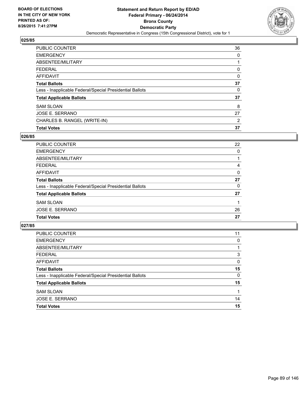

| <b>PUBLIC COUNTER</b>                                    | 36 |
|----------------------------------------------------------|----|
| <b>EMERGENCY</b>                                         | 0  |
| ABSENTEE/MILITARY                                        |    |
| <b>FEDERAL</b>                                           | 0  |
| <b>AFFIDAVIT</b>                                         | 0  |
| <b>Total Ballots</b>                                     | 37 |
| Less - Inapplicable Federal/Special Presidential Ballots | 0  |
| <b>Total Applicable Ballots</b>                          | 37 |
| <b>SAM SLOAN</b>                                         | 8  |
| <b>JOSE E. SERRANO</b>                                   | 27 |
| CHARLES B. RANGEL (WRITE-IN)                             | 2  |
| <b>Total Votes</b>                                       | 37 |

### **026/85**

| PUBLIC COUNTER                                           | 22 |
|----------------------------------------------------------|----|
| <b>EMERGENCY</b>                                         | 0  |
| ABSENTEE/MILITARY                                        |    |
| <b>FEDERAL</b>                                           | 4  |
| <b>AFFIDAVIT</b>                                         | 0  |
| <b>Total Ballots</b>                                     | 27 |
| Less - Inapplicable Federal/Special Presidential Ballots | 0  |
| <b>Total Applicable Ballots</b>                          | 27 |
| <b>SAM SLOAN</b>                                         |    |
| JOSE E. SERRANO                                          | 26 |
| <b>Total Votes</b>                                       | 27 |
|                                                          |    |

| PUBLIC COUNTER                                           | 11 |
|----------------------------------------------------------|----|
| <b>EMERGENCY</b>                                         | 0  |
| ABSENTEE/MILITARY                                        |    |
| <b>FEDERAL</b>                                           | 3  |
| AFFIDAVIT                                                | 0  |
| <b>Total Ballots</b>                                     | 15 |
| Less - Inapplicable Federal/Special Presidential Ballots | 0  |
| <b>Total Applicable Ballots</b>                          | 15 |
| <b>SAM SLOAN</b>                                         |    |
| <b>JOSE E. SERRANO</b>                                   | 14 |
| <b>Total Votes</b>                                       | 15 |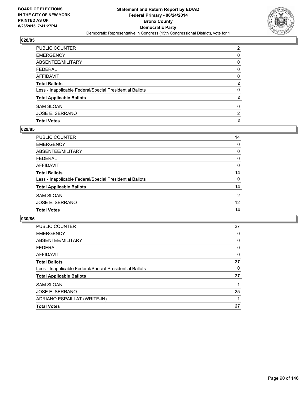

| PUBLIC COUNTER                                           | 2            |
|----------------------------------------------------------|--------------|
| <b>EMERGENCY</b>                                         | 0            |
| ABSENTEE/MILITARY                                        | 0            |
| <b>FEDERAL</b>                                           | 0            |
| <b>AFFIDAVIT</b>                                         | 0            |
| <b>Total Ballots</b>                                     | $\mathbf{2}$ |
| Less - Inapplicable Federal/Special Presidential Ballots | 0            |
| <b>Total Applicable Ballots</b>                          | $\mathbf{2}$ |
| <b>SAM SLOAN</b>                                         | 0            |
| JOSE E. SERRANO                                          | 2            |
| <b>Total Votes</b>                                       | 2            |

# **029/85**

| 14 |
|----|
| 0  |
| 0  |
| 0  |
| 0  |
| 14 |
| 0  |
| 14 |
| 2  |
| 12 |
| 14 |
|    |

| <b>PUBLIC COUNTER</b>                                    | 27 |
|----------------------------------------------------------|----|
| <b>EMERGENCY</b>                                         | 0  |
| ABSENTEE/MILITARY                                        | 0  |
| <b>FEDERAL</b>                                           | 0  |
| AFFIDAVIT                                                | 0  |
| <b>Total Ballots</b>                                     | 27 |
| Less - Inapplicable Federal/Special Presidential Ballots | 0  |
| <b>Total Applicable Ballots</b>                          | 27 |
| <b>SAM SLOAN</b>                                         |    |
| JOSE E. SERRANO                                          | 25 |
| ADRIANO ESPAILLAT (WRITE-IN)                             |    |
| <b>Total Votes</b>                                       | 27 |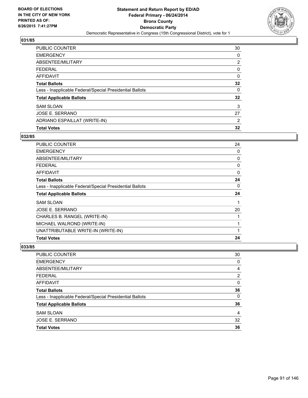

| <b>PUBLIC COUNTER</b>                                    | 30 |
|----------------------------------------------------------|----|
| <b>EMERGENCY</b>                                         | 0  |
| ABSENTEE/MILITARY                                        | 2  |
| <b>FEDERAL</b>                                           | 0  |
| <b>AFFIDAVIT</b>                                         | 0  |
| <b>Total Ballots</b>                                     | 32 |
| Less - Inapplicable Federal/Special Presidential Ballots | 0  |
| <b>Total Applicable Ballots</b>                          | 32 |
| <b>SAM SLOAN</b>                                         | 3  |
| JOSE E. SERRANO                                          | 27 |
| ADRIANO ESPAILLAT (WRITE-IN)                             | 2  |
| <b>Total Votes</b>                                       | 32 |

# **032/85**

| 24<br>0<br>0<br>0<br>$\Omega$<br>24 |
|-------------------------------------|
|                                     |
|                                     |
|                                     |
|                                     |
|                                     |
|                                     |
| 0                                   |
| 24                                  |
| 1                                   |
| 20                                  |
|                                     |
|                                     |
|                                     |
| 24                                  |
|                                     |

| <b>Total Votes</b>                                       | 36             |
|----------------------------------------------------------|----------------|
| JOSE E. SERRANO                                          | 32             |
| <b>SAM SLOAN</b>                                         | 4              |
| <b>Total Applicable Ballots</b>                          | 36             |
| Less - Inapplicable Federal/Special Presidential Ballots | 0              |
| <b>Total Ballots</b>                                     | 36             |
| <b>AFFIDAVIT</b>                                         | 0              |
| <b>FEDERAL</b>                                           | $\overline{2}$ |
| ABSENTEE/MILITARY                                        | 4              |
| <b>EMERGENCY</b>                                         | 0              |
| <b>PUBLIC COUNTER</b>                                    | 30             |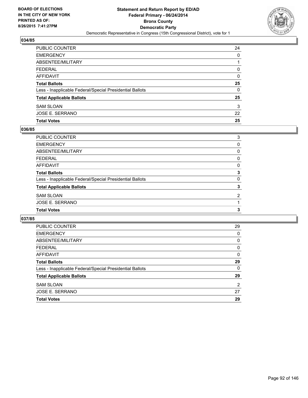

| PUBLIC COUNTER                                           | 24 |
|----------------------------------------------------------|----|
| <b>EMERGENCY</b>                                         | 0  |
| ABSENTEE/MILITARY                                        |    |
| <b>FEDERAL</b>                                           | 0  |
| <b>AFFIDAVIT</b>                                         | 0  |
| <b>Total Ballots</b>                                     | 25 |
| Less - Inapplicable Federal/Special Presidential Ballots | 0  |
| <b>Total Applicable Ballots</b>                          | 25 |
| <b>SAM SLOAN</b>                                         | 3  |
| JOSE E. SERRANO                                          | 22 |
| <b>Total Votes</b>                                       | 25 |

# **036/85**

| <b>PUBLIC COUNTER</b>                                    | 3              |
|----------------------------------------------------------|----------------|
| <b>EMERGENCY</b>                                         | 0              |
| <b>ABSENTEE/MILITARY</b>                                 | 0              |
| <b>FEDERAL</b>                                           | 0              |
| <b>AFFIDAVIT</b>                                         | 0              |
| <b>Total Ballots</b>                                     | 3              |
| Less - Inapplicable Federal/Special Presidential Ballots | 0              |
| <b>Total Applicable Ballots</b>                          | 3              |
| <b>SAM SLOAN</b>                                         | $\overline{2}$ |
| <b>JOSE E. SERRANO</b>                                   |                |
| <b>Total Votes</b>                                       | 3              |
|                                                          |                |

| PUBLIC COUNTER                                           | 29 |
|----------------------------------------------------------|----|
| <b>EMERGENCY</b>                                         | 0  |
| ABSENTEE/MILITARY                                        | 0  |
| <b>FEDERAL</b>                                           | 0  |
| AFFIDAVIT                                                | 0  |
| <b>Total Ballots</b>                                     | 29 |
| Less - Inapplicable Federal/Special Presidential Ballots | 0  |
| <b>Total Applicable Ballots</b>                          | 29 |
| <b>SAM SLOAN</b>                                         | 2  |
| JOSE E. SERRANO                                          | 27 |
| <b>Total Votes</b>                                       | 29 |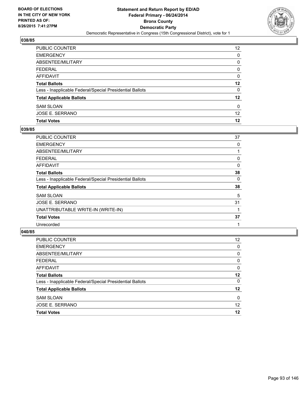

| PUBLIC COUNTER                                           | $12 \overline{ }$ |
|----------------------------------------------------------|-------------------|
| <b>EMERGENCY</b>                                         | 0                 |
| ABSENTEE/MILITARY                                        | 0                 |
| <b>FEDERAL</b>                                           | 0                 |
| AFFIDAVIT                                                | 0                 |
| <b>Total Ballots</b>                                     | 12                |
| Less - Inapplicable Federal/Special Presidential Ballots | 0                 |
| <b>Total Applicable Ballots</b>                          | $12 \,$           |
| <b>SAM SLOAN</b>                                         | 0                 |
| JOSE E. SERRANO                                          | 12 <sup>2</sup>   |
| <b>Total Votes</b>                                       | 12                |

# **039/85**

| <b>PUBLIC COUNTER</b>                                    | 37 |
|----------------------------------------------------------|----|
| <b>EMERGENCY</b>                                         | 0  |
| ABSENTEE/MILITARY                                        |    |
| <b>FEDERAL</b>                                           | 0  |
| <b>AFFIDAVIT</b>                                         | 0  |
| <b>Total Ballots</b>                                     | 38 |
| Less - Inapplicable Federal/Special Presidential Ballots | 0  |
| <b>Total Applicable Ballots</b>                          | 38 |
| <b>SAM SLOAN</b>                                         | 5  |
| JOSE E. SERRANO                                          | 31 |
| UNATTRIBUTABLE WRITE-IN (WRITE-IN)                       |    |
| <b>Total Votes</b>                                       | 37 |
| Unrecorded                                               |    |
|                                                          |    |

| <b>Total Votes</b>                                       | 12 |
|----------------------------------------------------------|----|
| JOSE E. SERRANO                                          | 12 |
| <b>SAM SLOAN</b>                                         | 0  |
| <b>Total Applicable Ballots</b>                          | 12 |
| Less - Inapplicable Federal/Special Presidential Ballots | 0  |
| <b>Total Ballots</b>                                     | 12 |
| AFFIDAVIT                                                | 0  |
| <b>FEDERAL</b>                                           | 0  |
| ABSENTEE/MILITARY                                        | 0  |
| <b>EMERGENCY</b>                                         | 0  |
| PUBLIC COUNTER                                           | 12 |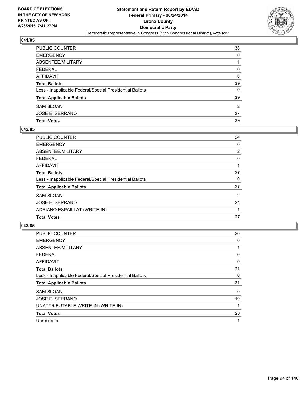

| PUBLIC COUNTER                                           | 38           |
|----------------------------------------------------------|--------------|
| EMERGENCY                                                | 0            |
| ABSENTEE/MILITARY                                        |              |
| FEDERAL                                                  | 0            |
| AFFIDAVIT                                                | $\Omega$     |
| Total Ballots                                            | 39           |
| Less - Inapplicable Federal/Special Presidential Ballots | $\mathbf{0}$ |
| <b>Total Applicable Ballots</b>                          | 39           |
| <b>SAM SLOAN</b>                                         | 2            |
| JOSE E. SERRANO                                          | 37           |
| <b>Total Votes</b>                                       | 39           |

# **042/85**

| <b>PUBLIC COUNTER</b>                                    | 24             |
|----------------------------------------------------------|----------------|
| <b>EMERGENCY</b>                                         | 0              |
| ABSENTEE/MILITARY                                        | $\overline{2}$ |
| <b>FEDERAL</b>                                           | 0              |
| <b>AFFIDAVIT</b>                                         |                |
| <b>Total Ballots</b>                                     | 27             |
| Less - Inapplicable Federal/Special Presidential Ballots | 0              |
| <b>Total Applicable Ballots</b>                          | 27             |
| <b>SAM SLOAN</b>                                         | $\overline{2}$ |
| JOSE E. SERRANO                                          | 24             |
| ADRIANO ESPAILLAT (WRITE-IN)                             |                |
| <b>Total Votes</b>                                       | 27             |
|                                                          |                |

| <b>PUBLIC COUNTER</b>                                    | 20 |
|----------------------------------------------------------|----|
| <b>EMERGENCY</b>                                         | 0  |
| ABSENTEE/MILITARY                                        |    |
| <b>FEDERAL</b>                                           | 0  |
| AFFIDAVIT                                                | 0  |
| <b>Total Ballots</b>                                     | 21 |
| Less - Inapplicable Federal/Special Presidential Ballots | 0  |
| <b>Total Applicable Ballots</b>                          | 21 |
| <b>SAM SLOAN</b>                                         | 0  |
| <b>JOSE E. SERRANO</b>                                   | 19 |
| UNATTRIBUTABLE WRITE-IN (WRITE-IN)                       | 1  |
| <b>Total Votes</b>                                       | 20 |
| Unrecorded                                               | 1  |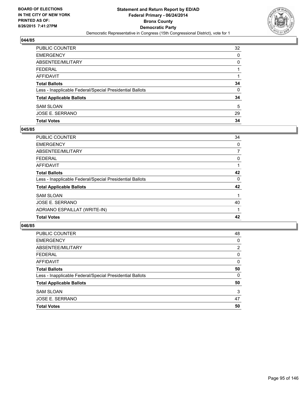

| PUBLIC COUNTER                                           | 32 |
|----------------------------------------------------------|----|
| <b>EMERGENCY</b>                                         | 0  |
| ABSENTEE/MILITARY                                        | 0  |
| <b>FEDERAL</b>                                           |    |
| AFFIDAVIT                                                |    |
| <b>Total Ballots</b>                                     | 34 |
| Less - Inapplicable Federal/Special Presidential Ballots | 0  |
| <b>Total Applicable Ballots</b>                          | 34 |
| <b>SAM SLOAN</b>                                         | 5  |
| JOSE E. SERRANO                                          | 29 |
| <b>Total Votes</b>                                       | 34 |

# **045/85**

| <b>PUBLIC COUNTER</b>                                    | 34 |
|----------------------------------------------------------|----|
| <b>EMERGENCY</b>                                         | 0  |
| ABSENTEE/MILITARY                                        | 7  |
| <b>FEDERAL</b>                                           | 0  |
| <b>AFFIDAVIT</b>                                         |    |
| <b>Total Ballots</b>                                     | 42 |
| Less - Inapplicable Federal/Special Presidential Ballots | 0  |
| <b>Total Applicable Ballots</b>                          | 42 |
| <b>SAM SLOAN</b>                                         | 1  |
| JOSE E. SERRANO                                          | 40 |
| ADRIANO ESPAILLAT (WRITE-IN)                             |    |
| <b>Total Votes</b>                                       | 42 |

| <b>PUBLIC COUNTER</b>                                    | 48             |
|----------------------------------------------------------|----------------|
| <b>EMERGENCY</b>                                         | 0              |
| ABSENTEE/MILITARY                                        | $\overline{2}$ |
| <b>FEDERAL</b>                                           | 0              |
| AFFIDAVIT                                                | 0              |
| <b>Total Ballots</b>                                     | 50             |
| Less - Inapplicable Federal/Special Presidential Ballots | 0              |
| <b>Total Applicable Ballots</b>                          | 50             |
| <b>SAM SLOAN</b>                                         | 3              |
| JOSE E. SERRANO                                          | 47             |
| <b>Total Votes</b>                                       | 50             |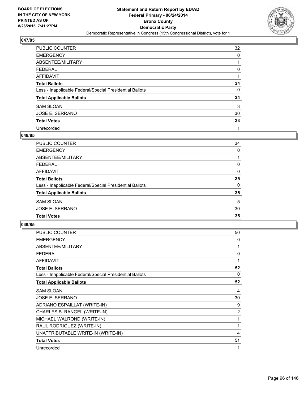

| <b>PUBLIC COUNTER</b>                                    | 32 |
|----------------------------------------------------------|----|
| <b>EMERGENCY</b>                                         | 0  |
| ABSENTEE/MILITARY                                        |    |
| <b>FEDERAL</b>                                           | 0  |
| <b>AFFIDAVIT</b>                                         |    |
| <b>Total Ballots</b>                                     | 34 |
| Less - Inapplicable Federal/Special Presidential Ballots | 0  |
| <b>Total Applicable Ballots</b>                          | 34 |
| <b>SAM SLOAN</b>                                         | 3  |
| <b>JOSE E. SERRANO</b>                                   | 30 |
| <b>Total Votes</b>                                       | 33 |
| Unrecorded                                               |    |

#### **048/85**

| <b>PUBLIC COUNTER</b>                                    | 34       |
|----------------------------------------------------------|----------|
| <b>EMERGENCY</b>                                         | $\Omega$ |
| <b>ABSENTEE/MILITARY</b>                                 |          |
| <b>FEDERAL</b>                                           | 0        |
| <b>AFFIDAVIT</b>                                         | 0        |
| <b>Total Ballots</b>                                     | 35       |
| Less - Inapplicable Federal/Special Presidential Ballots | 0        |
| <b>Total Applicable Ballots</b>                          | 35       |
| <b>SAM SLOAN</b>                                         | 5        |
| <b>JOSE E. SERRANO</b>                                   | 30       |
| <b>Total Votes</b>                                       | 35       |
|                                                          |          |

| <b>PUBLIC COUNTER</b>                                    | 50 |
|----------------------------------------------------------|----|
| <b>EMERGENCY</b>                                         | 0  |
| ABSENTEE/MILITARY                                        | 1  |
| <b>FEDERAL</b>                                           | 0  |
| <b>AFFIDAVIT</b>                                         | 1  |
| <b>Total Ballots</b>                                     | 52 |
| Less - Inapplicable Federal/Special Presidential Ballots | 0  |
| <b>Total Applicable Ballots</b>                          | 52 |
| <b>SAM SLOAN</b>                                         | 4  |
| JOSE E. SERRANO                                          | 30 |
| ADRIANO ESPAILLAT (WRITE-IN)                             | 9  |
| CHARLES B. RANGEL (WRITE-IN)                             | 2  |
| MICHAEL WALROND (WRITE-IN)                               | 1  |
| RAUL RODRIGUEZ (WRITE-IN)                                | 1  |
| UNATTRIBUTABLE WRITE-IN (WRITE-IN)                       | 4  |
| <b>Total Votes</b>                                       | 51 |
| Unrecorded                                               | 1  |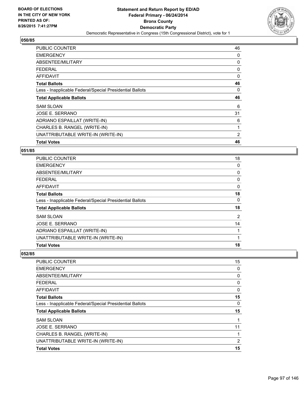

| <b>PUBLIC COUNTER</b>                                    | 46 |
|----------------------------------------------------------|----|
| <b>EMERGENCY</b>                                         | 0  |
| ABSENTEE/MILITARY                                        | 0  |
| <b>FEDERAL</b>                                           | 0  |
| AFFIDAVIT                                                | 0  |
| <b>Total Ballots</b>                                     | 46 |
| Less - Inapplicable Federal/Special Presidential Ballots | 0  |
|                                                          |    |
| <b>Total Applicable Ballots</b>                          | 46 |
| <b>SAM SLOAN</b>                                         | 6  |
| JOSE E. SERRANO                                          | 31 |
| ADRIANO ESPAILLAT (WRITE-IN)                             | 6  |
| CHARLES B. RANGEL (WRITE-IN)                             | 1  |
| UNATTRIBUTABLE WRITE-IN (WRITE-IN)                       | 2  |

# **051/85**

| PUBLIC COUNTER                                           | 18 |
|----------------------------------------------------------|----|
| <b>EMERGENCY</b>                                         | 0  |
| ABSENTEE/MILITARY                                        | 0  |
| <b>FEDERAL</b>                                           | 0  |
| AFFIDAVIT                                                | 0  |
| <b>Total Ballots</b>                                     | 18 |
| Less - Inapplicable Federal/Special Presidential Ballots | 0  |
| <b>Total Applicable Ballots</b>                          | 18 |
| <b>SAM SLOAN</b>                                         | 2  |
| <b>JOSE E. SERRANO</b>                                   | 14 |
| ADRIANO ESPAILLAT (WRITE-IN)                             |    |
| UNATTRIBUTABLE WRITE-IN (WRITE-IN)                       |    |
| <b>Total Votes</b>                                       | 18 |

| <b>PUBLIC COUNTER</b>                                    | 15 |
|----------------------------------------------------------|----|
| <b>EMERGENCY</b>                                         | 0  |
| ABSENTEE/MILITARY                                        | 0  |
| <b>FEDERAL</b>                                           | 0  |
| AFFIDAVIT                                                | 0  |
| <b>Total Ballots</b>                                     | 15 |
| Less - Inapplicable Federal/Special Presidential Ballots | 0  |
| <b>Total Applicable Ballots</b>                          | 15 |
| <b>SAM SLOAN</b>                                         | 1  |
| JOSE E. SERRANO                                          | 11 |
| CHARLES B. RANGEL (WRITE-IN)                             |    |
| UNATTRIBUTABLE WRITE-IN (WRITE-IN)                       | 2  |
| <b>Total Votes</b>                                       | 15 |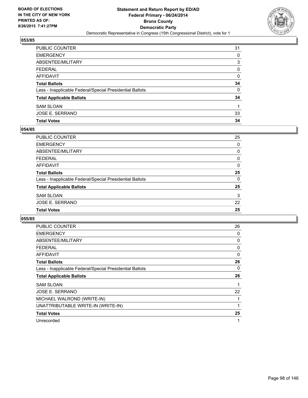

| PUBLIC COUNTER                                           | 31       |
|----------------------------------------------------------|----------|
| <b>EMERGENCY</b>                                         | 0        |
| ABSENTEE/MILITARY                                        | 3        |
| <b>FEDERAL</b>                                           | $\Omega$ |
| AFFIDAVIT                                                | $\Omega$ |
| <b>Total Ballots</b>                                     | 34       |
| Less - Inapplicable Federal/Special Presidential Ballots | $\Omega$ |
| <b>Total Applicable Ballots</b>                          | 34       |
| <b>SAM SLOAN</b>                                         |          |
| JOSE E. SERRANO                                          | 33       |
| <b>Total Votes</b>                                       | 34       |

# **054/85**

| PUBLIC COUNTER                                           | 25       |
|----------------------------------------------------------|----------|
| <b>EMERGENCY</b>                                         | 0        |
| <b>ABSENTEE/MILITARY</b>                                 | 0        |
| <b>FEDERAL</b>                                           | 0        |
| <b>AFFIDAVIT</b>                                         | 0        |
| <b>Total Ballots</b>                                     | 25       |
| Less - Inapplicable Federal/Special Presidential Ballots | $\Omega$ |
| <b>Total Applicable Ballots</b>                          | 25       |
| <b>SAM SLOAN</b>                                         | 3        |
| <b>JOSE E. SERRANO</b>                                   | 22       |
| <b>Total Votes</b>                                       | 25       |
|                                                          |          |

| <b>PUBLIC COUNTER</b>                                    | 26 |
|----------------------------------------------------------|----|
| <b>EMERGENCY</b>                                         | 0  |
| ABSENTEE/MILITARY                                        | 0  |
| FEDERAL                                                  | 0  |
| AFFIDAVIT                                                | 0  |
| <b>Total Ballots</b>                                     | 26 |
| Less - Inapplicable Federal/Special Presidential Ballots | 0  |
| <b>Total Applicable Ballots</b>                          | 26 |
| <b>SAM SLOAN</b>                                         | 1  |
| JOSE E. SERRANO                                          | 22 |
| MICHAEL WALROND (WRITE-IN)                               | 1  |
| UNATTRIBUTABLE WRITE-IN (WRITE-IN)                       |    |
| <b>Total Votes</b>                                       | 25 |
| Unrecorded                                               | 1  |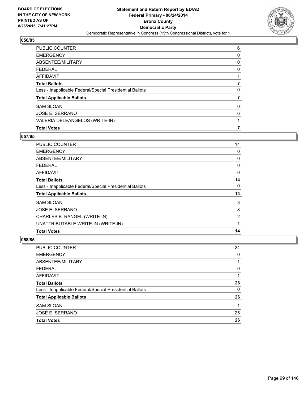

| <b>PUBLIC COUNTER</b>                                    | 6 |
|----------------------------------------------------------|---|
| <b>EMERGENCY</b>                                         | 0 |
| ABSENTEE/MILITARY                                        | 0 |
| <b>FEDERAL</b>                                           | 0 |
| <b>AFFIDAVIT</b>                                         |   |
| <b>Total Ballots</b>                                     |   |
| Less - Inapplicable Federal/Special Presidential Ballots | 0 |
| <b>Total Applicable Ballots</b>                          |   |
| <b>SAM SLOAN</b>                                         | 0 |
| JOSE E. SERRANO                                          | 6 |
| VALERIA DELEANGELOS (WRITE-IN)                           |   |
| <b>Total Votes</b>                                       |   |

# **057/85**

| <b>PUBLIC COUNTER</b>                                    | 14             |
|----------------------------------------------------------|----------------|
| <b>EMERGENCY</b>                                         | 0              |
| ABSENTEE/MILITARY                                        | 0              |
| <b>FEDERAL</b>                                           | 0              |
| AFFIDAVIT                                                | 0              |
| <b>Total Ballots</b>                                     | 14             |
| Less - Inapplicable Federal/Special Presidential Ballots | 0              |
| <b>Total Applicable Ballots</b>                          | 14             |
| <b>SAM SLOAN</b>                                         | 3              |
| <b>JOSE E. SERRANO</b>                                   | 8              |
| CHARLES B. RANGEL (WRITE-IN)                             | $\overline{2}$ |
| UNATTRIBUTABLE WRITE-IN (WRITE-IN)                       | 1              |
| <b>Total Votes</b>                                       | 14             |

| <b>PUBLIC COUNTER</b>                                    | 24 |
|----------------------------------------------------------|----|
| <b>EMERGENCY</b>                                         | 0  |
| ABSENTEE/MILITARY                                        |    |
| <b>FEDERAL</b>                                           | 0  |
| <b>AFFIDAVIT</b>                                         |    |
| <b>Total Ballots</b>                                     | 26 |
| Less - Inapplicable Federal/Special Presidential Ballots | 0  |
| <b>Total Applicable Ballots</b>                          | 26 |
| <b>SAM SLOAN</b>                                         | 1  |
| <b>JOSE E. SERRANO</b>                                   | 25 |
| <b>Total Votes</b>                                       | 26 |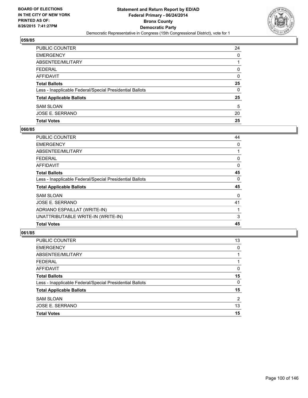

| PUBLIC COUNTER                                           | 24 |
|----------------------------------------------------------|----|
| <b>EMERGENCY</b>                                         | 0  |
| ABSENTEE/MILITARY                                        |    |
| <b>FEDERAL</b>                                           | 0  |
| AFFIDAVIT                                                | 0  |
| <b>Total Ballots</b>                                     | 25 |
| Less - Inapplicable Federal/Special Presidential Ballots | 0  |
| <b>Total Applicable Ballots</b>                          | 25 |
| <b>SAM SLOAN</b>                                         | 5  |
| <b>JOSE E. SERRANO</b>                                   | 20 |
| <b>Total Votes</b>                                       | 25 |

# **060/85**

| PUBLIC COUNTER                                           | 44 |
|----------------------------------------------------------|----|
| <b>EMERGENCY</b>                                         | 0  |
| ABSENTEE/MILITARY                                        |    |
| <b>FEDERAL</b>                                           | 0  |
| AFFIDAVIT                                                | 0  |
| <b>Total Ballots</b>                                     | 45 |
| Less - Inapplicable Federal/Special Presidential Ballots | 0  |
| <b>Total Applicable Ballots</b>                          | 45 |
| <b>SAM SLOAN</b>                                         | 0  |
| <b>JOSE E. SERRANO</b>                                   | 41 |
| ADRIANO ESPAILLAT (WRITE-IN)                             |    |
| UNATTRIBUTABLE WRITE-IN (WRITE-IN)                       | 3  |
| <b>Total Votes</b>                                       | 45 |

| <b>Total Votes</b>                                       | 15 |
|----------------------------------------------------------|----|
| JOSE E. SERRANO                                          | 13 |
| <b>SAM SLOAN</b>                                         | 2  |
| <b>Total Applicable Ballots</b>                          | 15 |
| Less - Inapplicable Federal/Special Presidential Ballots | 0  |
| <b>Total Ballots</b>                                     | 15 |
| <b>AFFIDAVIT</b>                                         | 0  |
| <b>FEDERAL</b>                                           |    |
| ABSENTEE/MILITARY                                        |    |
| <b>EMERGENCY</b>                                         | 0  |
| <b>PUBLIC COUNTER</b>                                    | 13 |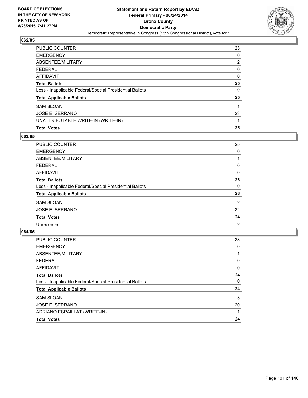

| PUBLIC COUNTER                                           | 23 |
|----------------------------------------------------------|----|
| <b>EMERGENCY</b>                                         | 0  |
| ABSENTEE/MILITARY                                        | 2  |
| <b>FEDERAL</b>                                           | 0  |
| AFFIDAVIT                                                | 0  |
| <b>Total Ballots</b>                                     | 25 |
| Less - Inapplicable Federal/Special Presidential Ballots | 0  |
| <b>Total Applicable Ballots</b>                          | 25 |
| <b>SAM SLOAN</b>                                         | 1  |
| JOSE E. SERRANO                                          | 23 |
| UNATTRIBUTABLE WRITE-IN (WRITE-IN)                       |    |
| <b>Total Votes</b>                                       | 25 |

# **063/85**

| <b>PUBLIC COUNTER</b>                                    | 25             |
|----------------------------------------------------------|----------------|
| <b>EMERGENCY</b>                                         | 0              |
| ABSENTEE/MILITARY                                        |                |
| <b>FEDERAL</b>                                           | 0              |
| AFFIDAVIT                                                | 0              |
| <b>Total Ballots</b>                                     | 26             |
| Less - Inapplicable Federal/Special Presidential Ballots | 0              |
| <b>Total Applicable Ballots</b>                          | 26             |
| <b>SAM SLOAN</b>                                         | $\overline{2}$ |
| <b>JOSE E. SERRANO</b>                                   | 22             |
| <b>Total Votes</b>                                       | 24             |
| Unrecorded                                               | 2              |

| <b>PUBLIC COUNTER</b>                                    | 23 |
|----------------------------------------------------------|----|
| <b>EMERGENCY</b>                                         | 0  |
| ABSENTEE/MILITARY                                        |    |
| <b>FEDERAL</b>                                           | 0  |
| <b>AFFIDAVIT</b>                                         | 0  |
| <b>Total Ballots</b>                                     | 24 |
| Less - Inapplicable Federal/Special Presidential Ballots | 0  |
| <b>Total Applicable Ballots</b>                          | 24 |
| <b>SAM SLOAN</b>                                         | 3  |
| JOSE E. SERRANO                                          | 20 |
| ADRIANO ESPAILLAT (WRITE-IN)                             |    |
| <b>Total Votes</b>                                       | 24 |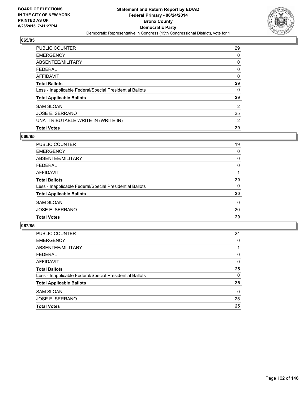

| <b>PUBLIC COUNTER</b>                                    | 29             |
|----------------------------------------------------------|----------------|
| <b>EMERGENCY</b>                                         | 0              |
| ABSENTEE/MILITARY                                        | 0              |
| <b>FEDERAL</b>                                           | 0              |
| <b>AFFIDAVIT</b>                                         | 0              |
| <b>Total Ballots</b>                                     | 29             |
| Less - Inapplicable Federal/Special Presidential Ballots | 0              |
| <b>Total Applicable Ballots</b>                          | 29             |
| <b>SAM SLOAN</b>                                         | $\overline{2}$ |
| JOSE E. SERRANO                                          | 25             |
| UNATTRIBUTABLE WRITE-IN (WRITE-IN)                       | 2              |
| <b>Total Votes</b>                                       | 29             |

### **066/85**

| PUBLIC COUNTER                                           | 19 |
|----------------------------------------------------------|----|
| <b>EMERGENCY</b>                                         | 0  |
| ABSENTEE/MILITARY                                        | 0  |
| <b>FEDERAL</b>                                           | 0  |
| AFFIDAVIT                                                |    |
| <b>Total Ballots</b>                                     | 20 |
| Less - Inapplicable Federal/Special Presidential Ballots | 0  |
| <b>Total Applicable Ballots</b>                          | 20 |
| <b>SAM SLOAN</b>                                         | 0  |
| <b>JOSE E. SERRANO</b>                                   | 20 |
| <b>Total Votes</b>                                       | 20 |
|                                                          |    |

| PUBLIC COUNTER                                           | 24       |
|----------------------------------------------------------|----------|
| <b>EMERGENCY</b>                                         | 0        |
| ABSENTEE/MILITARY                                        |          |
| <b>FEDERAL</b>                                           | 0        |
| AFFIDAVIT                                                | 0        |
| <b>Total Ballots</b>                                     | 25       |
| Less - Inapplicable Federal/Special Presidential Ballots | 0        |
| <b>Total Applicable Ballots</b>                          | 25       |
| <b>SAM SLOAN</b>                                         | $\Omega$ |
| JOSE E. SERRANO                                          | 25       |
| <b>Total Votes</b>                                       | 25       |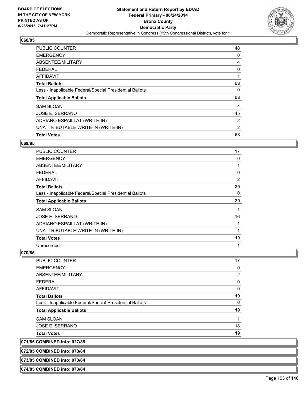

| <b>Total Votes</b>                                       | 53 |
|----------------------------------------------------------|----|
| UNATTRIBUTABLE WRITE-IN (WRITE-IN)                       | 2  |
| ADRIANO ESPAILLAT (WRITE-IN)                             | 2  |
| JOSE E. SERRANO                                          | 45 |
| <b>SAM SLOAN</b>                                         | 4  |
| <b>Total Applicable Ballots</b>                          | 53 |
| Less - Inapplicable Federal/Special Presidential Ballots | 0  |
| <b>Total Ballots</b>                                     | 53 |
| <b>AFFIDAVIT</b>                                         |    |
| <b>FEDERAL</b>                                           | 0  |
| ABSENTEE/MILITARY                                        | 4  |
| <b>EMERGENCY</b>                                         | 0  |
| <b>PUBLIC COUNTER</b>                                    | 48 |

#### **069/85**

| PUBLIC COUNTER                                           | 17 |
|----------------------------------------------------------|----|
| <b>EMERGENCY</b>                                         | 0  |
| ABSENTEE/MILITARY                                        |    |
| <b>FEDERAL</b>                                           | 0  |
| AFFIDAVIT                                                | 2  |
| <b>Total Ballots</b>                                     | 20 |
| Less - Inapplicable Federal/Special Presidential Ballots | 0  |
|                                                          | 20 |
| <b>Total Applicable Ballots</b>                          |    |
| <b>SAM SLOAN</b>                                         | 1  |
| JOSE E. SERRANO                                          | 16 |
| ADRIANO ESPAILLAT (WRITE-IN)                             |    |
| UNATTRIBUTABLE WRITE-IN (WRITE-IN)                       |    |
| <b>Total Votes</b>                                       | 19 |

# **070/85**

| PUBLIC COUNTER                                           | 17 |
|----------------------------------------------------------|----|
| EMERGENCY                                                | 0  |
| ABSENTEE/MILITARY                                        | 2  |
| FEDERAL                                                  | 0  |
| AFFIDAVIT                                                | 0  |
| <b>Total Ballots</b>                                     | 19 |
| Less - Inapplicable Federal/Special Presidential Ballots | 0  |
| <b>Total Applicable Ballots</b>                          | 19 |
| <b>SAM SLOAN</b>                                         |    |
| JOSE E. SERRANO                                          | 18 |
| Total Votes                                              | 19 |
|                                                          |    |

**071/85 COMBINED into: 027/85**

**072/85 COMBINED into: 073/84**

**073/85 COMBINED into: 073/84**

**074/85 COMBINED into: 073/84**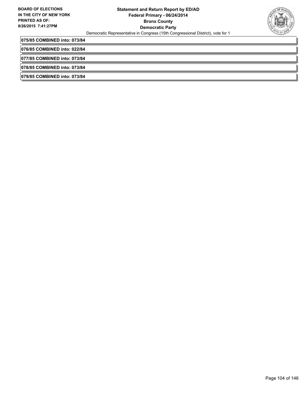

**075/85 COMBINED into: 073/84**

**076/85 COMBINED into: 022/84**

**077/85 COMBINED into: 073/84**

**078/85 COMBINED into: 073/84**

**079/85 COMBINED into: 073/84**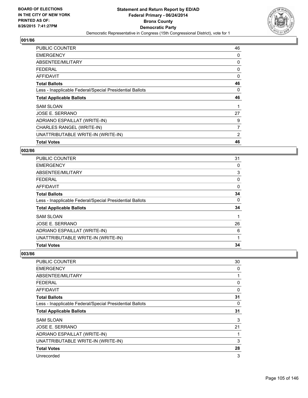

| <b>PUBLIC COUNTER</b>                                    | 46 |
|----------------------------------------------------------|----|
| <b>EMERGENCY</b>                                         | 0  |
| ABSENTEE/MILITARY                                        | 0  |
| <b>FEDERAL</b>                                           | 0  |
| <b>AFFIDAVIT</b>                                         | 0  |
| <b>Total Ballots</b>                                     | 46 |
| Less - Inapplicable Federal/Special Presidential Ballots | 0  |
| <b>Total Applicable Ballots</b>                          | 46 |
|                                                          |    |
| <b>SAM SLOAN</b>                                         | 1  |
| JOSE E. SERRANO                                          | 27 |
| ADRIANO ESPAILLAT (WRITE-IN)                             | 9  |
| CHARLES RANGEL (WRITE-IN)                                | 7  |
| UNATTRIBUTABLE WRITE-IN (WRITE-IN)                       | 2  |

### **002/86**

| <b>PUBLIC COUNTER</b>                                    | 31 |
|----------------------------------------------------------|----|
| <b>EMERGENCY</b>                                         | 0  |
| ABSENTEE/MILITARY                                        | 3  |
| <b>FEDERAL</b>                                           | 0  |
| AFFIDAVIT                                                | 0  |
| <b>Total Ballots</b>                                     | 34 |
| Less - Inapplicable Federal/Special Presidential Ballots | 0  |
| <b>Total Applicable Ballots</b>                          | 34 |
| <b>SAM SLOAN</b>                                         |    |
| JOSE E. SERRANO                                          | 26 |
| ADRIANO ESPAILLAT (WRITE-IN)                             | 6  |
| UNATTRIBUTABLE WRITE-IN (WRITE-IN)                       | 1  |
| <b>Total Votes</b>                                       | 34 |

| <b>PUBLIC COUNTER</b>                                    | 30 |
|----------------------------------------------------------|----|
| <b>EMERGENCY</b>                                         | 0  |
| ABSENTEE/MILITARY                                        | 1  |
| <b>FEDERAL</b>                                           | 0  |
| AFFIDAVIT                                                | 0  |
| <b>Total Ballots</b>                                     | 31 |
| Less - Inapplicable Federal/Special Presidential Ballots | 0  |
| <b>Total Applicable Ballots</b>                          | 31 |
| <b>SAM SLOAN</b>                                         | 3  |
| <b>JOSE E. SERRANO</b>                                   | 21 |
| ADRIANO ESPAILLAT (WRITE-IN)                             | 1  |
| UNATTRIBUTABLE WRITE-IN (WRITE-IN)                       | 3  |
| <b>Total Votes</b>                                       | 28 |
| Unrecorded                                               | 3  |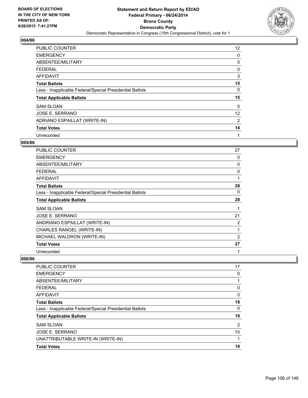

| <b>PUBLIC COUNTER</b>                                    | 12 <sup>°</sup> |
|----------------------------------------------------------|-----------------|
| <b>EMERGENCY</b>                                         | 0               |
| ABSENTEE/MILITARY                                        | 0               |
| <b>FEDERAL</b>                                           | 0               |
| <b>AFFIDAVIT</b>                                         | 3               |
| <b>Total Ballots</b>                                     | 15              |
| Less - Inapplicable Federal/Special Presidential Ballots | 0               |
| <b>Total Applicable Ballots</b>                          | 15              |
| <b>SAM SLOAN</b>                                         | 0               |
| JOSE E. SERRANO                                          | 12              |
| ADRIANO ESPAILLAT (WRITE-IN)                             | 2               |
| <b>Total Votes</b>                                       | 14              |
| Unrecorded                                               | 1               |

#### **005/86**

| PUBLIC COUNTER                                           | 27             |
|----------------------------------------------------------|----------------|
| <b>EMERGENCY</b>                                         | 0              |
| <b>ABSENTEE/MILITARY</b>                                 | 0              |
| FEDERAL                                                  | 0              |
| <b>AFFIDAVIT</b>                                         | 1              |
| <b>Total Ballots</b>                                     | 28             |
| Less - Inapplicable Federal/Special Presidential Ballots | 0              |
| <b>Total Applicable Ballots</b>                          | 28             |
| <b>SAM SLOAN</b>                                         |                |
| JOSE E. SERRANO                                          | 21             |
| ANDRIANO ESPAILLAT (WRITE-IN)                            | 2              |
| CHARLES RANGEL (WRITE-IN)                                | 1              |
| MICHAEL WALDRON (WRITE-IN)                               | $\overline{2}$ |
| <b>Total Votes</b>                                       | 27             |
| Unrecorded                                               | 1              |

| <b>PUBLIC COUNTER</b>                                    | 17             |
|----------------------------------------------------------|----------------|
| <b>EMERGENCY</b>                                         | 0              |
| ABSENTEE/MILITARY                                        |                |
| <b>FEDERAL</b>                                           | 0              |
| AFFIDAVIT                                                | 0              |
| <b>Total Ballots</b>                                     | 18             |
| Less - Inapplicable Federal/Special Presidential Ballots | 0              |
| <b>Total Applicable Ballots</b>                          | 18             |
| <b>SAM SLOAN</b>                                         | $\overline{2}$ |
| JOSE E. SERRANO                                          | 15             |
| UNATTRIBUTABLE WRITE-IN (WRITE-IN)                       |                |
| <b>Total Votes</b>                                       | 18             |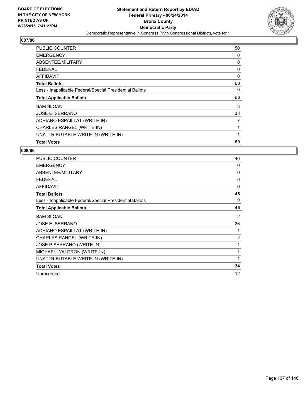

| <b>PUBLIC COUNTER</b>                                    | 50 |
|----------------------------------------------------------|----|
| <b>EMERGENCY</b>                                         | 0  |
| ABSENTEE/MILITARY                                        | 0  |
| <b>FEDERAL</b>                                           | 0  |
| AFFIDAVIT                                                | 0  |
| <b>Total Ballots</b>                                     | 50 |
| Less - Inapplicable Federal/Special Presidential Ballots | 0  |
| <b>Total Applicable Ballots</b>                          | 50 |
| <b>SAM SLOAN</b>                                         | 3  |
| JOSE E. SERRANO                                          | 38 |
| ADRIANO ESPAILLAT (WRITE-IN)                             | 7  |
| CHARLES RANGEL (WRITE-IN)                                | 1  |
| UNATTRIBUTABLE WRITE-IN (WRITE-IN)                       | 1  |
| <b>Total Votes</b>                                       | 50 |

| <b>PUBLIC COUNTER</b>                                    | 46 |
|----------------------------------------------------------|----|
| <b>EMERGENCY</b>                                         | 0  |
| ABSENTEE/MILITARY                                        | 0  |
| <b>FEDERAL</b>                                           | 0  |
| <b>AFFIDAVIT</b>                                         | 0  |
| <b>Total Ballots</b>                                     | 46 |
| Less - Inapplicable Federal/Special Presidential Ballots | 0  |
| <b>Total Applicable Ballots</b>                          | 46 |
| <b>SAM SLOAN</b>                                         | 2  |
| JOSE E. SERRANO                                          | 26 |
| ADRIANO ESPAILLAT (WRITE-IN)                             | 1  |
| CHARLES RANGEL (WRITE-IN)                                | 2  |
| JOSE P SERRANO (WRITE-IN)                                | 1  |
| MICHAEL WALDRON (WRITE-IN)                               | 1  |
| UNATTRIBUTABLE WRITE-IN (WRITE-IN)                       | 1  |
| <b>Total Votes</b>                                       | 34 |
| Unrecorded                                               | 12 |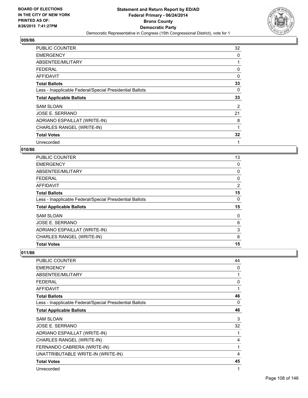

| <b>PUBLIC COUNTER</b>                                    | 32 |
|----------------------------------------------------------|----|
| <b>EMERGENCY</b>                                         | 0  |
| ABSENTEE/MILITARY                                        |    |
| <b>FEDERAL</b>                                           | 0  |
| AFFIDAVIT                                                | 0  |
| <b>Total Ballots</b>                                     | 33 |
| Less - Inapplicable Federal/Special Presidential Ballots | 0  |
|                                                          |    |
| <b>Total Applicable Ballots</b>                          | 33 |
| <b>SAM SLOAN</b>                                         | 2  |
| JOSE E. SERRANO                                          | 21 |
| ADRIANO ESPAILLAT (WRITE-IN)                             | 8  |
| CHARLES RANGEL (WRITE-IN)                                | 1  |
| <b>Total Votes</b>                                       | 32 |

# **010/86**

| <b>PUBLIC COUNTER</b>                                    | 13 |
|----------------------------------------------------------|----|
| <b>EMERGENCY</b>                                         | 0  |
| ABSENTEE/MILITARY                                        | 0  |
| <b>FEDERAL</b>                                           | 0  |
| <b>AFFIDAVIT</b>                                         | 2  |
| <b>Total Ballots</b>                                     | 15 |
| Less - Inapplicable Federal/Special Presidential Ballots | 0  |
| <b>Total Applicable Ballots</b>                          | 15 |
| <b>SAM SLOAN</b>                                         | 0  |
| JOSE E. SERRANO                                          | 6  |
| ADRIANO ESPAILLAT (WRITE-IN)                             | 3  |
| CHARLES RANGEL (WRITE-IN)                                | 6  |
| <b>Total Votes</b>                                       | 15 |

| <b>PUBLIC COUNTER</b>                                    | 44 |
|----------------------------------------------------------|----|
| <b>EMERGENCY</b>                                         | 0  |
| ABSENTEE/MILITARY                                        | 1  |
| FEDERAL                                                  | 0  |
| AFFIDAVIT                                                | 1  |
| <b>Total Ballots</b>                                     | 46 |
| Less - Inapplicable Federal/Special Presidential Ballots | 0  |
| <b>Total Applicable Ballots</b>                          | 46 |
| <b>SAM SLOAN</b>                                         | 3  |
| JOSE E. SERRANO                                          | 32 |
| ADRIANO ESPAILLAT (WRITE-IN)                             | 1  |
| CHARLES RANGEL (WRITE-IN)                                | 4  |
| FERNANDO CABRERA (WRITE-IN)                              | 1  |
| UNATTRIBUTABLE WRITE-IN (WRITE-IN)                       | 4  |
| <b>Total Votes</b>                                       | 45 |
| Unrecorded                                               | 1  |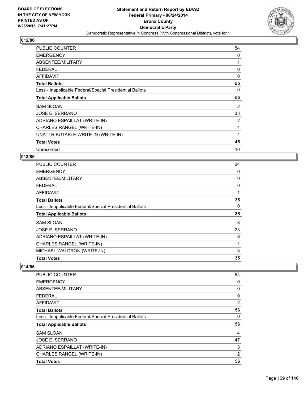

| <b>PUBLIC COUNTER</b>                                    | 54 |
|----------------------------------------------------------|----|
| <b>EMERGENCY</b>                                         | 0  |
| ABSENTEE/MILITARY                                        | 1  |
| <b>FEDERAL</b>                                           | 0  |
| AFFIDAVIT                                                | 0  |
| <b>Total Ballots</b>                                     | 55 |
| Less - Inapplicable Federal/Special Presidential Ballots | 0  |
| <b>Total Applicable Ballots</b>                          | 55 |
| <b>SAM SLOAN</b>                                         | 2  |
| JOSE E. SERRANO                                          | 33 |
| ADRIANO ESPAILLAT (WRITE-IN)                             | 2  |
| CHARLES RANGEL (WRITE-IN)                                | 4  |
| UNATTRIBUTABLE WRITE-IN (WRITE-IN)                       | 4  |
| <b>Total Votes</b>                                       | 45 |
| Unrecorded                                               | 10 |

# **013/86**

| PUBLIC COUNTER                                           | 34 |
|----------------------------------------------------------|----|
| <b>EMERGENCY</b>                                         | 0  |
| ABSENTEE/MILITARY                                        | 0  |
| <b>FEDERAL</b>                                           | 0  |
| AFFIDAVIT                                                | 1  |
| <b>Total Ballots</b>                                     | 35 |
| Less - Inapplicable Federal/Special Presidential Ballots | 0  |
| <b>Total Applicable Ballots</b>                          | 35 |
| <b>SAM SLOAN</b>                                         | 3  |
| <b>JOSE E. SERRANO</b>                                   | 23 |
| ADRIANO ESPAILLAT (WRITE-IN)                             | 5  |
| CHARLES RANGEL (WRITE-IN)                                | 1  |
| MICHAEL WALDRON (WRITE-IN)                               | 3  |
| <b>Total Votes</b>                                       | 35 |

| <b>PUBLIC COUNTER</b>                                    | 54             |
|----------------------------------------------------------|----------------|
| <b>EMERGENCY</b>                                         | 0              |
| ABSENTEE/MILITARY                                        | 0              |
| <b>FEDERAL</b>                                           | 0              |
| AFFIDAVIT                                                | $\overline{2}$ |
| <b>Total Ballots</b>                                     | 56             |
| Less - Inapplicable Federal/Special Presidential Ballots | 0              |
| <b>Total Applicable Ballots</b>                          | 56             |
| <b>SAM SLOAN</b>                                         | 4              |
| JOSE E. SERRANO                                          | 47             |
| ADRIANO ESPAILLAT (WRITE-IN)                             | 3              |
| CHARLES RANGEL (WRITE-IN)                                | 2              |
| <b>Total Votes</b>                                       | 56             |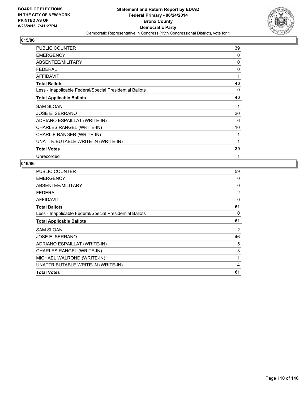

| <b>PUBLIC COUNTER</b>                                    | 39 |
|----------------------------------------------------------|----|
| <b>EMERGENCY</b>                                         | 0  |
| ABSENTEE/MILITARY                                        | 0  |
| <b>FEDERAL</b>                                           | 0  |
| <b>AFFIDAVIT</b>                                         | 1  |
| <b>Total Ballots</b>                                     | 40 |
| Less - Inapplicable Federal/Special Presidential Ballots | 0  |
| <b>Total Applicable Ballots</b>                          | 40 |
| <b>SAM SLOAN</b>                                         | 1  |
| JOSE E. SERRANO                                          | 20 |
| ADRIANO ESPAILLAT (WRITE-IN)                             | 6  |
| CHARLES RANGEL (WRITE-IN)                                | 10 |
| CHARLIE RANGER (WRITE-IN)                                | 1  |
| UNATTRIBUTABLE WRITE-IN (WRITE-IN)                       | 1  |
| <b>Total Votes</b>                                       | 39 |
| Unrecorded                                               | 1  |

| <b>PUBLIC COUNTER</b>                                    | 59             |
|----------------------------------------------------------|----------------|
| <b>EMERGENCY</b>                                         | 0              |
| ABSENTEE/MILITARY                                        | 0              |
| <b>FEDERAL</b>                                           | 2              |
| AFFIDAVIT                                                | 0              |
| <b>Total Ballots</b>                                     | 61             |
| Less - Inapplicable Federal/Special Presidential Ballots | 0              |
| <b>Total Applicable Ballots</b>                          | 61             |
| <b>SAM SLOAN</b>                                         | $\overline{2}$ |
| JOSE E. SERRANO                                          | 46             |
| ADRIANO ESPAILLAT (WRITE-IN)                             | 5              |
| CHARLES RANGEL (WRITE-IN)                                | 3              |
| MICHAEL WALROND (WRITE-IN)                               | 1              |
| UNATTRIBUTABLE WRITE-IN (WRITE-IN)                       | 4              |
| <b>Total Votes</b>                                       | 61             |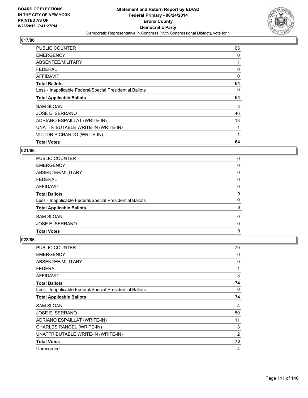

| <b>PUBLIC COUNTER</b>                                    | 63 |
|----------------------------------------------------------|----|
| <b>EMERGENCY</b>                                         | 0  |
| ABSENTEE/MILITARY                                        | 1  |
| <b>FEDERAL</b>                                           | 0  |
| <b>AFFIDAVIT</b>                                         | 0  |
| <b>Total Ballots</b>                                     | 64 |
| Less - Inapplicable Federal/Special Presidential Ballots | 0  |
| <b>Total Applicable Ballots</b>                          | 64 |
|                                                          |    |
| <b>SAM SLOAN</b>                                         | 3  |
| JOSE E. SERRANO                                          | 46 |
| ADRIANO ESPAILLAT (WRITE-IN)                             | 13 |
| UNATTRIBUTABLE WRITE-IN (WRITE-IN)                       | 1  |
| VICTOR PICHARDO (WRITE-IN)                               | 1  |

# **021/86**

| <b>PUBLIC COUNTER</b>                                    | 0 |
|----------------------------------------------------------|---|
| <b>EMERGENCY</b>                                         | 0 |
| ABSENTEE/MILITARY                                        | 0 |
| <b>FEDERAL</b>                                           | 0 |
| <b>AFFIDAVIT</b>                                         | 0 |
| <b>Total Ballots</b>                                     | 0 |
| Less - Inapplicable Federal/Special Presidential Ballots | 0 |
| <b>Total Applicable Ballots</b>                          | 0 |
| <b>SAM SLOAN</b>                                         | 0 |
| <b>JOSE E. SERRANO</b>                                   | 0 |
| <b>Total Votes</b>                                       | 0 |

| <b>PUBLIC COUNTER</b>                                    | 70 |
|----------------------------------------------------------|----|
| <b>EMERGENCY</b>                                         | 0  |
| ABSENTEE/MILITARY                                        | 0  |
| <b>FEDERAL</b>                                           | 1  |
| <b>AFFIDAVIT</b>                                         | 3  |
| <b>Total Ballots</b>                                     | 74 |
| Less - Inapplicable Federal/Special Presidential Ballots | 0  |
| <b>Total Applicable Ballots</b>                          | 74 |
| <b>SAM SLOAN</b>                                         | 4  |
| JOSE E. SERRANO                                          | 50 |
| ADRIANO ESPAILLAT (WRITE-IN)                             | 11 |
| CHARLES RANGEL (WRITE-IN)                                | 3  |
| UNATTRIBUTABLE WRITE-IN (WRITE-IN)                       | 2  |
| <b>Total Votes</b>                                       | 70 |
| Unrecorded                                               | 4  |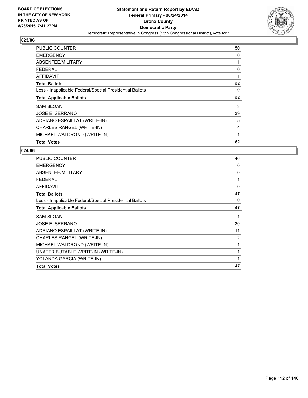

| <b>PUBLIC COUNTER</b>                                    | 50 |
|----------------------------------------------------------|----|
| <b>EMERGENCY</b>                                         | 0  |
| ABSENTEE/MILITARY                                        |    |
| <b>FEDERAL</b>                                           | 0  |
| <b>AFFIDAVIT</b>                                         | 1  |
| <b>Total Ballots</b>                                     | 52 |
| Less - Inapplicable Federal/Special Presidential Ballots | 0  |
| <b>Total Applicable Ballots</b>                          | 52 |
| <b>SAM SLOAN</b>                                         | 3  |
| <b>JOSE E. SERRANO</b>                                   | 39 |
| ADRIANO ESPAILLAT (WRITE-IN)                             | 5  |
| CHARLES RANGEL (WRITE-IN)                                | 4  |
| MICHAEL WALDROND (WRITE-IN)                              | 1  |
| <b>Total Votes</b>                                       | 52 |

| <b>PUBLIC COUNTER</b>                                    | 46 |
|----------------------------------------------------------|----|
| <b>EMERGENCY</b>                                         | 0  |
| ABSENTEE/MILITARY                                        | 0  |
| <b>FEDERAL</b>                                           | 1  |
| <b>AFFIDAVIT</b>                                         | 0  |
| <b>Total Ballots</b>                                     | 47 |
| Less - Inapplicable Federal/Special Presidential Ballots | 0  |
| <b>Total Applicable Ballots</b>                          | 47 |
| <b>SAM SLOAN</b>                                         | 1  |
| JOSE E. SERRANO                                          | 30 |
| ADRIANO ESPAILLAT (WRITE-IN)                             | 11 |
| CHARLES RANGEL (WRITE-IN)                                | 2  |
| MICHAEL WALDROND (WRITE-IN)                              | 1  |
| UNATTRIBUTABLE WRITE-IN (WRITE-IN)                       | 1  |
| YOLANDA GARCIA (WRITE-IN)                                | 1  |
| <b>Total Votes</b>                                       | 47 |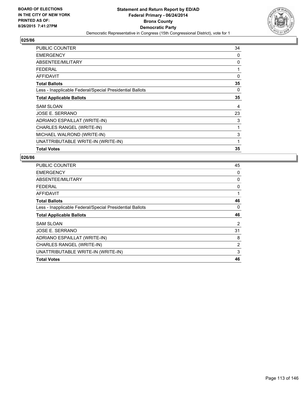

| <b>PUBLIC COUNTER</b>                                    | 34 |
|----------------------------------------------------------|----|
| <b>EMERGENCY</b>                                         | 0  |
| ABSENTEE/MILITARY                                        | 0  |
| FEDERAL                                                  | 1  |
| <b>AFFIDAVIT</b>                                         | 0  |
| <b>Total Ballots</b>                                     | 35 |
| Less - Inapplicable Federal/Special Presidential Ballots | 0  |
| <b>Total Applicable Ballots</b>                          | 35 |
| <b>SAM SLOAN</b>                                         | 4  |
| JOSE E. SERRANO                                          | 23 |
| ADRIANO ESPAILLAT (WRITE-IN)                             | 3  |
| CHARLES RANGEL (WRITE-IN)                                | 1  |
| MICHAEL WALROND (WRITE-IN)                               | 3  |
| UNATTRIBUTABLE WRITE-IN (WRITE-IN)                       | 1  |
| <b>Total Votes</b>                                       | 35 |

| PUBLIC COUNTER                                           | 45 |
|----------------------------------------------------------|----|
| <b>EMERGENCY</b>                                         | 0  |
| ABSENTEE/MILITARY                                        | 0  |
| <b>FEDERAL</b>                                           | 0  |
| AFFIDAVIT                                                | 1  |
| <b>Total Ballots</b>                                     | 46 |
| Less - Inapplicable Federal/Special Presidential Ballots | 0  |
| <b>Total Applicable Ballots</b>                          | 46 |
| <b>SAM SLOAN</b>                                         | 2  |
| JOSE E. SERRANO                                          | 31 |
| ADRIANO ESPAILLAT (WRITE-IN)                             | 8  |
| CHARLES RANGEL (WRITE-IN)                                | 2  |
| UNATTRIBUTABLE WRITE-IN (WRITE-IN)                       | 3  |
| <b>Total Votes</b>                                       | 46 |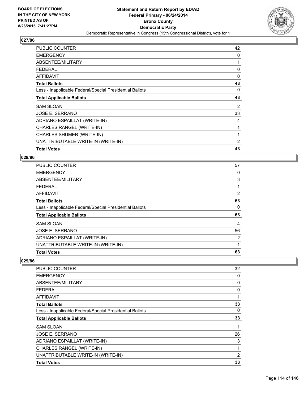

| <b>PUBLIC COUNTER</b>                                    | 42             |
|----------------------------------------------------------|----------------|
| <b>EMERGENCY</b>                                         | 0              |
| ABSENTEE/MILITARY                                        |                |
| <b>FEDERAL</b>                                           | 0              |
| <b>AFFIDAVIT</b>                                         | $\Omega$       |
| <b>Total Ballots</b>                                     | 43             |
| Less - Inapplicable Federal/Special Presidential Ballots | 0              |
| <b>Total Applicable Ballots</b>                          | 43             |
| <b>SAM SLOAN</b>                                         | 2              |
| JOSE E. SERRANO                                          | 33             |
| ADRIANO ESPAILLAT (WRITE-IN)                             | 4              |
| CHARLES RANGEL (WRITE-IN)                                |                |
| CHARLES SHUMER (WRITE-IN)                                |                |
| UNATTRIBUTABLE WRITE-IN (WRITE-IN)                       | $\overline{2}$ |
| <b>Total Votes</b>                                       | 43             |

### **028/86**

| <b>Total Votes</b>                                       | 63 |
|----------------------------------------------------------|----|
| UNATTRIBUTABLE WRITE-IN (WRITE-IN)                       | 1  |
| ADRIANO ESPAILLAT (WRITE-IN)                             | 2  |
| JOSE E. SERRANO                                          | 56 |
| <b>SAM SLOAN</b>                                         | 4  |
| <b>Total Applicable Ballots</b>                          | 63 |
| Less - Inapplicable Federal/Special Presidential Ballots | 0  |
| <b>Total Ballots</b>                                     | 63 |
| <b>AFFIDAVIT</b>                                         | 2  |
| <b>FEDERAL</b>                                           | 1  |
| ABSENTEE/MILITARY                                        | 3  |
| <b>EMERGENCY</b>                                         | 0  |
| PUBLIC COUNTER                                           | 57 |

| <b>PUBLIC COUNTER</b>                                    | 32             |
|----------------------------------------------------------|----------------|
| <b>EMERGENCY</b>                                         | 0              |
| ABSENTEE/MILITARY                                        | 0              |
| <b>FEDERAL</b>                                           | 0              |
| AFFIDAVIT                                                | 1              |
| <b>Total Ballots</b>                                     | 33             |
| Less - Inapplicable Federal/Special Presidential Ballots | 0              |
| <b>Total Applicable Ballots</b>                          | 33             |
| <b>SAM SLOAN</b>                                         | 1              |
| JOSE E. SERRANO                                          | 26             |
| ADRIANO ESPAILLAT (WRITE-IN)                             | 3              |
| CHARLES RANGEL (WRITE-IN)                                | 1              |
| UNATTRIBUTABLE WRITE-IN (WRITE-IN)                       | $\overline{2}$ |
| <b>Total Votes</b>                                       | 33             |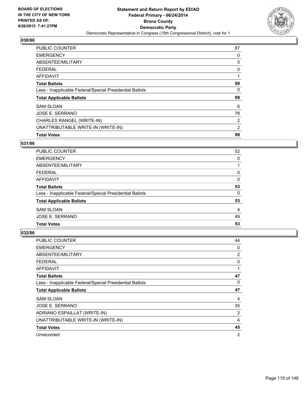

| <b>PUBLIC COUNTER</b>                                    | 87 |
|----------------------------------------------------------|----|
| <b>EMERGENCY</b>                                         | 0  |
| ABSENTEE/MILITARY                                        | 0  |
| <b>FEDERAL</b>                                           | 0  |
| <b>AFFIDAVIT</b>                                         |    |
| <b>Total Ballots</b>                                     | 88 |
| Less - Inapplicable Federal/Special Presidential Ballots | 0  |
| <b>Total Applicable Ballots</b>                          | 88 |
| <b>SAM SLOAN</b>                                         | 6  |
| JOSE E. SERRANO                                          | 78 |
| CHARLES RANGEL (WRITE-IN)                                | 2  |
| UNATTRIBUTABLE WRITE-IN (WRITE-IN)                       | 2  |
| <b>Total Votes</b>                                       | 88 |

# **031/86**

| <b>PUBLIC COUNTER</b>                                    | 52       |
|----------------------------------------------------------|----------|
| <b>EMERGENCY</b>                                         | 0        |
| ABSENTEE/MILITARY                                        |          |
| <b>FEDERAL</b>                                           | 0        |
| AFFIDAVIT                                                | 0        |
| <b>Total Ballots</b>                                     | 53       |
| Less - Inapplicable Federal/Special Presidential Ballots | $\Omega$ |
| <b>Total Applicable Ballots</b>                          | 53       |
| <b>SAM SLOAN</b>                                         | 4        |
| JOSE E. SERRANO                                          | 49       |
| <b>Total Votes</b>                                       | 53       |

| PUBLIC COUNTER                                           | 44             |
|----------------------------------------------------------|----------------|
| <b>EMERGENCY</b>                                         | 0              |
| ABSENTEE/MILITARY                                        | 2              |
| <b>FEDERAL</b>                                           | 0              |
| AFFIDAVIT                                                | 1              |
| <b>Total Ballots</b>                                     | 47             |
| Less - Inapplicable Federal/Special Presidential Ballots | 0              |
| <b>Total Applicable Ballots</b>                          | 47             |
| <b>SAM SLOAN</b>                                         | 4              |
| <b>JOSE E. SERRANO</b>                                   | 35             |
| ADRIANO ESPAILLAT (WRITE-IN)                             | 2              |
| UNATTRIBUTABLE WRITE-IN (WRITE-IN)                       | 4              |
| <b>Total Votes</b>                                       | 45             |
| Unrecorded                                               | $\overline{2}$ |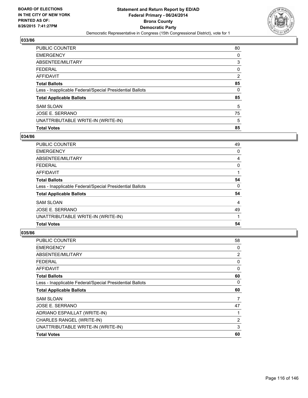

| PUBLIC COUNTER                                           | 80 |
|----------------------------------------------------------|----|
| <b>EMERGENCY</b>                                         | 0  |
| ABSENTEE/MILITARY                                        | 3  |
| <b>FEDERAL</b>                                           | 0  |
| <b>AFFIDAVIT</b>                                         | 2  |
| <b>Total Ballots</b>                                     | 85 |
| Less - Inapplicable Federal/Special Presidential Ballots | 0  |
| <b>Total Applicable Ballots</b>                          | 85 |
| <b>SAM SLOAN</b>                                         | 5  |
| JOSE E. SERRANO                                          | 75 |
| UNATTRIBUTABLE WRITE-IN (WRITE-IN)                       | 5  |
| <b>Total Votes</b>                                       | 85 |

# **034/86**

| <b>PUBLIC COUNTER</b>                                    | 49 |
|----------------------------------------------------------|----|
| <b>EMERGENCY</b>                                         | 0  |
| ABSENTEE/MILITARY                                        | 4  |
| <b>FEDERAL</b>                                           | 0  |
| AFFIDAVIT                                                |    |
| <b>Total Ballots</b>                                     | 54 |
| Less - Inapplicable Federal/Special Presidential Ballots | 0  |
| <b>Total Applicable Ballots</b>                          | 54 |
| <b>SAM SLOAN</b>                                         | 4  |
| JOSE E. SERRANO                                          | 49 |
| UNATTRIBUTABLE WRITE-IN (WRITE-IN)                       |    |
| <b>Total Votes</b>                                       | 54 |

| PUBLIC COUNTER                                           | 58 |
|----------------------------------------------------------|----|
| <b>EMERGENCY</b>                                         | 0  |
| ABSENTEE/MILITARY                                        | 2  |
| <b>FEDERAL</b>                                           | 0  |
| <b>AFFIDAVIT</b>                                         | 0  |
| <b>Total Ballots</b>                                     | 60 |
| Less - Inapplicable Federal/Special Presidential Ballots | 0  |
| <b>Total Applicable Ballots</b>                          | 60 |
| <b>SAM SLOAN</b>                                         | 7  |
| <b>JOSE E. SERRANO</b>                                   | 47 |
| ADRIANO ESPAILLAT (WRITE-IN)                             | 1  |
| CHARLES RANGEL (WRITE-IN)                                | 2  |
| UNATTRIBUTABLE WRITE-IN (WRITE-IN)                       | 3  |
| <b>Total Votes</b>                                       | 60 |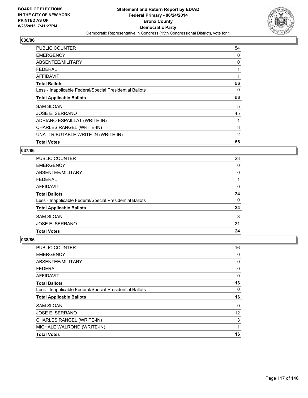

| <b>PUBLIC COUNTER</b>                                    | 54 |
|----------------------------------------------------------|----|
| <b>EMERGENCY</b>                                         | 0  |
| ABSENTEE/MILITARY                                        | 0  |
| <b>FEDERAL</b>                                           |    |
| <b>AFFIDAVIT</b>                                         |    |
| <b>Total Ballots</b>                                     | 56 |
| Less - Inapplicable Federal/Special Presidential Ballots | 0  |
| <b>Total Applicable Ballots</b>                          | 56 |
| <b>SAM SLOAN</b>                                         | 5  |
|                                                          |    |
| JOSE E. SERRANO                                          | 45 |
| ADRIANO ESPAILLAT (WRITE-IN)                             |    |
| CHARLES RANGEL (WRITE-IN)                                | 3  |
| UNATTRIBUTABLE WRITE-IN (WRITE-IN)                       | 2  |

# **037/86**

| 23       |
|----------|
| 0        |
| 0        |
|          |
| $\Omega$ |
| 24       |
| 0        |
| 24       |
| 3        |
| 21       |
| 24       |
|          |

| PUBLIC COUNTER                                           | 16 |
|----------------------------------------------------------|----|
| <b>EMERGENCY</b>                                         | 0  |
| ABSENTEE/MILITARY                                        | 0  |
| <b>FEDERAL</b>                                           | 0  |
| <b>AFFIDAVIT</b>                                         | 0  |
| <b>Total Ballots</b>                                     | 16 |
| Less - Inapplicable Federal/Special Presidential Ballots | 0  |
| <b>Total Applicable Ballots</b>                          | 16 |
| <b>SAM SLOAN</b>                                         | 0  |
| <b>JOSE E. SERRANO</b>                                   | 12 |
| <b>CHARLES RANGEL (WRITE-IN)</b>                         | 3  |
| MICHALE WALROND (WRITE-IN)                               | 1  |
| <b>Total Votes</b>                                       | 16 |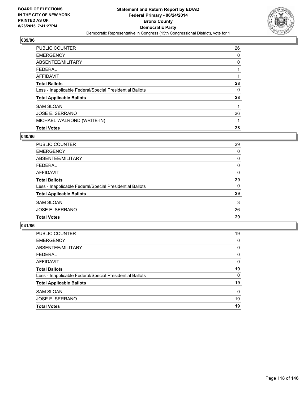

| PUBLIC COUNTER                                           | 26 |
|----------------------------------------------------------|----|
| <b>EMERGENCY</b>                                         | 0  |
| ABSENTEE/MILITARY                                        | 0  |
| <b>FEDERAL</b>                                           |    |
| <b>AFFIDAVIT</b>                                         |    |
| <b>Total Ballots</b>                                     | 28 |
| Less - Inapplicable Federal/Special Presidential Ballots | 0  |
| <b>Total Applicable Ballots</b>                          | 28 |
| <b>SAM SLOAN</b>                                         | 1  |
| JOSE E. SERRANO                                          | 26 |
| MICHAEL WALROND (WRITE-IN)                               |    |
| <b>Total Votes</b>                                       | 28 |

### **040/86**

| <b>PUBLIC COUNTER</b>                                    | 29       |
|----------------------------------------------------------|----------|
| <b>EMERGENCY</b>                                         | 0        |
| ABSENTEE/MILITARY                                        | 0        |
| <b>FEDERAL</b>                                           | 0        |
| AFFIDAVIT                                                | $\Omega$ |
| <b>Total Ballots</b>                                     | 29       |
| Less - Inapplicable Federal/Special Presidential Ballots | 0        |
| <b>Total Applicable Ballots</b>                          | 29       |
| <b>SAM SLOAN</b>                                         | 3        |
| JOSE E. SERRANO                                          | 26       |
| <b>Total Votes</b>                                       | 29       |
|                                                          |          |

| <b>PUBLIC COUNTER</b>                                    | 19       |
|----------------------------------------------------------|----------|
| <b>EMERGENCY</b>                                         | 0        |
| ABSENTEE/MILITARY                                        | 0        |
| <b>FEDERAL</b>                                           | 0        |
| AFFIDAVIT                                                | 0        |
| <b>Total Ballots</b>                                     | 19       |
| Less - Inapplicable Federal/Special Presidential Ballots | 0        |
| <b>Total Applicable Ballots</b>                          | 19       |
| <b>SAM SLOAN</b>                                         | $\Omega$ |
| <b>JOSE E. SERRANO</b>                                   | 19       |
| <b>Total Votes</b>                                       | 19       |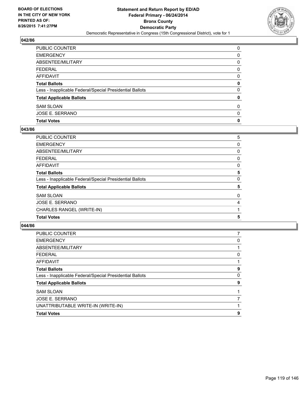

| <b>Total Votes</b>                                       | 0 |
|----------------------------------------------------------|---|
| JOSE E. SERRANO                                          | 0 |
| <b>SAM SLOAN</b>                                         | 0 |
| <b>Total Applicable Ballots</b>                          | 0 |
| Less - Inapplicable Federal/Special Presidential Ballots | 0 |
| <b>Total Ballots</b>                                     | 0 |
| AFFIDAVIT                                                | 0 |
| <b>FEDERAL</b>                                           | 0 |
| ABSENTEE/MILITARY                                        | 0 |
| <b>EMERGENCY</b>                                         | 0 |
| PUBLIC COUNTER                                           | 0 |

# **043/86**

| PUBLIC COUNTER                                           | 5           |
|----------------------------------------------------------|-------------|
| EMERGENCY                                                | 0           |
| ABSENTEE/MILITARY                                        | 0           |
| FEDERAL                                                  | 0           |
| AFFIDAVIT                                                | 0           |
| <b>Total Ballots</b>                                     | 5           |
| Less - Inapplicable Federal/Special Presidential Ballots | $\mathbf 0$ |
| <b>Total Applicable Ballots</b>                          | 5           |
| SAM SLOAN                                                | 0           |
| JOSE E. SERRANO                                          | 4           |
| CHARLES RANGEL (WRITE-IN)                                |             |
| <b>Total Votes</b>                                       | 5           |
|                                                          |             |

| <b>PUBLIC COUNTER</b>                                    |   |
|----------------------------------------------------------|---|
| <b>EMERGENCY</b>                                         | 0 |
| ABSENTEE/MILITARY                                        |   |
| FEDERAL                                                  | 0 |
| AFFIDAVIT                                                |   |
| <b>Total Ballots</b>                                     | 9 |
| Less - Inapplicable Federal/Special Presidential Ballots | 0 |
| <b>Total Applicable Ballots</b>                          | 9 |
| <b>SAM SLOAN</b>                                         |   |
| JOSE E. SERRANO                                          |   |
| UNATTRIBUTABLE WRITE-IN (WRITE-IN)                       |   |
| <b>Total Votes</b>                                       | 9 |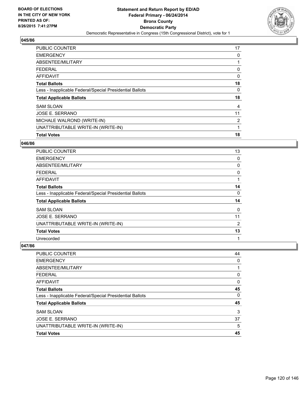

| <b>PUBLIC COUNTER</b>                                    | 17             |
|----------------------------------------------------------|----------------|
| <b>EMERGENCY</b>                                         | 0              |
| ABSENTEE/MILITARY                                        |                |
| <b>FEDERAL</b>                                           | 0              |
| <b>AFFIDAVIT</b>                                         | 0              |
| <b>Total Ballots</b>                                     | 18             |
| Less - Inapplicable Federal/Special Presidential Ballots | 0              |
| <b>Total Applicable Ballots</b>                          | 18             |
| <b>SAM SLOAN</b>                                         | 4              |
| JOSE E. SERRANO                                          | 11             |
| MICHALE WALROND (WRITE-IN)                               | $\overline{2}$ |
| UNATTRIBUTABLE WRITE-IN (WRITE-IN)                       | 1              |
| <b>Total Votes</b>                                       | 18             |

### **046/86**

| PUBLIC COUNTER                                           | 13 |
|----------------------------------------------------------|----|
| <b>EMERGENCY</b>                                         | 0  |
| ABSENTEE/MILITARY                                        | 0  |
| <b>FEDERAL</b>                                           | 0  |
| AFFIDAVIT                                                |    |
| <b>Total Ballots</b>                                     | 14 |
| Less - Inapplicable Federal/Special Presidential Ballots | 0  |
| <b>Total Applicable Ballots</b>                          | 14 |
| <b>SAM SLOAN</b>                                         | 0  |
| JOSE E. SERRANO                                          | 11 |
| UNATTRIBUTABLE WRITE-IN (WRITE-IN)                       | 2  |
| <b>Total Votes</b>                                       | 13 |
| Unrecorded                                               | 1  |

| <b>PUBLIC COUNTER</b>                                    | 44 |
|----------------------------------------------------------|----|
| <b>EMERGENCY</b>                                         | 0  |
| ABSENTEE/MILITARY                                        |    |
| <b>FEDERAL</b>                                           | 0  |
| <b>AFFIDAVIT</b>                                         | 0  |
| <b>Total Ballots</b>                                     | 45 |
| Less - Inapplicable Federal/Special Presidential Ballots | 0  |
| <b>Total Applicable Ballots</b>                          | 45 |
| <b>SAM SLOAN</b>                                         | 3  |
| JOSE E. SERRANO                                          | 37 |
| UNATTRIBUTABLE WRITE-IN (WRITE-IN)                       | 5  |
| <b>Total Votes</b>                                       | 45 |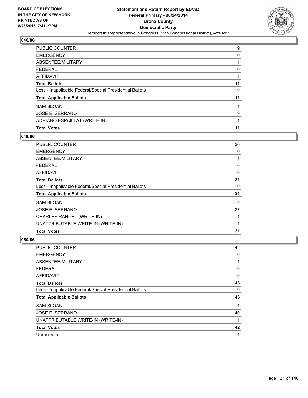

| <b>PUBLIC COUNTER</b>                                    | 9  |
|----------------------------------------------------------|----|
| <b>EMERGENCY</b>                                         | 0  |
| ABSENTEE/MILITARY                                        |    |
| <b>FEDERAL</b>                                           | 0  |
| <b>AFFIDAVIT</b>                                         |    |
| <b>Total Ballots</b>                                     | 11 |
| Less - Inapplicable Federal/Special Presidential Ballots | 0  |
| <b>Total Applicable Ballots</b>                          | 11 |
| <b>SAM SLOAN</b>                                         |    |
| JOSE E. SERRANO                                          | 9  |
| ADRIANO ESPAILLAT (WRITE-IN)                             |    |
| <b>Total Votes</b>                                       | 11 |

### **049/86**

| <b>PUBLIC COUNTER</b>                                    | 30 |
|----------------------------------------------------------|----|
| <b>EMERGENCY</b>                                         | 0  |
| ABSENTEE/MILITARY                                        |    |
| <b>FEDERAL</b>                                           | 0  |
| AFFIDAVIT                                                | 0  |
| <b>Total Ballots</b>                                     | 31 |
| Less - Inapplicable Federal/Special Presidential Ballots | 0  |
| <b>Total Applicable Ballots</b>                          | 31 |
| <b>SAM SLOAN</b>                                         | 2  |
| <b>JOSE E. SERRANO</b>                                   | 27 |
| CHARLES RANGEL (WRITE-IN)                                |    |
| UNATTRIBUTABLE WRITE-IN (WRITE-IN)                       |    |
| <b>Total Votes</b>                                       | 31 |
|                                                          |    |

| PUBLIC COUNTER                                           | 42 |
|----------------------------------------------------------|----|
| <b>EMERGENCY</b>                                         | 0  |
| ABSENTEE/MILITARY                                        |    |
| <b>FEDERAL</b>                                           | 0  |
| AFFIDAVIT                                                | 0  |
| <b>Total Ballots</b>                                     | 43 |
| Less - Inapplicable Federal/Special Presidential Ballots | 0  |
| <b>Total Applicable Ballots</b>                          | 43 |
| <b>SAM SLOAN</b>                                         |    |
| JOSE E. SERRANO                                          | 40 |
| UNATTRIBUTABLE WRITE-IN (WRITE-IN)                       |    |
| <b>Total Votes</b>                                       | 42 |
| Unrecorded                                               | 1  |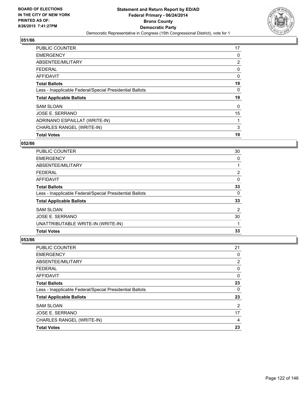

| <b>PUBLIC COUNTER</b>                                    | 17 |
|----------------------------------------------------------|----|
| <b>EMERGENCY</b>                                         | 0  |
| ABSENTEE/MILITARY                                        | 2  |
| <b>FEDERAL</b>                                           | 0  |
| <b>AFFIDAVIT</b>                                         | 0  |
| <b>Total Ballots</b>                                     | 19 |
| Less - Inapplicable Federal/Special Presidential Ballots | 0  |
| <b>Total Applicable Ballots</b>                          | 19 |
| <b>SAM SLOAN</b>                                         | 0  |
| JOSE E. SERRANO                                          | 15 |
| ADRINANO ESPAILLAT (WRITE-IN)                            | 1  |
| CHARLES RANGEL (WRITE-IN)                                | 3  |
| <b>Total Votes</b>                                       | 19 |

## **052/86**

| <b>PUBLIC COUNTER</b>                                    | 30             |
|----------------------------------------------------------|----------------|
| <b>EMERGENCY</b>                                         | 0              |
| ABSENTEE/MILITARY                                        |                |
| <b>FEDERAL</b>                                           | 2              |
| AFFIDAVIT                                                | 0              |
| <b>Total Ballots</b>                                     | 33             |
| Less - Inapplicable Federal/Special Presidential Ballots | 0              |
| <b>Total Applicable Ballots</b>                          | 33             |
| <b>SAM SLOAN</b>                                         | $\overline{2}$ |
| JOSE E. SERRANO                                          | 30             |
| UNATTRIBUTABLE WRITE-IN (WRITE-IN)                       |                |
| <b>Total Votes</b>                                       | 33             |

| <b>PUBLIC COUNTER</b>                                    | 21 |
|----------------------------------------------------------|----|
| <b>EMERGENCY</b>                                         | 0  |
| ABSENTEE/MILITARY                                        | 2  |
| <b>FEDERAL</b>                                           | 0  |
| <b>AFFIDAVIT</b>                                         | 0  |
| <b>Total Ballots</b>                                     | 23 |
| Less - Inapplicable Federal/Special Presidential Ballots | 0  |
| <b>Total Applicable Ballots</b>                          | 23 |
| <b>SAM SLOAN</b>                                         | 2  |
| JOSE E. SERRANO                                          | 17 |
| CHARLES RANGEL (WRITE-IN)                                | 4  |
| <b>Total Votes</b>                                       | 23 |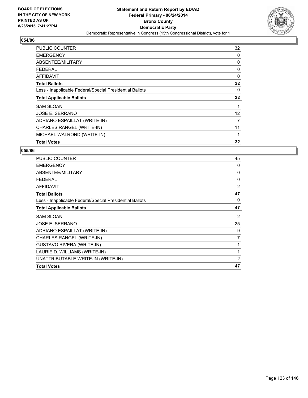

| PUBLIC COUNTER                                           | 32 |
|----------------------------------------------------------|----|
| <b>EMERGENCY</b>                                         | 0  |
| ABSENTEE/MILITARY                                        | 0  |
| <b>FEDERAL</b>                                           | 0  |
| AFFIDAVIT                                                | 0  |
| <b>Total Ballots</b>                                     | 32 |
| Less - Inapplicable Federal/Special Presidential Ballots | 0  |
| <b>Total Applicable Ballots</b>                          | 32 |
| <b>SAM SLOAN</b>                                         | 1  |
| JOSE E. SERRANO                                          | 12 |
| ADRIANO ESPAILLAT (WRITE-IN)                             | 7  |
| CHARLES RANGEL (WRITE-IN)                                | 11 |
| MICHAEL WALROND (WRITE-IN)                               | 1  |
| <b>Total Votes</b>                                       | 32 |

| <b>PUBLIC COUNTER</b>                                    | 45             |
|----------------------------------------------------------|----------------|
| <b>EMERGENCY</b>                                         | 0              |
| ABSENTEE/MILITARY                                        | 0              |
| <b>FEDERAL</b>                                           | $\Omega$       |
| <b>AFFIDAVIT</b>                                         | $\overline{2}$ |
| <b>Total Ballots</b>                                     | 47             |
| Less - Inapplicable Federal/Special Presidential Ballots | 0              |
| <b>Total Applicable Ballots</b>                          | 47             |
| <b>SAM SLOAN</b>                                         | 2              |
| JOSE E. SERRANO                                          | 25             |
| ADRIANO ESPAILLAT (WRITE-IN)                             | 9              |
| CHARLES RANGEL (WRITE-IN)                                | 7              |
| <b>GUSTAVO RIVERA (WRITE-IN)</b>                         |                |
| LAURIE D. WILLIAMS (WRITE-IN)                            | 1              |
| UNATTRIBUTABLE WRITE-IN (WRITE-IN)                       | $\overline{2}$ |
| <b>Total Votes</b>                                       | 47             |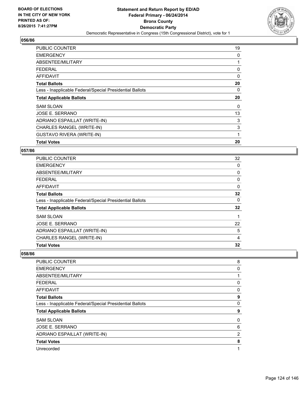

| <b>PUBLIC COUNTER</b>                                    | 19 |
|----------------------------------------------------------|----|
| <b>EMERGENCY</b>                                         | 0  |
| ABSENTEE/MILITARY                                        |    |
| <b>FEDERAL</b>                                           | 0  |
| AFFIDAVIT                                                | 0  |
| <b>Total Ballots</b>                                     | 20 |
| Less - Inapplicable Federal/Special Presidential Ballots | 0  |
| <b>Total Applicable Ballots</b>                          | 20 |
| <b>SAM SLOAN</b>                                         | 0  |
| <b>JOSE E. SERRANO</b>                                   | 13 |
| ADRIANO ESPAILLAT (WRITE-IN)                             | 3  |
| <b>CHARLES RANGEL (WRITE-IN)</b>                         | 3  |
|                                                          |    |
| <b>GUSTAVO RIVERA (WRITE-IN)</b>                         | 1  |

# **057/86**

| <b>PUBLIC COUNTER</b>                                    | 32 |
|----------------------------------------------------------|----|
| <b>EMERGENCY</b>                                         | 0  |
| ABSENTEE/MILITARY                                        | 0  |
| <b>FEDERAL</b>                                           | 0  |
| AFFIDAVIT                                                | 0  |
| <b>Total Ballots</b>                                     | 32 |
| Less - Inapplicable Federal/Special Presidential Ballots | 0  |
| <b>Total Applicable Ballots</b>                          | 32 |
| <b>SAM SLOAN</b>                                         |    |
| <b>JOSE E. SERRANO</b>                                   | 22 |
| ADRIANO ESPAILLAT (WRITE-IN)                             | 5  |
| CHARLES RANGEL (WRITE-IN)                                | 4  |
| <b>Total Votes</b>                                       | 32 |

| <b>PUBLIC COUNTER</b>                                    | 8 |
|----------------------------------------------------------|---|
| <b>EMERGENCY</b>                                         | 0 |
| ABSENTEE/MILITARY                                        |   |
| <b>FEDERAL</b>                                           | 0 |
| <b>AFFIDAVIT</b>                                         | 0 |
| <b>Total Ballots</b>                                     | 9 |
| Less - Inapplicable Federal/Special Presidential Ballots | 0 |
| <b>Total Applicable Ballots</b>                          | 9 |
| <b>SAM SLOAN</b>                                         | 0 |
| JOSE E. SERRANO                                          | 6 |
| ADRIANO ESPAILLAT (WRITE-IN)                             | 2 |
| <b>Total Votes</b>                                       | 8 |
| Unrecorded                                               | 1 |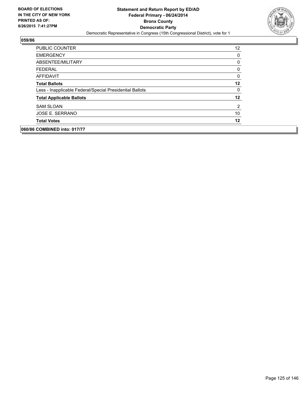

| <b>PUBLIC COUNTER</b>                                    | 12 |
|----------------------------------------------------------|----|
| <b>EMERGENCY</b>                                         | 0  |
| ABSENTEE/MILITARY                                        | 0  |
| <b>FEDERAL</b>                                           | 0  |
| AFFIDAVIT                                                | 0  |
| <b>Total Ballots</b>                                     | 12 |
| Less - Inapplicable Federal/Special Presidential Ballots | 0  |
| <b>Total Applicable Ballots</b>                          | 12 |
| <b>SAM SLOAN</b>                                         | 2  |
| JOSE E. SERRANO                                          | 10 |
| <b>Total Votes</b>                                       | 12 |
| 060/86 COMBINED into: 017/77                             |    |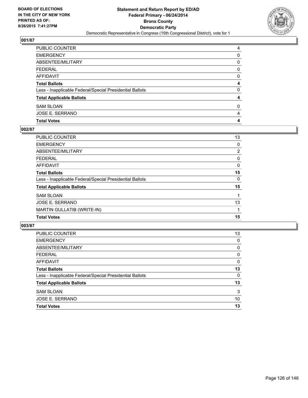

| PUBLIC COUNTER                                           | 4 |
|----------------------------------------------------------|---|
| <b>EMERGENCY</b>                                         | 0 |
| ABSENTEE/MILITARY                                        | 0 |
| <b>FEDERAL</b>                                           | 0 |
| AFFIDAVIT                                                | 0 |
| <b>Total Ballots</b>                                     | 4 |
| Less - Inapplicable Federal/Special Presidential Ballots | 0 |
| <b>Total Applicable Ballots</b>                          | 4 |
| <b>SAM SLOAN</b>                                         | 0 |
| JOSE E. SERRANO                                          | 4 |
| <b>Total Votes</b>                                       | 4 |

# **002/87**

| <b>PUBLIC COUNTER</b>                                    | 13             |
|----------------------------------------------------------|----------------|
| <b>EMERGENCY</b>                                         | 0              |
| ABSENTEE/MILITARY                                        | $\overline{2}$ |
| <b>FEDERAL</b>                                           | 0              |
| <b>AFFIDAVIT</b>                                         | 0              |
| <b>Total Ballots</b>                                     | 15             |
| Less - Inapplicable Federal/Special Presidential Ballots | 0              |
| <b>Total Applicable Ballots</b>                          | 15             |
| <b>SAM SLOAN</b>                                         |                |
| JOSE E. SERRANO                                          | 13             |
| <b>MARTIN GULLATIB (WRITE-IN)</b>                        |                |
| <b>Total Votes</b>                                       | 15             |
|                                                          |                |

| <b>PUBLIC COUNTER</b>                                    | 13 |
|----------------------------------------------------------|----|
| <b>EMERGENCY</b>                                         | 0  |
| ABSENTEE/MILITARY                                        | 0  |
| <b>FEDERAL</b>                                           | 0  |
| AFFIDAVIT                                                | 0  |
| <b>Total Ballots</b>                                     | 13 |
| Less - Inapplicable Federal/Special Presidential Ballots | 0  |
| <b>Total Applicable Ballots</b>                          | 13 |
| <b>SAM SLOAN</b>                                         | 3  |
| JOSE E. SERRANO                                          | 10 |
| <b>Total Votes</b>                                       | 13 |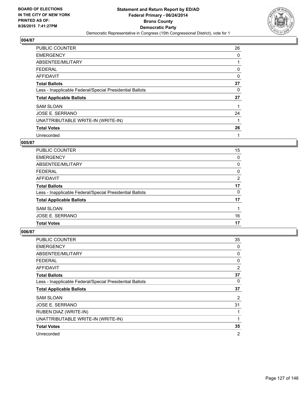

| <b>PUBLIC COUNTER</b>                                    | 26 |
|----------------------------------------------------------|----|
| <b>EMERGENCY</b>                                         | 0  |
| ABSENTEE/MILITARY                                        | 1  |
| <b>FEDERAL</b>                                           | 0  |
| <b>AFFIDAVIT</b>                                         | 0  |
| <b>Total Ballots</b>                                     | 27 |
| Less - Inapplicable Federal/Special Presidential Ballots | 0  |
| <b>Total Applicable Ballots</b>                          | 27 |
| <b>SAM SLOAN</b>                                         |    |
| JOSE E. SERRANO                                          | 24 |
| UNATTRIBUTABLE WRITE-IN (WRITE-IN)                       |    |
| <b>Total Votes</b>                                       | 26 |
| Unrecorded                                               | 1  |

## **005/87**

| PUBLIC COUNTER                                           | 15           |
|----------------------------------------------------------|--------------|
| <b>EMERGENCY</b>                                         | $\mathbf{0}$ |
| ABSENTEE/MILITARY                                        | 0            |
| <b>FEDERAL</b>                                           | 0            |
| AFFIDAVIT                                                | 2            |
| <b>Total Ballots</b>                                     | 17           |
| Less - Inapplicable Federal/Special Presidential Ballots | 0            |
| <b>Total Applicable Ballots</b>                          | 17           |
| <b>SAM SLOAN</b>                                         |              |
| JOSE E. SERRANO                                          | 16           |
| <b>Total Votes</b>                                       | 17           |

| PUBLIC COUNTER                                           | 35             |
|----------------------------------------------------------|----------------|
| <b>EMERGENCY</b>                                         | 0              |
| ABSENTEE/MILITARY                                        | 0              |
| <b>FEDERAL</b>                                           | 0              |
| <b>AFFIDAVIT</b>                                         | $\overline{2}$ |
| <b>Total Ballots</b>                                     | 37             |
| Less - Inapplicable Federal/Special Presidential Ballots | 0              |
| <b>Total Applicable Ballots</b>                          | 37             |
| <b>SAM SLOAN</b>                                         | 2              |
| <b>JOSE E. SERRANO</b>                                   | 31             |
| RUBEN DIAZ (WRITE-IN)                                    |                |
| UNATTRIBUTABLE WRITE-IN (WRITE-IN)                       |                |
| <b>Total Votes</b>                                       | 35             |
| Unrecorded                                               | 2              |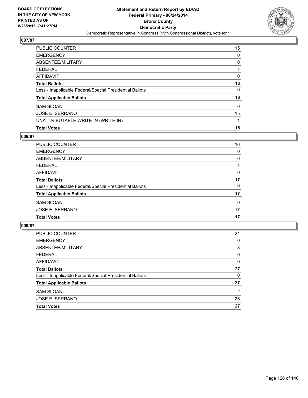

| PUBLIC COUNTER                                           | 15 |
|----------------------------------------------------------|----|
| <b>EMERGENCY</b>                                         | 0  |
| ABSENTEE/MILITARY                                        | 0  |
| <b>FEDERAL</b>                                           |    |
| <b>AFFIDAVIT</b>                                         | 0  |
| <b>Total Ballots</b>                                     | 16 |
| Less - Inapplicable Federal/Special Presidential Ballots | 0  |
| <b>Total Applicable Ballots</b>                          | 16 |
| <b>SAM SLOAN</b>                                         | 0  |
| <b>JOSE E. SERRANO</b>                                   | 15 |
| UNATTRIBUTABLE WRITE-IN (WRITE-IN)                       | 1  |
| <b>Total Votes</b>                                       | 16 |

# **008/87**

| <b>PUBLIC COUNTER</b>                                    | 16 |
|----------------------------------------------------------|----|
| <b>EMERGENCY</b>                                         | 0  |
| ABSENTEE/MILITARY                                        | 0  |
| <b>FEDERAL</b>                                           |    |
| AFFIDAVIT                                                | 0  |
| <b>Total Ballots</b>                                     | 17 |
| Less - Inapplicable Federal/Special Presidential Ballots | 0  |
| <b>Total Applicable Ballots</b>                          | 17 |
| <b>SAM SLOAN</b>                                         | 0  |
| <b>JOSE E. SERRANO</b>                                   | 17 |
| <b>Total Votes</b>                                       | 17 |
|                                                          |    |

| <b>PUBLIC COUNTER</b>                                    | 24 |
|----------------------------------------------------------|----|
| <b>EMERGENCY</b>                                         | 0  |
| ABSENTEE/MILITARY                                        | 3  |
| <b>FEDERAL</b>                                           | 0  |
| AFFIDAVIT                                                | 0  |
| <b>Total Ballots</b>                                     | 27 |
| Less - Inapplicable Federal/Special Presidential Ballots | 0  |
| <b>Total Applicable Ballots</b>                          | 27 |
| <b>SAM SLOAN</b>                                         | 2  |
| JOSE E. SERRANO                                          | 25 |
| <b>Total Votes</b>                                       | 27 |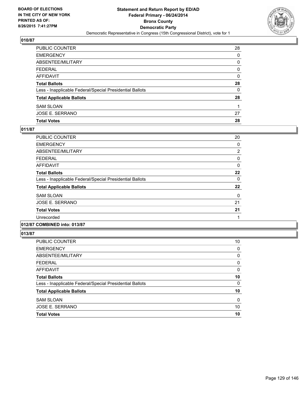

| PUBLIC COUNTER                                           | 28 |
|----------------------------------------------------------|----|
| <b>EMERGENCY</b>                                         | 0  |
| ABSENTEE/MILITARY                                        | 0  |
| <b>FEDERAL</b>                                           | 0  |
| <b>AFFIDAVIT</b>                                         | 0  |
| <b>Total Ballots</b>                                     | 28 |
| Less - Inapplicable Federal/Special Presidential Ballots | 0  |
| <b>Total Applicable Ballots</b>                          | 28 |
| <b>SAM SLOAN</b>                                         |    |
| JOSE E. SERRANO                                          | 27 |
| <b>Total Votes</b>                                       | 28 |

# **011/87**

| PUBLIC COUNTER                                           | 20 |
|----------------------------------------------------------|----|
| <b>EMERGENCY</b>                                         | 0  |
| ABSENTEE/MILITARY                                        | 2  |
| <b>FEDERAL</b>                                           | 0  |
| <b>AFFIDAVIT</b>                                         | 0  |
| <b>Total Ballots</b>                                     | 22 |
| Less - Inapplicable Federal/Special Presidential Ballots | 0  |
| <b>Total Applicable Ballots</b>                          | 22 |
| <b>SAM SLOAN</b>                                         | 0  |
| JOSE E. SERRANO                                          | 21 |
| <b>Total Votes</b>                                       | 21 |
| Unrecorded                                               |    |
|                                                          |    |

# **012/87 COMBINED into: 013/87**

| PUBLIC COUNTER                                           | 10 |
|----------------------------------------------------------|----|
| <b>EMERGENCY</b>                                         | 0  |
| ABSENTEE/MILITARY                                        | 0  |
| <b>FEDERAL</b>                                           | 0  |
| <b>AFFIDAVIT</b>                                         | 0  |
| <b>Total Ballots</b>                                     | 10 |
| Less - Inapplicable Federal/Special Presidential Ballots | 0  |
| <b>Total Applicable Ballots</b>                          | 10 |
| <b>SAM SLOAN</b>                                         | 0  |
| JOSE E. SERRANO                                          | 10 |
| <b>Total Votes</b>                                       | 10 |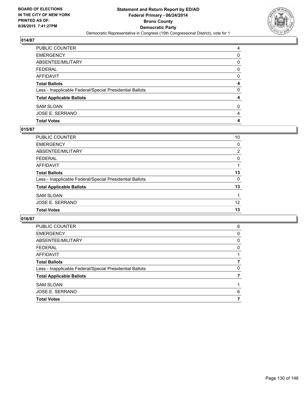

| PUBLIC COUNTER                                           | 4 |
|----------------------------------------------------------|---|
| <b>EMERGENCY</b>                                         | 0 |
| ABSENTEE/MILITARY                                        | 0 |
| <b>FEDERAL</b>                                           | 0 |
| <b>AFFIDAVIT</b>                                         | 0 |
| <b>Total Ballots</b>                                     | 4 |
| Less - Inapplicable Federal/Special Presidential Ballots | 0 |
| <b>Total Applicable Ballots</b>                          | 4 |
| <b>SAM SLOAN</b>                                         | 0 |
| JOSE E. SERRANO                                          | 4 |
| <b>Total Votes</b>                                       | 4 |

# **015/87**

| PUBLIC COUNTER                                           | 10             |
|----------------------------------------------------------|----------------|
| <b>EMERGENCY</b>                                         | 0              |
| <b>ABSENTEE/MILITARY</b>                                 | $\overline{2}$ |
| <b>FEDERAL</b>                                           | 0              |
| AFFIDAVIT                                                |                |
| <b>Total Ballots</b>                                     | 13             |
| Less - Inapplicable Federal/Special Presidential Ballots | 0              |
| <b>Total Applicable Ballots</b>                          | 13             |
| <b>SAM SLOAN</b>                                         |                |
| <b>JOSE E. SERRANO</b>                                   | 12             |
| <b>Total Votes</b>                                       | 13             |

| <b>EMERGENCY</b><br>ABSENTEE/MILITARY                    | 0<br>0<br>0 |
|----------------------------------------------------------|-------------|
|                                                          |             |
|                                                          |             |
| <b>FEDERAL</b>                                           |             |
| AFFIDAVIT                                                |             |
| <b>Total Ballots</b>                                     |             |
| Less - Inapplicable Federal/Special Presidential Ballots | 0           |
| <b>Total Applicable Ballots</b>                          |             |
| <b>SAM SLOAN</b>                                         |             |
| <b>JOSE E. SERRANO</b>                                   | 6           |
| <b>Total Votes</b>                                       |             |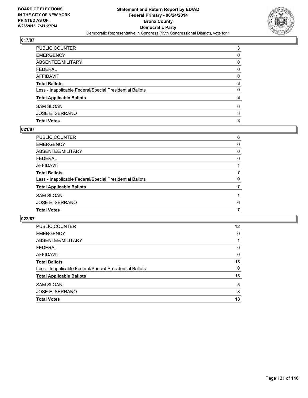

| PUBLIC COUNTER                                           | 3 |
|----------------------------------------------------------|---|
| <b>EMERGENCY</b>                                         | 0 |
| ABSENTEE/MILITARY                                        | 0 |
| <b>FEDERAL</b>                                           | 0 |
| <b>AFFIDAVIT</b>                                         | 0 |
| <b>Total Ballots</b>                                     | 3 |
| Less - Inapplicable Federal/Special Presidential Ballots | 0 |
| <b>Total Applicable Ballots</b>                          | 3 |
| <b>SAM SLOAN</b>                                         | 0 |
| <b>JOSE E. SERRANO</b>                                   | 3 |
| <b>Total Votes</b>                                       | 3 |

# **021/87**

| PUBLIC COUNTER                                           | 6 |
|----------------------------------------------------------|---|
| EMERGENCY                                                | 0 |
| ABSENTEE/MILITARY                                        | 0 |
| <b>FEDERAL</b>                                           | 0 |
| AFFIDAVIT                                                |   |
| <b>Total Ballots</b>                                     |   |
| Less - Inapplicable Federal/Special Presidential Ballots | 0 |
| <b>Total Applicable Ballots</b>                          |   |
| <b>SAM SLOAN</b>                                         |   |
| JOSE E. SERRANO                                          | 6 |
| <b>Total Votes</b>                                       |   |
|                                                          |   |

| PUBLIC COUNTER                                           | 12 |
|----------------------------------------------------------|----|
| <b>EMERGENCY</b>                                         | 0  |
| ABSENTEE/MILITARY                                        |    |
| <b>FEDERAL</b>                                           | 0  |
| AFFIDAVIT                                                | 0  |
| <b>Total Ballots</b>                                     | 13 |
| Less - Inapplicable Federal/Special Presidential Ballots | 0  |
| <b>Total Applicable Ballots</b>                          | 13 |
| <b>SAM SLOAN</b>                                         | 5  |
| <b>JOSE E. SERRANO</b>                                   | 8  |
| <b>Total Votes</b>                                       | 13 |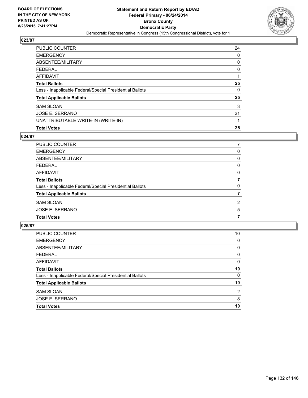

| <b>PUBLIC COUNTER</b>                                    | 24 |
|----------------------------------------------------------|----|
| <b>EMERGENCY</b>                                         | 0  |
| ABSENTEE/MILITARY                                        | 0  |
| FEDERAL                                                  | 0  |
| <b>AFFIDAVIT</b>                                         |    |
| <b>Total Ballots</b>                                     | 25 |
| Less - Inapplicable Federal/Special Presidential Ballots | 0  |
| <b>Total Applicable Ballots</b>                          | 25 |
| <b>SAM SLOAN</b>                                         | 3  |
| JOSE E. SERRANO                                          | 21 |
| UNATTRIBUTABLE WRITE-IN (WRITE-IN)                       |    |
| <b>Total Votes</b>                                       | 25 |

## **024/87**

| PUBLIC COUNTER                                           |                |
|----------------------------------------------------------|----------------|
| <b>EMERGENCY</b>                                         | 0              |
| ABSENTEE/MILITARY                                        | 0              |
| <b>FEDERAL</b>                                           | 0              |
| <b>AFFIDAVIT</b>                                         | 0              |
| <b>Total Ballots</b>                                     |                |
| Less - Inapplicable Federal/Special Presidential Ballots | 0              |
| <b>Total Applicable Ballots</b>                          |                |
| <b>SAM SLOAN</b>                                         | $\overline{2}$ |
| JOSE E. SERRANO                                          | 5              |
| <b>Total Votes</b>                                       |                |
|                                                          |                |

| <b>PUBLIC COUNTER</b>                                    | 10             |
|----------------------------------------------------------|----------------|
| <b>EMERGENCY</b>                                         | 0              |
| ABSENTEE/MILITARY                                        | 0              |
| <b>FEDERAL</b>                                           | 0              |
| AFFIDAVIT                                                | 0              |
| <b>Total Ballots</b>                                     | 10             |
| Less - Inapplicable Federal/Special Presidential Ballots | 0              |
| <b>Total Applicable Ballots</b>                          | 10             |
| <b>SAM SLOAN</b>                                         | $\overline{2}$ |
| JOSE E. SERRANO                                          | 8              |
| <b>Total Votes</b>                                       | 10             |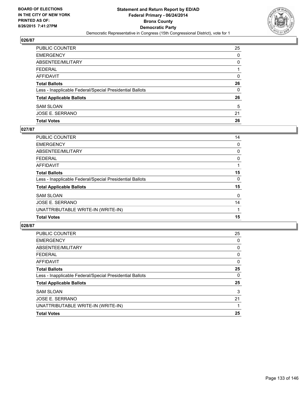

| PUBLIC COUNTER                                           | 25 |
|----------------------------------------------------------|----|
| <b>EMERGENCY</b>                                         | 0  |
| ABSENTEE/MILITARY                                        | 0  |
| <b>FEDERAL</b>                                           |    |
| AFFIDAVIT                                                | 0  |
| <b>Total Ballots</b>                                     | 26 |
| Less - Inapplicable Federal/Special Presidential Ballots | 0  |
| <b>Total Applicable Ballots</b>                          | 26 |
| <b>SAM SLOAN</b>                                         | 5  |
| JOSE E. SERRANO                                          | 21 |
| <b>Total Votes</b>                                       | 26 |

## **027/87**

| PUBLIC COUNTER                                           | 14 |
|----------------------------------------------------------|----|
| <b>EMERGENCY</b>                                         | 0  |
| ABSENTEE/MILITARY                                        | 0  |
| <b>FEDERAL</b>                                           | 0  |
| <b>AFFIDAVIT</b>                                         |    |
| <b>Total Ballots</b>                                     | 15 |
| Less - Inapplicable Federal/Special Presidential Ballots | 0  |
| <b>Total Applicable Ballots</b>                          | 15 |
| <b>SAM SLOAN</b>                                         | 0  |
| JOSE E. SERRANO                                          | 14 |
| UNATTRIBUTABLE WRITE-IN (WRITE-IN)                       |    |
| <b>Total Votes</b>                                       | 15 |
|                                                          |    |

| <b>PUBLIC COUNTER</b>                                    | 25 |
|----------------------------------------------------------|----|
| <b>EMERGENCY</b>                                         | 0  |
| ABSENTEE/MILITARY                                        | 0  |
| <b>FEDERAL</b>                                           | 0  |
| <b>AFFIDAVIT</b>                                         | 0  |
| <b>Total Ballots</b>                                     | 25 |
| Less - Inapplicable Federal/Special Presidential Ballots | 0  |
| <b>Total Applicable Ballots</b>                          | 25 |
| <b>SAM SLOAN</b>                                         | 3  |
| <b>JOSE E. SERRANO</b>                                   | 21 |
| UNATTRIBUTABLE WRITE-IN (WRITE-IN)                       |    |
| <b>Total Votes</b>                                       | 25 |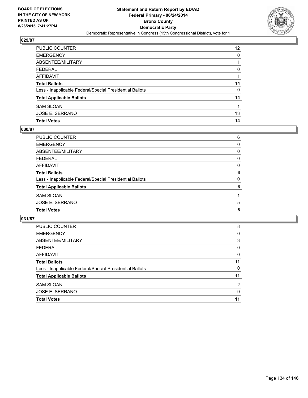

| PUBLIC COUNTER                                           | 12 <sup>2</sup> |
|----------------------------------------------------------|-----------------|
| <b>EMERGENCY</b>                                         | 0               |
| ABSENTEE/MILITARY                                        |                 |
| <b>FEDERAL</b>                                           | 0               |
| <b>AFFIDAVIT</b>                                         |                 |
| <b>Total Ballots</b>                                     | 14              |
| Less - Inapplicable Federal/Special Presidential Ballots | 0               |
| <b>Total Applicable Ballots</b>                          | 14              |
| <b>SAM SLOAN</b>                                         |                 |
| JOSE E. SERRANO                                          | 13              |
| <b>Total Votes</b>                                       | 14              |

# **030/87**

| 6 |
|---|
| 0 |
| 0 |
| 0 |
| 0 |
| 6 |
| 0 |
| 6 |
|   |
| 5 |
| 6 |
|   |

| <b>PUBLIC COUNTER</b>                                    | 8  |
|----------------------------------------------------------|----|
| <b>EMERGENCY</b>                                         | 0  |
| ABSENTEE/MILITARY                                        | 3  |
| <b>FEDERAL</b>                                           | 0  |
| AFFIDAVIT                                                | 0  |
| <b>Total Ballots</b>                                     | 11 |
| Less - Inapplicable Federal/Special Presidential Ballots | 0  |
| <b>Total Applicable Ballots</b>                          | 11 |
| <b>SAM SLOAN</b>                                         | 2  |
| <b>JOSE E. SERRANO</b>                                   | 9  |
| <b>Total Votes</b>                                       | 11 |
|                                                          |    |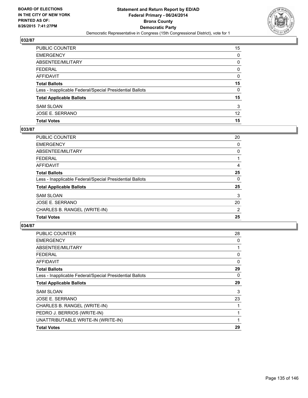

| PUBLIC COUNTER                                           | 15              |
|----------------------------------------------------------|-----------------|
| EMERGENCY                                                | 0               |
| ABSENTEE/MILITARY                                        | 0               |
| FEDERAL                                                  | 0               |
| AFFIDAVIT                                                | 0               |
| Total Ballots                                            | 15              |
| Less - Inapplicable Federal/Special Presidential Ballots | 0               |
| <b>Total Applicable Ballots</b>                          | 15              |
| SAM SLOAN                                                | 3               |
| JOSE E. SERRANO                                          | 12 <sup>°</sup> |
| <b>Total Votes</b>                                       | 15              |

# **033/87**

| PUBLIC COUNTER                                           | 20 |
|----------------------------------------------------------|----|
| <b>EMERGENCY</b>                                         | 0  |
| ABSENTEE/MILITARY                                        | 0  |
| <b>FEDERAL</b>                                           |    |
| <b>AFFIDAVIT</b>                                         | 4  |
| <b>Total Ballots</b>                                     | 25 |
| Less - Inapplicable Federal/Special Presidential Ballots | 0  |
| <b>Total Applicable Ballots</b>                          | 25 |
| <b>SAM SLOAN</b>                                         | 3  |
| JOSE E. SERRANO                                          | 20 |
| CHARLES B. RANGEL (WRITE-IN)                             | 2  |
| <b>Total Votes</b>                                       | 25 |
|                                                          |    |

| <b>PUBLIC COUNTER</b>                                    | 28 |
|----------------------------------------------------------|----|
| <b>EMERGENCY</b>                                         | 0  |
| ABSENTEE/MILITARY                                        |    |
| <b>FEDERAL</b>                                           | 0  |
| AFFIDAVIT                                                | 0  |
| <b>Total Ballots</b>                                     | 29 |
| Less - Inapplicable Federal/Special Presidential Ballots | 0  |
| <b>Total Applicable Ballots</b>                          | 29 |
| SAM SLOAN                                                | 3  |
| JOSE E. SERRANO                                          | 23 |
| CHARLES B. RANGEL (WRITE-IN)                             |    |
| PEDRO J. BERRIOS (WRITE-IN)                              |    |
| UNATTRIBUTABLE WRITE-IN (WRITE-IN)                       |    |
| <b>Total Votes</b>                                       | 29 |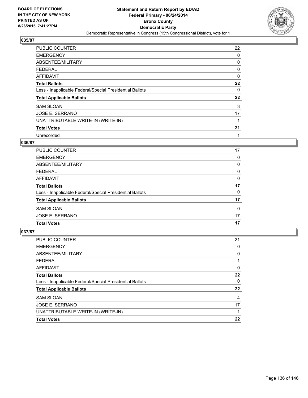

| <b>PUBLIC COUNTER</b>                                    | 22 |
|----------------------------------------------------------|----|
| <b>EMERGENCY</b>                                         | 0  |
| ABSENTEE/MILITARY                                        | 0  |
| <b>FEDERAL</b>                                           | 0  |
| <b>AFFIDAVIT</b>                                         | 0  |
| <b>Total Ballots</b>                                     | 22 |
| Less - Inapplicable Federal/Special Presidential Ballots | 0  |
| <b>Total Applicable Ballots</b>                          | 22 |
| <b>SAM SLOAN</b>                                         | 3  |
| JOSE E. SERRANO                                          | 17 |
| UNATTRIBUTABLE WRITE-IN (WRITE-IN)                       |    |
| <b>Total Votes</b>                                       | 21 |
| Unrecorded                                               |    |

# **036/87**

| 17 |
|----|
| 0  |
| 0  |
| 0  |
| 0  |
| 17 |
| 0  |
| 17 |
| 0  |
| 17 |
| 17 |
|    |

| <b>PUBLIC COUNTER</b>                                    | 21 |
|----------------------------------------------------------|----|
| <b>EMERGENCY</b>                                         | 0  |
| ABSENTEE/MILITARY                                        | 0  |
| <b>FEDERAL</b>                                           |    |
| AFFIDAVIT                                                | 0  |
| <b>Total Ballots</b>                                     | 22 |
| Less - Inapplicable Federal/Special Presidential Ballots | 0  |
| <b>Total Applicable Ballots</b>                          | 22 |
| <b>SAM SLOAN</b>                                         | 4  |
| JOSE E. SERRANO                                          | 17 |
| UNATTRIBUTABLE WRITE-IN (WRITE-IN)                       |    |
| <b>Total Votes</b>                                       | 22 |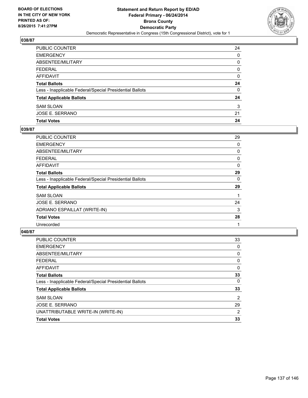

| PUBLIC COUNTER                                           | 24 |
|----------------------------------------------------------|----|
| <b>EMERGENCY</b>                                         | 0  |
| <b>ABSENTEE/MILITARY</b>                                 | 0  |
| <b>FEDERAL</b>                                           | 0  |
| AFFIDAVIT                                                | 0  |
| <b>Total Ballots</b>                                     | 24 |
| Less - Inapplicable Federal/Special Presidential Ballots | 0  |
| <b>Total Applicable Ballots</b>                          | 24 |
| <b>SAM SLOAN</b>                                         | 3  |
| JOSE E. SERRANO                                          | 21 |
| <b>Total Votes</b>                                       | 24 |

# **039/87**

| <b>PUBLIC COUNTER</b>                                    | 29 |
|----------------------------------------------------------|----|
| <b>EMERGENCY</b>                                         | 0  |
| ABSENTEE/MILITARY                                        | 0  |
| <b>FEDERAL</b>                                           | 0  |
| <b>AFFIDAVIT</b>                                         | 0  |
| <b>Total Ballots</b>                                     | 29 |
| Less - Inapplicable Federal/Special Presidential Ballots | 0  |
| <b>Total Applicable Ballots</b>                          | 29 |
| <b>SAM SLOAN</b>                                         |    |
| <b>JOSE E. SERRANO</b>                                   | 24 |
| ADRIANO ESPAILLAT (WRITE-IN)                             | 3  |
| <b>Total Votes</b>                                       | 28 |
| Unrecorded                                               | 1  |
|                                                          |    |

| <b>PUBLIC COUNTER</b>                                    | 33 |
|----------------------------------------------------------|----|
| <b>EMERGENCY</b>                                         | 0  |
| ABSENTEE/MILITARY                                        | 0  |
| <b>FEDERAL</b>                                           | 0  |
| AFFIDAVIT                                                | 0  |
| <b>Total Ballots</b>                                     | 33 |
| Less - Inapplicable Federal/Special Presidential Ballots | 0  |
| <b>Total Applicable Ballots</b>                          | 33 |
| <b>SAM SLOAN</b>                                         | 2  |
| JOSE E. SERRANO                                          | 29 |
| UNATTRIBUTABLE WRITE-IN (WRITE-IN)                       | 2  |
| <b>Total Votes</b>                                       | 33 |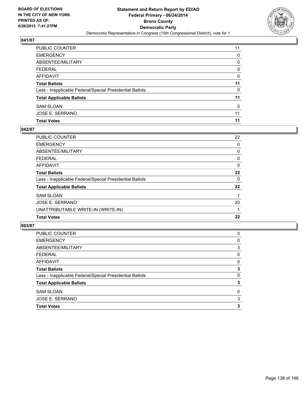

| PUBLIC COUNTER                                           | 11 |
|----------------------------------------------------------|----|
| <b>EMERGENCY</b>                                         | 0  |
| <b>ABSENTEE/MILITARY</b>                                 | 0  |
| <b>FEDERAL</b>                                           | 0  |
| AFFIDAVIT                                                | 0  |
| <b>Total Ballots</b>                                     | 11 |
| Less - Inapplicable Federal/Special Presidential Ballots | 0  |
| <b>Total Applicable Ballots</b>                          | 11 |
| <b>SAM SLOAN</b>                                         | 0  |
| JOSE E. SERRANO                                          | 11 |
| <b>Total Votes</b>                                       | 11 |

# **042/87**

| <b>PUBLIC COUNTER</b>                                    | 22 |
|----------------------------------------------------------|----|
| <b>EMERGENCY</b>                                         | 0  |
| ABSENTEE/MILITARY                                        | 0  |
| <b>FEDERAL</b>                                           | 0  |
| <b>AFFIDAVIT</b>                                         | 0  |
| <b>Total Ballots</b>                                     | 22 |
| Less - Inapplicable Federal/Special Presidential Ballots | 0  |
| <b>Total Applicable Ballots</b>                          | 22 |
| <b>SAM SLOAN</b>                                         |    |
| JOSE E. SERRANO                                          | 20 |
| UNATTRIBUTABLE WRITE-IN (WRITE-IN)                       |    |
| <b>Total Votes</b>                                       | 22 |
|                                                          |    |

| <b>PUBLIC COUNTER</b>                                    | 0 |
|----------------------------------------------------------|---|
| <b>EMERGENCY</b>                                         | 0 |
| ABSENTEE/MILITARY                                        | 3 |
| <b>FEDERAL</b>                                           | 0 |
| AFFIDAVIT                                                | 0 |
| <b>Total Ballots</b>                                     | 3 |
| Less - Inapplicable Federal/Special Presidential Ballots | 0 |
| <b>Total Applicable Ballots</b>                          | 3 |
| <b>SAM SLOAN</b>                                         | 0 |
| JOSE E. SERRANO                                          | 3 |
| <b>Total Votes</b>                                       | 3 |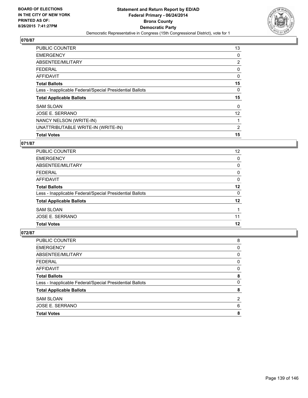

| <b>PUBLIC COUNTER</b>                                    | 13 |
|----------------------------------------------------------|----|
| <b>EMERGENCY</b>                                         | 0  |
| ABSENTEE/MILITARY                                        | 2  |
| <b>FEDERAL</b>                                           | 0  |
| <b>AFFIDAVIT</b>                                         | 0  |
| <b>Total Ballots</b>                                     | 15 |
| Less - Inapplicable Federal/Special Presidential Ballots | 0  |
| <b>Total Applicable Ballots</b>                          | 15 |
| <b>SAM SLOAN</b>                                         | 0  |
| JOSE E. SERRANO                                          | 12 |
| NANCY NELSON (WRITE-IN)                                  |    |
| UNATTRIBUTABLE WRITE-IN (WRITE-IN)                       | 2  |
| <b>Total Votes</b>                                       | 15 |

# **071/87**

| <b>PUBLIC COUNTER</b>                                    | 12 |
|----------------------------------------------------------|----|
| <b>EMERGENCY</b>                                         | 0  |
| ABSENTEE/MILITARY                                        | 0  |
| <b>FEDERAL</b>                                           | 0  |
| AFFIDAVIT                                                | 0  |
| <b>Total Ballots</b>                                     | 12 |
| Less - Inapplicable Federal/Special Presidential Ballots | 0  |
| <b>Total Applicable Ballots</b>                          | 12 |
| <b>SAM SLOAN</b>                                         |    |
| JOSE E. SERRANO                                          | 11 |
| <b>Total Votes</b>                                       | 12 |

| <b>Total Votes</b>                                       | 8 |
|----------------------------------------------------------|---|
| JOSE E. SERRANO                                          | 6 |
| <b>SAM SLOAN</b>                                         | 2 |
| <b>Total Applicable Ballots</b>                          | 8 |
| Less - Inapplicable Federal/Special Presidential Ballots | 0 |
| <b>Total Ballots</b>                                     | 8 |
| <b>AFFIDAVIT</b>                                         | 0 |
| <b>FEDERAL</b>                                           | 0 |
| ABSENTEE/MILITARY                                        | 0 |
| <b>EMERGENCY</b>                                         | 0 |
| PUBLIC COUNTER                                           | 8 |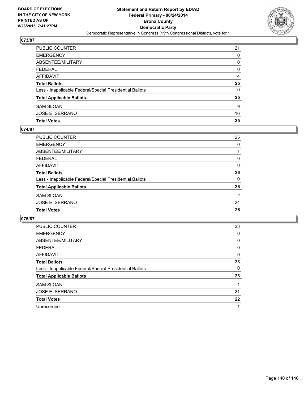

| PUBLIC COUNTER                                           | 21 |
|----------------------------------------------------------|----|
| <b>EMERGENCY</b>                                         | 0  |
| ABSENTEE/MILITARY                                        | 0  |
| <b>FEDERAL</b>                                           | 0  |
| <b>AFFIDAVIT</b>                                         | 4  |
| <b>Total Ballots</b>                                     | 25 |
| Less - Inapplicable Federal/Special Presidential Ballots | 0  |
| <b>Total Applicable Ballots</b>                          | 25 |
| <b>SAM SLOAN</b>                                         | 9  |
| JOSE E. SERRANO                                          | 16 |
| <b>Total Votes</b>                                       | 25 |

# **074/87**

| <b>PUBLIC COUNTER</b>                                    | 25       |
|----------------------------------------------------------|----------|
| <b>EMERGENCY</b>                                         | 0        |
| <b>ABSENTEE/MILITARY</b>                                 |          |
| <b>FEDERAL</b>                                           | 0        |
| <b>AFFIDAVIT</b>                                         | 0        |
| <b>Total Ballots</b>                                     | 26       |
| Less - Inapplicable Federal/Special Presidential Ballots | $\Omega$ |
| <b>Total Applicable Ballots</b>                          | 26       |
| <b>SAM SLOAN</b>                                         | 2        |
| <b>JOSE E. SERRANO</b>                                   | 24       |
| <b>Total Votes</b>                                       | 26       |
|                                                          |          |

| <b>PUBLIC COUNTER</b>                                    | 23 |
|----------------------------------------------------------|----|
| <b>EMERGENCY</b>                                         | 0  |
| ABSENTEE/MILITARY                                        | 0  |
| FEDERAL                                                  | 0  |
| AFFIDAVIT                                                | 0  |
| <b>Total Ballots</b>                                     | 23 |
| Less - Inapplicable Federal/Special Presidential Ballots | 0  |
| <b>Total Applicable Ballots</b>                          | 23 |
| <b>SAM SLOAN</b>                                         |    |
| JOSE E. SERRANO                                          | 21 |
| <b>Total Votes</b>                                       | 22 |
| Unrecorded                                               |    |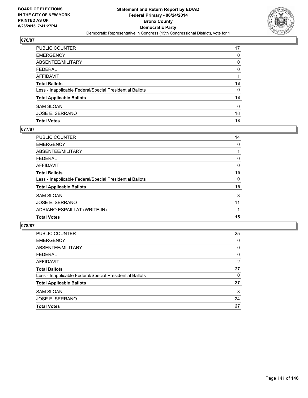

| PUBLIC COUNTER                                           | 17 |
|----------------------------------------------------------|----|
| <b>EMERGENCY</b>                                         | 0  |
| <b>ABSENTEE/MILITARY</b>                                 | 0  |
| <b>FEDERAL</b>                                           | 0  |
| AFFIDAVIT                                                |    |
| <b>Total Ballots</b>                                     | 18 |
| Less - Inapplicable Federal/Special Presidential Ballots | 0  |
| <b>Total Applicable Ballots</b>                          | 18 |
| <b>SAM SLOAN</b>                                         | 0  |
| JOSE E. SERRANO                                          | 18 |
| <b>Total Votes</b>                                       | 18 |

### **077/87**

| PUBLIC COUNTER                                           | 14 |
|----------------------------------------------------------|----|
| <b>EMERGENCY</b>                                         | 0  |
| ABSENTEE/MILITARY                                        |    |
| <b>FEDERAL</b>                                           | 0  |
| <b>AFFIDAVIT</b>                                         | 0  |
| <b>Total Ballots</b>                                     | 15 |
| Less - Inapplicable Federal/Special Presidential Ballots | 0  |
| <b>Total Applicable Ballots</b>                          | 15 |
| <b>SAM SLOAN</b>                                         | 3  |
| <b>JOSE E. SERRANO</b>                                   | 11 |
| ADRIANO ESPAILLAT (WRITE-IN)                             |    |
| <b>Total Votes</b>                                       | 15 |

| <b>Total Votes</b>                                       | 27 |
|----------------------------------------------------------|----|
| <b>JOSE E. SERRANO</b>                                   | 24 |
| <b>SAM SLOAN</b>                                         | 3  |
| <b>Total Applicable Ballots</b>                          | 27 |
| Less - Inapplicable Federal/Special Presidential Ballots | 0  |
| <b>Total Ballots</b>                                     | 27 |
| AFFIDAVIT                                                | 2  |
| <b>FEDERAL</b>                                           | 0  |
| ABSENTEE/MILITARY                                        | 0  |
| <b>EMERGENCY</b>                                         | 0  |
| PUBLIC COUNTER                                           | 25 |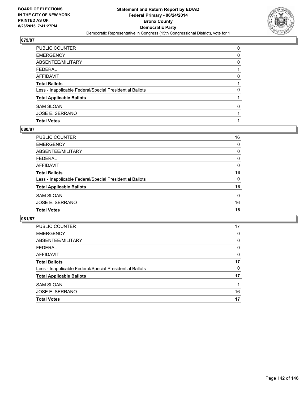

| PUBLIC COUNTER                                           | 0 |
|----------------------------------------------------------|---|
| <b>EMERGENCY</b>                                         | 0 |
| ABSENTEE/MILITARY                                        | 0 |
| <b>FEDERAL</b>                                           |   |
| <b>AFFIDAVIT</b>                                         | 0 |
| <b>Total Ballots</b>                                     |   |
| Less - Inapplicable Federal/Special Presidential Ballots | 0 |
| <b>Total Applicable Ballots</b>                          |   |
| <b>SAM SLOAN</b>                                         | 0 |
| JOSE E. SERRANO                                          |   |
| <b>Total Votes</b>                                       |   |

# **080/87**

| PUBLIC COUNTER                                           | 16       |
|----------------------------------------------------------|----------|
| <b>EMERGENCY</b>                                         | 0        |
| <b>ABSENTEE/MILITARY</b>                                 | 0        |
| <b>FEDERAL</b>                                           | 0        |
| AFFIDAVIT                                                | $\Omega$ |
| <b>Total Ballots</b>                                     | 16       |
| Less - Inapplicable Federal/Special Presidential Ballots | $\Omega$ |
| <b>Total Applicable Ballots</b>                          | 16       |
| <b>SAM SLOAN</b>                                         | 0        |
| <b>JOSE E. SERRANO</b>                                   | 16       |
| <b>Total Votes</b>                                       | 16       |
|                                                          |          |

| PUBLIC COUNTER                                           | 17 |
|----------------------------------------------------------|----|
| <b>EMERGENCY</b>                                         | 0  |
| ABSENTEE/MILITARY                                        | 0  |
| <b>FEDERAL</b>                                           | 0  |
| AFFIDAVIT                                                | 0  |
| <b>Total Ballots</b>                                     | 17 |
| Less - Inapplicable Federal/Special Presidential Ballots | 0  |
| <b>Total Applicable Ballots</b>                          | 17 |
| <b>SAM SLOAN</b>                                         |    |
| <b>JOSE E. SERRANO</b>                                   | 16 |
| <b>Total Votes</b>                                       | 17 |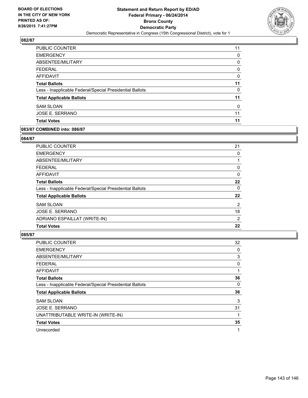

| <b>PUBLIC COUNTER</b>                                    | 11 |
|----------------------------------------------------------|----|
| <b>EMERGENCY</b>                                         | 0  |
| ABSENTEE/MILITARY                                        | 0  |
| <b>FEDERAL</b>                                           | 0  |
| AFFIDAVIT                                                | 0  |
| <b>Total Ballots</b>                                     | 11 |
| Less - Inapplicable Federal/Special Presidential Ballots | 0  |
| <b>Total Applicable Ballots</b>                          | 11 |
| <b>SAM SLOAN</b>                                         | 0  |
| JOSE E. SERRANO                                          | 11 |
| <b>Total Votes</b>                                       | 11 |

### **083/87 COMBINED into: 086/87**

### **084/87**

| 21 |
|----|
| 0  |
|    |
| 0  |
| 0  |
| 22 |
| 0  |
| 22 |
| 2  |
| 18 |
| 2  |
| 22 |
|    |

| PUBLIC COUNTER                                           | 32 |
|----------------------------------------------------------|----|
| <b>EMERGENCY</b>                                         | 0  |
| ABSENTEE/MILITARY                                        | 3  |
| <b>FEDERAL</b>                                           | 0  |
| AFFIDAVIT                                                |    |
| <b>Total Ballots</b>                                     | 36 |
| Less - Inapplicable Federal/Special Presidential Ballots | 0  |
| <b>Total Applicable Ballots</b>                          | 36 |
| <b>SAM SLOAN</b>                                         | 3  |
| <b>JOSE E. SERRANO</b>                                   | 31 |
| UNATTRIBUTABLE WRITE-IN (WRITE-IN)                       |    |
| <b>Total Votes</b>                                       | 35 |
| Unrecorded                                               | 1  |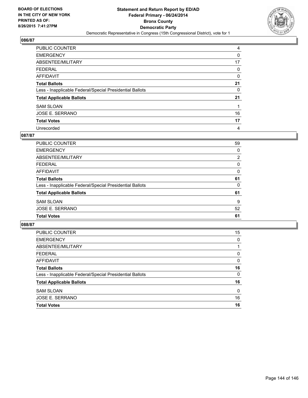

| PUBLIC COUNTER                                           | 4  |
|----------------------------------------------------------|----|
| <b>EMERGENCY</b>                                         | 0  |
| ABSENTEE/MILITARY                                        | 17 |
| <b>FEDERAL</b>                                           | 0  |
| <b>AFFIDAVIT</b>                                         | 0  |
| <b>Total Ballots</b>                                     | 21 |
| Less - Inapplicable Federal/Special Presidential Ballots | 0  |
| <b>Total Applicable Ballots</b>                          | 21 |
| <b>SAM SLOAN</b>                                         |    |
| JOSE E. SERRANO                                          | 16 |
| <b>Total Votes</b>                                       | 17 |
| Unrecorded                                               | 4  |

## **087/87**

| PUBLIC COUNTER                                           | 59             |
|----------------------------------------------------------|----------------|
| <b>EMERGENCY</b>                                         | 0              |
| ABSENTEE/MILITARY                                        | $\overline{2}$ |
| <b>FEDERAL</b>                                           | 0              |
| <b>AFFIDAVIT</b>                                         | 0              |
| <b>Total Ballots</b>                                     | 61             |
| Less - Inapplicable Federal/Special Presidential Ballots | 0              |
| <b>Total Applicable Ballots</b>                          | 61             |
| <b>SAM SLOAN</b>                                         | 9              |
| <b>JOSE E. SERRANO</b>                                   | 52             |
| <b>Total Votes</b>                                       | 61             |
|                                                          |                |

| PUBLIC COUNTER                                           | 15       |
|----------------------------------------------------------|----------|
| <b>EMERGENCY</b>                                         | 0        |
| ABSENTEE/MILITARY                                        |          |
| <b>FEDERAL</b>                                           | 0        |
| <b>AFFIDAVIT</b>                                         | $\Omega$ |
| <b>Total Ballots</b>                                     | 16       |
| Less - Inapplicable Federal/Special Presidential Ballots | $\Omega$ |
| <b>Total Applicable Ballots</b>                          | 16       |
| <b>SAM SLOAN</b>                                         | $\Omega$ |
| <b>JOSE E. SERRANO</b>                                   | 16       |
| <b>Total Votes</b>                                       | 16       |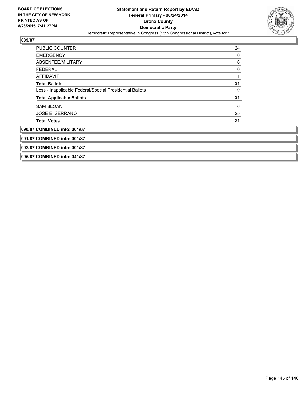

## **089/87**

| <b>PUBLIC COUNTER</b>                                    | 24 |
|----------------------------------------------------------|----|
| <b>EMERGENCY</b>                                         | 0  |
| ABSENTEE/MILITARY                                        | 6  |
| <b>FEDERAL</b>                                           | 0  |
| <b>AFFIDAVIT</b>                                         |    |
| <b>Total Ballots</b>                                     | 31 |
| Less - Inapplicable Federal/Special Presidential Ballots | 0  |
| <b>Total Applicable Ballots</b>                          | 31 |
| <b>SAM SLOAN</b>                                         | 6  |
| JOSE E. SERRANO                                          | 25 |
| <b>Total Votes</b>                                       | 31 |
| 090/87 COMBINED into: 001/87                             |    |
| 091/87 COMBINED into: 001/87                             |    |
| 092/87 COMBINED into: 001/87                             |    |
| 095/87 COMBINED into: 041/87                             |    |